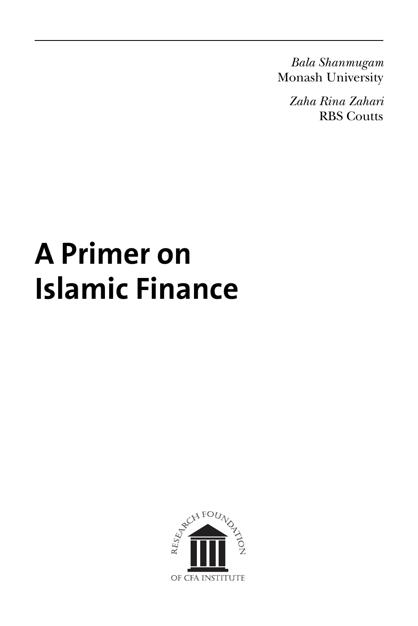*Bala Shanmugam* Monash University

> *Zaha Rina Zahari* RBS Coutts

# **A Primer on Islamic Finance**

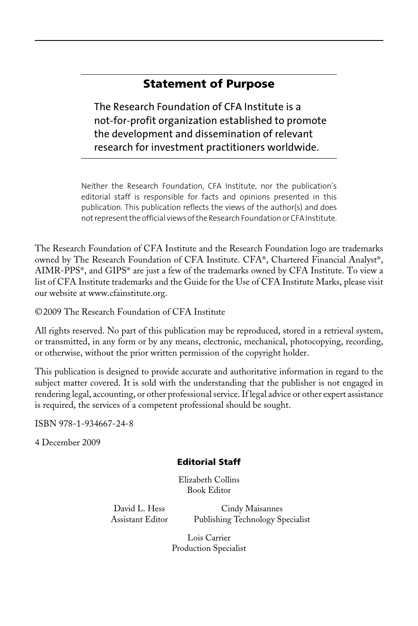#### **Statement of Purpose**

The Research Foundation of CFA Institute is a not-for-profit organization established to promote the development and dissemination of relevant research for investment practitioners worldwide.

Neither the Research Foundation, CFA Institute, nor the publication's editorial staff is responsible for facts and opinions presented in this publication. This publication reflects the views of the author(s) and does not represent the official views of the Research Foundation or CFA Institute.

The Research Foundation of CFA Institute and the Research Foundation logo are trademarks owned by The Research Foundation of CFA Institute. CFA®, Chartered Financial Analyst®, AIMR-PPS®, and GIPS® are just a few of the trademarks owned by CFA Institute. To view a list of CFA Institute trademarks and the Guide for the Use of CFA Institute Marks, please visit our website at [www.cfainstitute.org.](http://www.cfainstitute.org)

©2009 The Research Foundation of CFA Institute

All rights reserved. No part of this publication may be reproduced, stored in a retrieval system, or transmitted, in any form or by any means, electronic, mechanical, photocopying, recording, or otherwise, without the prior written permission of the copyright holder.

This publication is designed to provide accurate and authoritative information in regard to the subject matter covered. It is sold with the understanding that the publisher is not engaged in rendering legal, accounting, or other professional service. If legal advice or other expert assistance is required, the services of a competent professional should be sought.

ISBN 978-1-934667-24-8

4 December 2009

#### **Editorial Staff**

Elizabeth Collins Book Editor

David L. Hess Assistant Editor

Cindy Maisannes Publishing Technology Specialist

Lois Carrier Production Specialist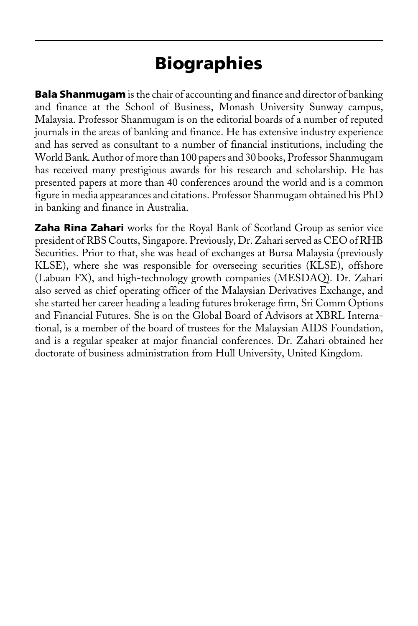# **Biographies**

**Bala Shanmugam** is the chair of accounting and finance and director of banking and finance at the School of Business, Monash University Sunway campus, Malaysia. Professor Shanmugam is on the editorial boards of a number of reputed journals in the areas of banking and finance. He has extensive industry experience and has served as consultant to a number of financial institutions, including the World Bank. Author of more than 100 papers and 30 books, Professor Shanmugam has received many prestigious awards for his research and scholarship. He has presented papers at more than 40 conferences around the world and is a common figure in media appearances and citations. Professor Shanmugam obtained his PhD in banking and finance in Australia.

**Zaha Rina Zahari** works for the Royal Bank of Scotland Group as senior vice president of RBS Coutts, Singapore. Previously, Dr. Zahari served as CEO of RHB Securities. Prior to that, she was head of exchanges at Bursa Malaysia (previously KLSE), where she was responsible for overseeing securities (KLSE), offshore (Labuan FX), and high-technology growth companies (MESDAQ). Dr. Zahari also served as chief operating officer of the Malaysian Derivatives Exchange, and she started her career heading a leading futures brokerage firm, Sri Comm Options and Financial Futures. She is on the Global Board of Advisors at XBRL International, is a member of the board of trustees for the Malaysian AIDS Foundation, and is a regular speaker at major financial conferences. Dr. Zahari obtained her doctorate of business administration from Hull University, United Kingdom.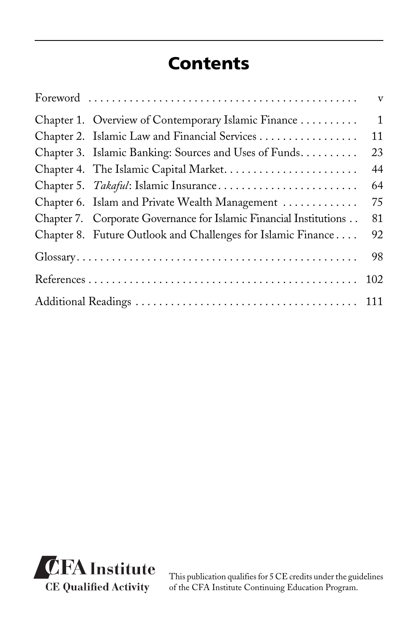# **Contents**

|                                                                    | $\overline{\mathbf{V}}$ |
|--------------------------------------------------------------------|-------------------------|
| Chapter 1. Overview of Contemporary Islamic Finance                | $\mathbf{1}$            |
| Chapter 2. Islamic Law and Financial Services                      | 11                      |
| Chapter 3. Islamic Banking: Sources and Uses of Funds              | 23                      |
|                                                                    | 44                      |
|                                                                    | 64                      |
| Chapter 6. Islam and Private Wealth Management                     | 75                      |
| Chapter 7. Corporate Governance for Islamic Financial Institutions | 81                      |
| Chapter 8. Future Outlook and Challenges for Islamic Finance       | 92                      |
|                                                                    | 98                      |
|                                                                    |                         |
|                                                                    |                         |



This publication qualifies for 5 CE credits under the guidelines of the CFA Institute Continuing Education Program.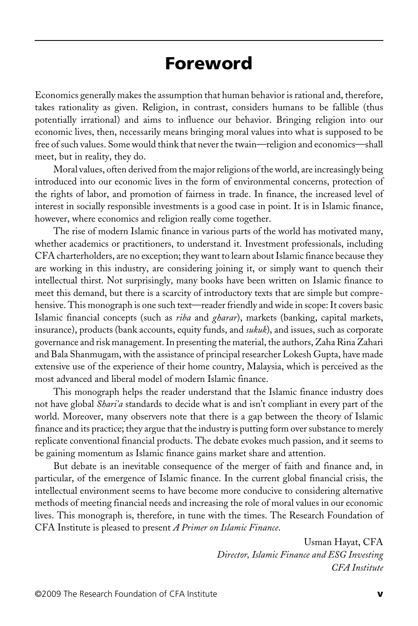# **Foreword**

Economics generally makes the assumption that human behavior is rational and, therefore, takes rationality as given. Religion, in contrast, considers humans to be fallible (thus potentially irrational) and aims to influence our behavior. Bringing religion into our economic lives, then, necessarily means bringing moral values into what is supposed to be free of such values. Some would think that never the twain—religion and economics—shall meet, but in reality, they do.

Moral values, often derived from the major religions of the world, are increasingly being introduced into our economic lives in the form of environmental concerns, protection of the rights of labor, and promotion of fairness in trade. In finance, the increased level of interest in socially responsible investments is a good case in point. It is in Islamic finance, however, where economics and religion really come together.

The rise of modern Islamic finance in various parts of the world has motivated many, whether academics or practitioners, to understand it. Investment professionals, including CFA charterholders, are no exception; they want to learn about Islamic finance because they are working in this industry, are considering joining it, or simply want to quench their intellectual thirst. Not surprisingly, many books have been written on Islamic finance to meet this demand, but there is a scarcity of introductory texts that are simple but comprehensive. This monograph is one such text—reader friendly and wide in scope: It covers basic Islamic financial concepts (such as *riba* and *gharar*), markets (banking, capital markets, insurance), products (bank accounts, equity funds, and *sukuk*), and issues, such as corporate governance and risk management. In presenting the material, the authors, Zaha Rina Zahari and Bala Shanmugam, with the assistance of principal researcher Lokesh Gupta, have made extensive use of the experience of their home country, Malaysia, which is perceived as the most advanced and liberal model of modern Islamic finance.

This monograph helps the reader understand that the Islamic finance industry does not have global *Shari'a* standards to decide what is and isn't compliant in every part of the world. Moreover, many observers note that there is a gap between the theory of Islamic finance and its practice; they argue that the industry is putting form over substance to merely replicate conventional financial products. The debate evokes much passion, and it seems to be gaining momentum as Islamic finance gains market share and attention.

But debate is an inevitable consequence of the merger of faith and finance and, in particular, of the emergence of Islamic finance. In the current global financial crisis, the intellectual environment seems to have become more conducive to considering alternative methods of meeting financial needs and increasing the role of moral values in our economic lives. This monograph is, therefore, in tune with the times. The Research Foundation of CFA Institute is pleased to present *A Primer on Islamic Finance*.

> Usman Hayat, CFA *Director, Islamic Finance and ESG Investing CFA Institute*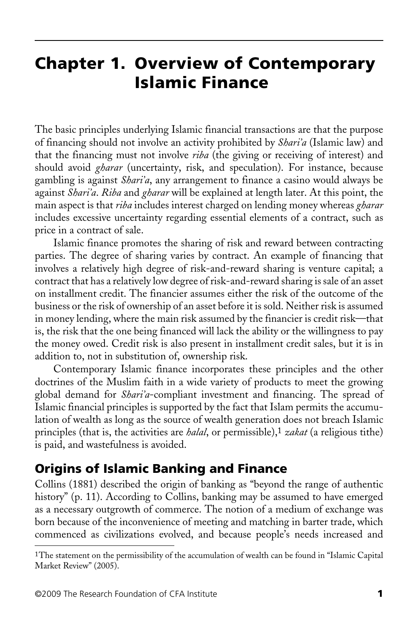# **Chapter 1. Overview of Contemporary Islamic Finance**

The basic principles underlying Islamic financial transactions are that the purpose of financing should not involve an activity prohibited by *Shari'a* (Islamic law) and that the financing must not involve *riba* (the giving or receiving of interest) and should avoid *gharar* (uncertainty, risk, and speculation). For instance, because gambling is against *Shari'a*, any arrangement to finance a casino would always be against *Shari'a*. *Riba* and *gharar* will be explained at length later. At this point, the main aspect is that *riba* includes interest charged on lending money whereas *gharar* includes excessive uncertainty regarding essential elements of a contract, such as price in a contract of sale.

Islamic finance promotes the sharing of risk and reward between contracting parties. The degree of sharing varies by contract. An example of financing that involves a relatively high degree of risk-and-reward sharing is venture capital; a contract that has a relatively low degree of risk-and-reward sharing is sale of an asset on installment credit. The financier assumes either the risk of the outcome of the business or the risk of ownership of an asset before it is sold. Neither risk is assumed in money lending, where the main risk assumed by the financier is credit risk—that is, the risk that the one being financed will lack the ability or the willingness to pay the money owed. Credit risk is also present in installment credit sales, but it is in addition to, not in substitution of, ownership risk.

Contemporary Islamic finance incorporates these principles and the other doctrines of the Muslim faith in a wide variety of products to meet the growing global demand for *Shari'a*-compliant investment and financing. The spread of Islamic financial principles is supported by the fact that Islam permits the accumulation of wealth as long as the source of wealth generation does not breach Islamic principles (that is, the activities are *halal*, or permissible),1 *zakat* (a religious tithe) is paid, and wastefulness is avoided.

## **Origins of Islamic Banking and Finance**

Collins (1881) described the origin of banking as "beyond the range of authentic history" (p. 11). According to Collins, banking may be assumed to have emerged as a necessary outgrowth of commerce. The notion of a medium of exchange was born because of the inconvenience of meeting and matching in barter trade, which commenced as civilizations evolved, and because people's needs increased and

<sup>1</sup>The statement on the permissibility of the accumulation of wealth can be found in "Islamic Capital Market Review" (2005).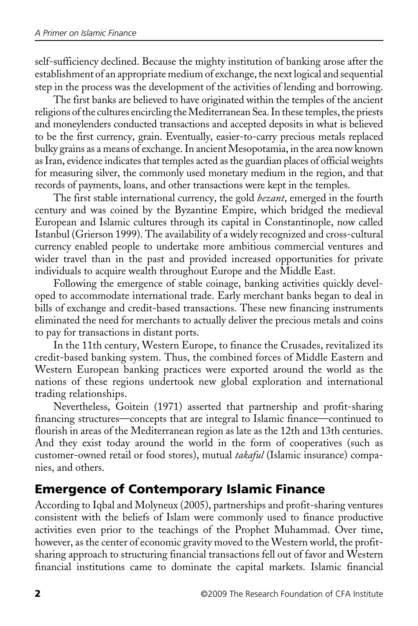self-sufficiency declined. Because the mighty institution of banking arose after the establishment of an appropriate medium of exchange, the next logical and sequential step in the process was the development of the activities of lending and borrowing.

The first banks are believed to have originated within the temples of the ancient religions of the cultures encircling the Mediterranean Sea. In these temples, the priests and moneylenders conducted transactions and accepted deposits in what is believed to be the first currency, grain. Eventually, easier-to-carry precious metals replaced bulky grains as a means of exchange. In ancient Mesopotamia, in the area now known as Iran, evidence indicates that temples acted as the guardian places of official weights for measuring silver, the commonly used monetary medium in the region, and that records of payments, loans, and other transactions were kept in the temples.

The first stable international currency, the gold *bezant*, emerged in the fourth century and was coined by the Byzantine Empire, which bridged the medieval European and Islamic cultures through its capital in Constantinople, now called Istanbul (Grierson 1999). The availability of a widely recognized and cross-cultural currency enabled people to undertake more ambitious commercial ventures and wider travel than in the past and provided increased opportunities for private individuals to acquire wealth throughout Europe and the Middle East.

Following the emergence of stable coinage, banking activities quickly developed to accommodate international trade. Early merchant banks began to deal in bills of exchange and credit-based transactions. These new financing instruments eliminated the need for merchants to actually deliver the precious metals and coins to pay for transactions in distant ports.

In the 11th century, Western Europe, to finance the Crusades, revitalized its credit-based banking system. Thus, the combined forces of Middle Eastern and Western European banking practices were exported around the world as the nations of these regions undertook new global exploration and international trading relationships.

Nevertheless, Goitein (1971) asserted that partnership and profit-sharing financing structures—concepts that are integral to Islamic finance—continued to flourish in areas of the Mediterranean region as late as the 12th and 13th centuries. And they exist today around the world in the form of cooperatives (such as customer-owned retail or food stores), mutual *takaful* (Islamic insurance) companies, and others.

## **Emergence of Contemporary Islamic Finance**

According to Iqbal and Molyneux (2005), partnerships and profit-sharing ventures consistent with the beliefs of Islam were commonly used to finance productive activities even prior to the teachings of the Prophet Muhammad. Over time, however, as the center of economic gravity moved to the Western world, the profitsharing approach to structuring financial transactions fell out of favor and Western financial institutions came to dominate the capital markets. Islamic financial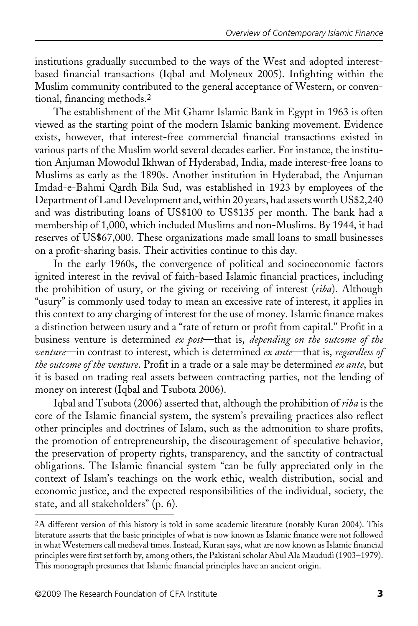institutions gradually succumbed to the ways of the West and adopted interestbased financial transactions (Iqbal and Molyneux 2005). Infighting within the Muslim community contributed to the general acceptance of Western, or conventional, financing methods.2

The establishment of the Mit Ghamr Islamic Bank in Egypt in 1963 is often viewed as the starting point of the modern Islamic banking movement. Evidence exists, however, that interest-free commercial financial transactions existed in various parts of the Muslim world several decades earlier. For instance, the institution Anjuman Mowodul Ikhwan of Hyderabad, India, made interest-free loans to Muslims as early as the 1890s. Another institution in Hyderabad, the Anjuman Imdad-e-Bahmi Qardh Bila Sud, was established in 1923 by employees of the Department of Land Development and, within 20 years, had assets worth US\$2,240 and was distributing loans of US\$100 to US\$135 per month. The bank had a membership of 1,000, which included Muslims and non-Muslims. By 1944, it had reserves of US\$67,000. These organizations made small loans to small businesses on a profit-sharing basis. Their activities continue to this day.

In the early 1960s, the convergence of political and socioeconomic factors ignited interest in the revival of faith-based Islamic financial practices, including the prohibition of usury, or the giving or receiving of interest (*riba*). Although "usury" is commonly used today to mean an excessive rate of interest, it applies in this context to any charging of interest for the use of money. Islamic finance makes a distinction between usury and a "rate of return or profit from capital." Profit in a business venture is determined *ex post*—that is, *depending on the outcome of the venture*—in contrast to interest, which is determined *ex ante*—that is, *regardless of the outcome of the venture*. Profit in a trade or a sale may be determined *ex ante*, but it is based on trading real assets between contracting parties, not the lending of money on interest (Iqbal and Tsubota 2006).

Iqbal and Tsubota (2006) asserted that, although the prohibition of *riba* is the core of the Islamic financial system, the system's prevailing practices also reflect other principles and doctrines of Islam, such as the admonition to share profits, the promotion of entrepreneurship, the discouragement of speculative behavior, the preservation of property rights, transparency, and the sanctity of contractual obligations. The Islamic financial system "can be fully appreciated only in the context of Islam's teachings on the work ethic, wealth distribution, social and economic justice, and the expected responsibilities of the individual, society, the state, and all stakeholders" (p. 6).

<sup>2</sup>A different version of this history is told in some academic literature (notably Kuran 2004). This literature asserts that the basic principles of what is now known as Islamic finance were not followed in what Westerners call medieval times. Instead, Kuran says, what are now known as Islamic financial principles were first set forth by, among others, the Pakistani scholar Abul Ala Maududi (1903-1979). This monograph presumes that Islamic financial principles have an ancient origin.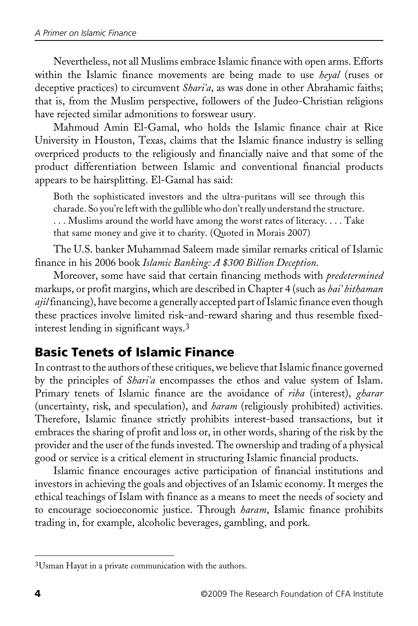Nevertheless, not all Muslims embrace Islamic finance with open arms. Efforts within the Islamic finance movements are being made to use *heyal* (ruses or deceptive practices) to circumvent *Shari'a*, as was done in other Abrahamic faiths; that is, from the Muslim perspective, followers of the Judeo-Christian religions have rejected similar admonitions to forswear usury.

Mahmoud Amin El-Gamal, who holds the Islamic finance chair at Rice University in Houston, Texas, claims that the Islamic finance industry is selling overpriced products to the religiously and financially naive and that some of the product differentiation between Islamic and conventional financial products appears to be hairsplitting. El-Gamal has said:

Both the sophisticated investors and the ultra-puritans will see through this charade. So you're left with the gullible who don't really understand the structure. . . . Muslims around the world have among the worst rates of literacy. . . . Take that same money and give it to charity. (Quoted in Morais 2007)

The U.S. banker Muhammad Saleem made similar remarks critical of Islamic finance in his 2006 book *Islamic Banking: A \$300 Billion Deception*.

Moreover, some have said that certain financing methods with *predetermined* markups, or profit margins, which are described in Chapter 4 (such as *bai' bithaman ajil* financing), have become a generally accepted part of Islamic finance even though these practices involve limited risk-and-reward sharing and thus resemble fixedinterest lending in significant ways.3

## **Basic Tenets of Islamic Finance**

In contrast to the authors of these critiques, we believe that Islamic finance governed by the principles of *Shari'a* encompasses the ethos and value system of Islam. Primary tenets of Islamic finance are the avoidance of *riba* (interest), *gharar* (uncertainty, risk, and speculation), and *haram* (religiously prohibited) activities. Therefore, Islamic finance strictly prohibits interest-based transactions, but it embraces the sharing of profit and loss or, in other words, sharing of the risk by the provider and the user of the funds invested. The ownership and trading of a physical good or service is a critical element in structuring Islamic financial products.

Islamic finance encourages active participation of financial institutions and investors in achieving the goals and objectives of an Islamic economy. It merges the ethical teachings of Islam with finance as a means to meet the needs of society and to encourage socioeconomic justice. Through *haram*, Islamic finance prohibits trading in, for example, alcoholic beverages, gambling, and pork.

<sup>3</sup>Usman Hayat in a private communication with the authors.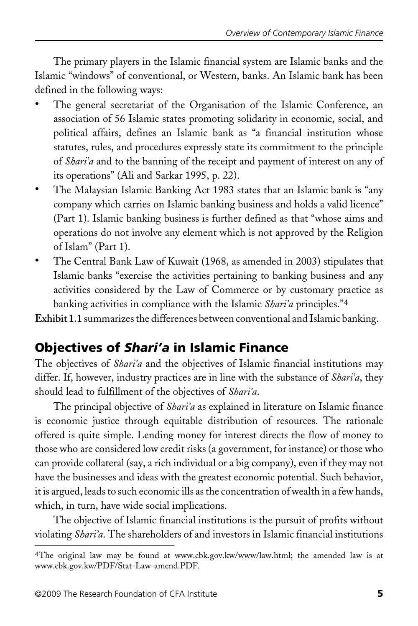The primary players in the Islamic financial system are Islamic banks and the Islamic "windows" of conventional, or Western, banks. An Islamic bank has been defined in the following ways:

- The general secretariat of the Organisation of the Islamic Conference, an association of 56 Islamic states promoting solidarity in economic, social, and political affairs, defines an Islamic bank as "a financial institution whose statutes, rules, and procedures expressly state its commitment to the principle of *Shari'a* and to the banning of the receipt and payment of interest on any of its operations" (Ali and Sarkar 1995, p. 22).
- The Malaysian Islamic Banking Act 1983 states that an Islamic bank is "any company which carries on Islamic banking business and holds a valid licence" (Part 1). Islamic banking business is further defined as that "whose aims and operations do not involve any element which is not approved by the Religion of Islam" (Part 1).
- The Central Bank Law of Kuwait (1968, as amended in 2003) stipulates that Islamic banks "exercise the activities pertaining to banking business and any activities considered by the Law of Commerce or by customary practice as banking activities in compliance with the Islamic *Shari'a* principles."4

**Exhibit 1.1** summarizes the differences between conventional and Islamic banking.

# **Objectives of** *Shari'a* **in Islamic Finance**

The objectives of *Shari'a* and the objectives of Islamic financial institutions may differ. If, however, industry practices are in line with the substance of *Shari'a*, they should lead to fulfillment of the objectives of *Shari'a*.

The principal objective of *Shari'a* as explained in literature on Islamic finance is economic justice through equitable distribution of resources. The rationale offered is quite simple. Lending money for interest directs the flow of money to those who are considered low credit risks (a government, for instance) or those who can provide collateral (say, a rich individual or a big company), even if they may not have the businesses and ideas with the greatest economic potential. Such behavior, it is argued, leads to such economic ills as the concentration of wealth in a few hands, which, in turn, have wide social implications.

The objective of Islamic financial institutions is the pursuit of profits without violating *Shari'a*. The shareholders of and investors in Islamic financial institutions

<sup>4</sup>The original law may be found at [www.cbk.gov.kw/www/law.html](http://www.cbk.gov.kw/www/law.html); the amended law is at [www.cbk.gov.kw/PDF/Stat-Law-amend.PDF](http://www.cbk.gov.kw/PDF/Stat-Law-amend.PDF).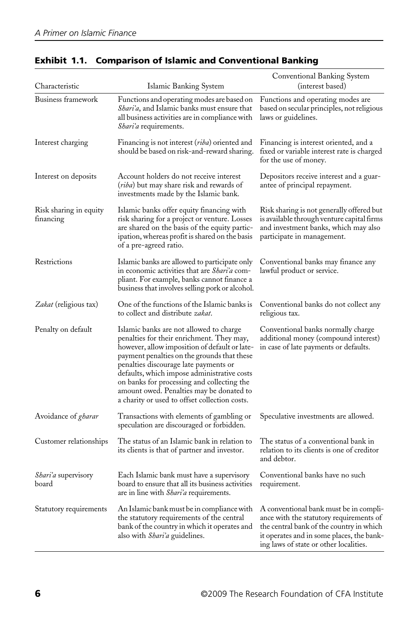| Characteristic                      | Islamic Banking System                                                                                                                                                                                                                                                                                                                                                                                                  | Conventional Banking System<br>(interest based)                                                                                                                                                                      |
|-------------------------------------|-------------------------------------------------------------------------------------------------------------------------------------------------------------------------------------------------------------------------------------------------------------------------------------------------------------------------------------------------------------------------------------------------------------------------|----------------------------------------------------------------------------------------------------------------------------------------------------------------------------------------------------------------------|
| Business framework                  | Functions and operating modes are based on<br>Shari'a, and Islamic banks must ensure that<br>all business activities are in compliance with<br>Shari'a requirements.                                                                                                                                                                                                                                                    | Functions and operating modes are<br>based on secular principles, not religious<br>laws or guidelines.                                                                                                               |
| Interest charging                   | Financing is not interest ( <i>riba</i> ) oriented and<br>should be based on risk-and-reward sharing.                                                                                                                                                                                                                                                                                                                   | Financing is interest oriented, and a<br>fixed or variable interest rate is charged<br>for the use of money.                                                                                                         |
| Interest on deposits                | Account holders do not receive interest<br>(riba) but may share risk and rewards of<br>investments made by the Islamic bank.                                                                                                                                                                                                                                                                                            | Depositors receive interest and a guar-<br>antee of principal repayment.                                                                                                                                             |
| Risk sharing in equity<br>financing | Islamic banks offer equity financing with<br>risk sharing for a project or venture. Losses<br>are shared on the basis of the equity partic-<br>ipation, whereas profit is shared on the basis<br>of a pre-agreed ratio.                                                                                                                                                                                                 | Risk sharing is not generally offered but<br>is available through venture capital firms<br>and investment banks, which may also<br>participate in management.                                                        |
| Restrictions                        | Islamic banks are allowed to participate only<br>in economic activities that are Shari'a com-<br>pliant. For example, banks cannot finance a<br>business that involves selling pork or alcohol.                                                                                                                                                                                                                         | Conventional banks may finance any<br>lawful product or service.                                                                                                                                                     |
| Zakat (religious tax)               | One of the functions of the Islamic banks is<br>to collect and distribute zakat.                                                                                                                                                                                                                                                                                                                                        | Conventional banks do not collect any<br>religious tax.                                                                                                                                                              |
| Penalty on default                  | Islamic banks are not allowed to charge<br>penalties for their enrichment. They may,<br>however, allow imposition of default or late-<br>payment penalties on the grounds that these<br>penalties discourage late payments or<br>defaults, which impose administrative costs<br>on banks for processing and collecting the<br>amount owed. Penalties may be donated to<br>a charity or used to offset collection costs. | Conventional banks normally charge<br>additional money (compound interest)<br>in case of late payments or defaults.                                                                                                  |
| Avoidance of <i>gharar</i>          | Transactions with elements of gambling or<br>speculation are discouraged or forbidden.                                                                                                                                                                                                                                                                                                                                  | Speculative investments are allowed.                                                                                                                                                                                 |
| Customer relationships              | The status of an Islamic bank in relation to<br>its clients is that of partner and investor.                                                                                                                                                                                                                                                                                                                            | The status of a conventional bank in<br>relation to its clients is one of creditor<br>and debtor.                                                                                                                    |
| Shari'a supervisory<br>board        | Each Islamic bank must have a supervisory<br>board to ensure that all its business activities<br>are in line with <i>Shari'a</i> requirements.                                                                                                                                                                                                                                                                          | Conventional banks have no such<br>requirement.                                                                                                                                                                      |
| Statutory requirements              | An Islamic bank must be in compliance with<br>the statutory requirements of the central<br>bank of the country in which it operates and<br>also with Shari'a guidelines.                                                                                                                                                                                                                                                | A conventional bank must be in compli-<br>ance with the statutory requirements of<br>the central bank of the country in which<br>it operates and in some places, the bank-<br>ing laws of state or other localities. |

#### **Exhibit 1.1. Comparison of Islamic and Conventional Banking**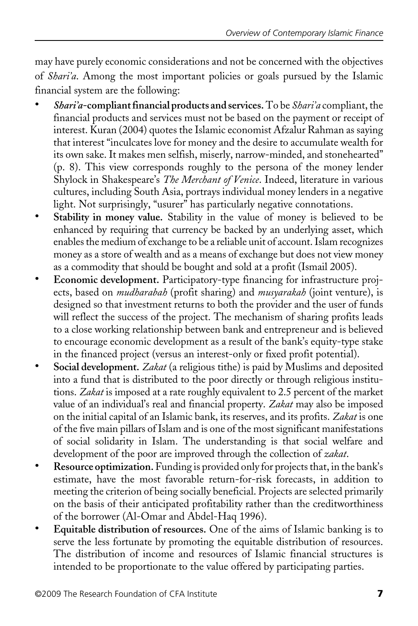may have purely economic considerations and not be concerned with the objectives of *Shari'a*. Among the most important policies or goals pursued by the Islamic financial system are the following:

- *Shari'a***-compliant financial products and services.** To be *Shari'a* compliant, the financial products and services must not be based on the payment or receipt of interest. Kuran (2004) quotes the Islamic economist Afzalur Rahman as saying that interest "inculcates love for money and the desire to accumulate wealth for its own sake. It makes men selfish, miserly, narrow-minded, and stonehearted" (p. 8). This view corresponds roughly to the persona of the money lender Shylock in Shakespeare's *The Merchant of Venice*. Indeed, literature in various cultures, including South Asia, portrays individual money lenders in a negative light. Not surprisingly, "usurer" has particularly negative connotations.
- **Stability in money value.** Stability in the value of money is believed to be enhanced by requiring that currency be backed by an underlying asset, which enables the medium of exchange to be a reliable unit of account. Islam recognizes money as a store of wealth and as a means of exchange but does not view money as a commodity that should be bought and sold at a profit (Ismail 2005).
- **Economic development.** Participatory-type financing for infrastructure projects, based on *mudharabah* (profit sharing) and *musyarakah* (joint venture), is designed so that investment returns to both the provider and the user of funds will reflect the success of the project. The mechanism of sharing profits leads to a close working relationship between bank and entrepreneur and is believed to encourage economic development as a result of the bank's equity-type stake in the financed project (versus an interest-only or fixed profit potential).
- **Social development.** *Zakat* (a religious tithe) is paid by Muslims and deposited into a fund that is distributed to the poor directly or through religious institutions. *Zakat* is imposed at a rate roughly equivalent to 2.5 percent of the market value of an individual's real and financial property. *Zakat* may also be imposed on the initial capital of an Islamic bank, its reserves, and its profits. *Zakat* is one of the five main pillars of Islam and is one of the most significant manifestations of social solidarity in Islam. The understanding is that social welfare and development of the poor are improved through the collection of *zakat*.
- **Resource optimization.** Funding is provided only for projects that, in the bank's estimate, have the most favorable return-for-risk forecasts, in addition to meeting the criterion of being socially beneficial. Projects are selected primarily on the basis of their anticipated profitability rather than the creditworthiness of the borrower (Al-Omar and Abdel-Haq 1996).
- **Equitable distribution of resources.** One of the aims of Islamic banking is to serve the less fortunate by promoting the equitable distribution of resources. The distribution of income and resources of Islamic financial structures is intended to be proportionate to the value offered by participating parties.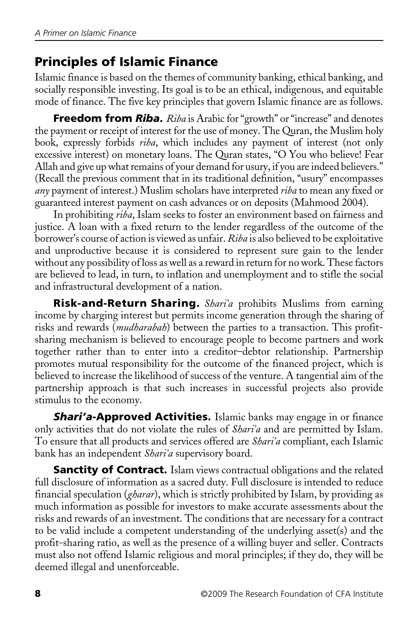# **Principles of Islamic Finance**

Islamic finance is based on the themes of community banking, ethical banking, and socially responsible investing. Its goal is to be an ethical, indigenous, and equitable mode of finance. The five key principles that govern Islamic finance are as follows.

**Freedom from** *Riba***.** *Riba* is Arabic for "growth" or "increase" and denotes the payment or receipt of interest for the use of money. The Quran, the Muslim holy book, expressly forbids *riba*, which includes any payment of interest (not only excessive interest) on monetary loans. The Quran states, "O You who believe! Fear Allah and give up what remains of your demand for usury, if you are indeed believers." (Recall the previous comment that in its traditional definition, "usury" encompasses *any* payment of interest.) Muslim scholars have interpreted *riba* to mean any fixed or guaranteed interest payment on cash advances or on deposits (Mahmood 2004).

In prohibiting *riba*, Islam seeks to foster an environment based on fairness and justice. A loan with a fixed return to the lender regardless of the outcome of the borrower's course of action is viewed as unfair. *Riba* is also believed to be exploitative and unproductive because it is considered to represent sure gain to the lender without any possibility of loss as well as a reward in return for no work. These factors are believed to lead, in turn, to inflation and unemployment and to stifle the social and infrastructural development of a nation.

**Risk-and-Return Sharing.** *Shari'a* prohibits Muslims from earning income by charging interest but permits income generation through the sharing of risks and rewards (*mudharabah*) between the parties to a transaction. This profitsharing mechanism is believed to encourage people to become partners and work together rather than to enter into a creditor–debtor relationship. Partnership promotes mutual responsibility for the outcome of the financed project, which is believed to increase the likelihood of success of the venture. A tangential aim of the partnership approach is that such increases in successful projects also provide stimulus to the economy.

*Shari'a***-Approved Activities.** Islamic banks may engage in or finance only activities that do not violate the rules of *Shari'a* and are permitted by Islam. To ensure that all products and services offered are *Shari'a* compliant, each Islamic bank has an independent *Shari'a* supervisory board.

**Sanctity of Contract.** Islam views contractual obligations and the related full disclosure of information as a sacred duty. Full disclosure is intended to reduce financial speculation (*gharar*), which is strictly prohibited by Islam, by providing as much information as possible for investors to make accurate assessments about the risks and rewards of an investment. The conditions that are necessary for a contract to be valid include a competent understanding of the underlying asset(s) and the profit-sharing ratio, as well as the presence of a willing buyer and seller. Contracts must also not offend Islamic religious and moral principles; if they do, they will be deemed illegal and unenforceable.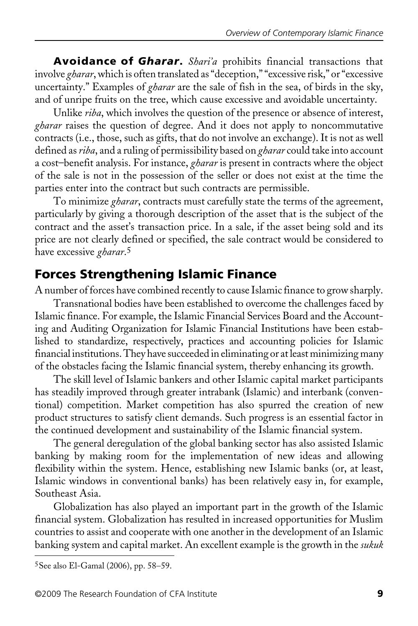**Avoidance of** *Gharar***.** *Shari'a* prohibits financial transactions that involve *gharar*, which is often translated as "deception," "excessive risk," or "excessive uncertainty." Examples of *gharar* are the sale of fish in the sea, of birds in the sky, and of unripe fruits on the tree, which cause excessive and avoidable uncertainty.

Unlike *riba*, which involves the question of the presence or absence of interest, *gharar* raises the question of degree. And it does not apply to noncommutative contracts (i.e., those, such as gifts, that do not involve an exchange). It is not as well defined as *riba*, and a ruling of permissibility based on *gharar* could take into account a cost–benefit analysis. For instance, *gharar* is present in contracts where the object of the sale is not in the possession of the seller or does not exist at the time the parties enter into the contract but such contracts are permissible.

To minimize *gharar*, contracts must carefully state the terms of the agreement, particularly by giving a thorough description of the asset that is the subject of the contract and the asset's transaction price. In a sale, if the asset being sold and its price are not clearly defined or specified, the sale contract would be considered to have excessive *gharar*.5

#### **Forces Strengthening Islamic Finance**

A number of forces have combined recently to cause Islamic finance to grow sharply.

Transnational bodies have been established to overcome the challenges faced by Islamic finance. For example, the Islamic Financial Services Board and the Accounting and Auditing Organization for Islamic Financial Institutions have been established to standardize, respectively, practices and accounting policies for Islamic financial institutions. They have succeeded in eliminating or at least minimizing many of the obstacles facing the Islamic financial system, thereby enhancing its growth.

The skill level of Islamic bankers and other Islamic capital market participants has steadily improved through greater intrabank (Islamic) and interbank (conventional) competition. Market competition has also spurred the creation of new product structures to satisfy client demands. Such progress is an essential factor in the continued development and sustainability of the Islamic financial system.

The general deregulation of the global banking sector has also assisted Islamic banking by making room for the implementation of new ideas and allowing flexibility within the system. Hence, establishing new Islamic banks (or, at least, Islamic windows in conventional banks) has been relatively easy in, for example, Southeast Asia.

Globalization has also played an important part in the growth of the Islamic financial system. Globalization has resulted in increased opportunities for Muslim countries to assist and cooperate with one another in the development of an Islamic banking system and capital market. An excellent example is the growth in the *sukuk*

<sup>5</sup>See also El-Gamal (2006), pp. 58-59.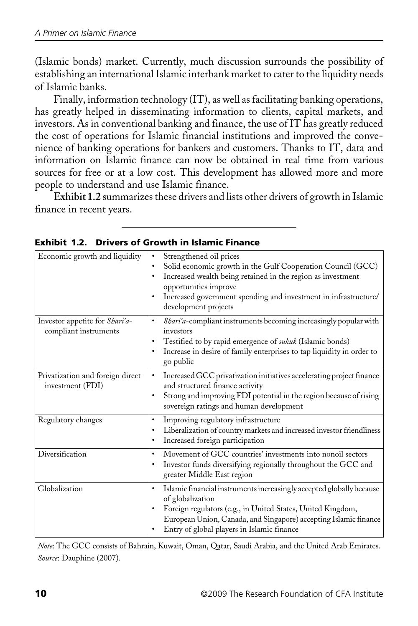(Islamic bonds) market. Currently, much discussion surrounds the possibility of establishing an international Islamic interbank market to cater to the liquidity needs of Islamic banks.

Finally, information technology (IT), as well as facilitating banking operations, has greatly helped in disseminating information to clients, capital markets, and investors. As in conventional banking and finance, the use of IT has greatly reduced the cost of operations for Islamic financial institutions and improved the convenience of banking operations for bankers and customers. Thanks to IT, data and information on Islamic finance can now be obtained in real time from various sources for free or at a low cost. This development has allowed more and more people to understand and use Islamic finance.

**Exhibit 1.2** summarizes these drivers and lists other drivers of growth in Islamic finance in recent years.

| Economic growth and liquidity                           | Strengthened oil prices<br>Solid economic growth in the Gulf Cooperation Council (GCC)<br>Increased wealth being retained in the region as investment<br>٠<br>opportunities improve<br>Increased government spending and investment in infrastructure/<br>development projects      |
|---------------------------------------------------------|-------------------------------------------------------------------------------------------------------------------------------------------------------------------------------------------------------------------------------------------------------------------------------------|
| Investor appetite for Shari'a-<br>compliant instruments | Shari'a-compliant instruments becoming increasingly popular with<br>$\bullet$<br>investors<br>Testified to by rapid emergence of <i>sukuk</i> (Islamic bonds)<br>٠<br>Increase in desire of family enterprises to tap liquidity in order to<br>٠<br>go public                       |
| Privatization and foreign direct<br>investment (FDI)    | Increased GCC privatization initiatives accelerating project finance<br>and structured finance activity<br>Strong and improving FDI potential in the region because of rising<br>٠<br>sovereign ratings and human development                                                       |
| Regulatory changes                                      | Improving regulatory infrastructure<br>٠<br>Liberalization of country markets and increased investor friendliness<br>٠<br>Increased foreign participation<br>٠                                                                                                                      |
| Diversification                                         | Movement of GCC countries' investments into nonoil sectors<br>٠<br>Investor funds diversifying regionally throughout the GCC and<br>٠<br>greater Middle East region                                                                                                                 |
| Globalization                                           | Islamic financial instruments increasingly accepted globally because<br>٠<br>of globalization<br>Foreign regulators (e.g., in United States, United Kingdom,<br>٠<br>European Union, Canada, and Singapore) accepting Islamic finance<br>Entry of global players in Islamic finance |

**Exhibit 1.2. Drivers of Growth in Islamic Finance**

*Note*: The GCC consists of Bahrain, Kuwait, Oman, Qatar, Saudi Arabia, and the United Arab Emirates. *Source*: Dauphine (2007).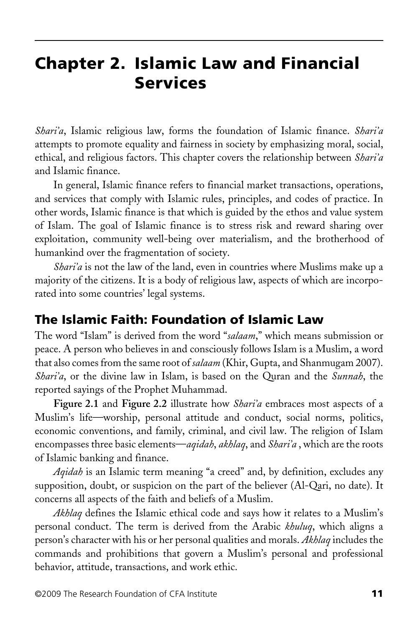# **Chapter 2. Islamic Law and Financial Services**

*Shari'a*, Islamic religious law, forms the foundation of Islamic finance. *Shari'a* attempts to promote equality and fairness in society by emphasizing moral, social, ethical, and religious factors. This chapter covers the relationship between *Shari'a* and Islamic finance.

In general, Islamic finance refers to financial market transactions, operations, and services that comply with Islamic rules, principles, and codes of practice. In other words, Islamic finance is that which is guided by the ethos and value system of Islam. The goal of Islamic finance is to stress risk and reward sharing over exploitation, community well-being over materialism, and the brotherhood of humankind over the fragmentation of society.

*Shari'a* is not the law of the land, even in countries where Muslims make up a majority of the citizens. It is a body of religious law, aspects of which are incorporated into some countries' legal systems.

### **The Islamic Faith: Foundation of Islamic Law**

The word "Islam" is derived from the word "*salaam*," which means submission or peace. A person who believes in and consciously follows Islam is a Muslim, a word that also comes from the same root of *salaam* (Khir, Gupta, and Shanmugam 2007). *Shari'a*, or the divine law in Islam, is based on the Quran and the *Sunnah*, the reported sayings of the Prophet Muhammad.

**Figure 2.1** and **Figure 2.2** illustrate how *Shari'a* embraces most aspects of a Muslim's life—worship, personal attitude and conduct, social norms, politics, economic conventions, and family, criminal, and civil law. The religion of Islam encompasses three basic elements—*aqidah*, *akhlaq*, and *Shari'a* , which are the roots of Islamic banking and finance.

*Aqidah* is an Islamic term meaning "a creed" and, by definition, excludes any supposition, doubt, or suspicion on the part of the believer (Al-Qari, no date). It concerns all aspects of the faith and beliefs of a Muslim.

*Akhlaq* defines the Islamic ethical code and says how it relates to a Muslim's personal conduct. The term is derived from the Arabic *khuluq*, which aligns a person's character with his or her personal qualities and morals. *Akhlaq* includes the commands and prohibitions that govern a Muslim's personal and professional behavior, attitude, transactions, and work ethic.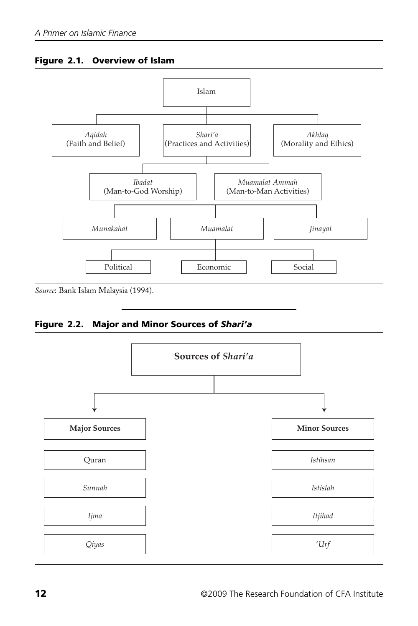



*Source*: Bank Islam Malaysia (1994).

**Figure 2.2. Major and Minor Sources of** *Shari'a*

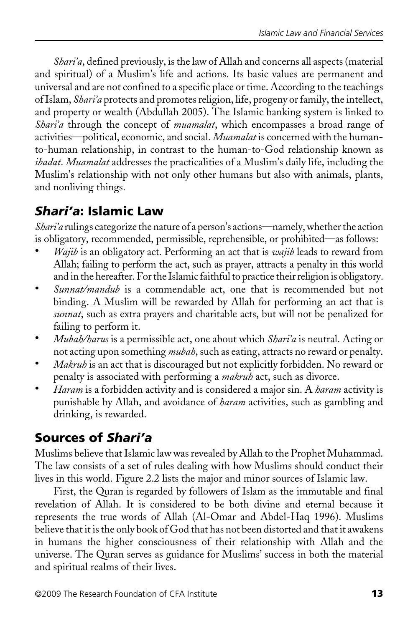*Shari'a*, defined previously, is the law of Allah and concerns all aspects (material and spiritual) of a Muslim's life and actions. Its basic values are permanent and universal and are not confined to a specific place or time. According to the teachings of Islam, *Shari'a* protects and promotes religion, life, progeny or family, the intellect, and property or wealth (Abdullah 2005). The Islamic banking system is linked to *Shari'a* through the concept of *muamalat*, which encompasses a broad range of activities—political, economic, and social. *Muamalat* is concerned with the humanto-human relationship, in contrast to the human-to-God relationship known as *ibadat*. *Muamalat* addresses the practicalities of a Muslim's daily life, including the Muslim's relationship with not only other humans but also with animals, plants, and nonliving things.

# *Shari'a***: Islamic Law**

*Shari'a* rulings categorize the nature of a person's actions—namely, whether the action is obligatory, recommended, permissible, reprehensible, or prohibited—as follows:

- *Wajib* is an obligatory act. Performing an act that is *wajib* leads to reward from Allah; failing to perform the act, such as prayer, attracts a penalty in this world and in the hereafter. For the Islamic faithful to practice their religion is obligatory.
- *Sunnat/mandub* is a commendable act, one that is recommended but not binding. A Muslim will be rewarded by Allah for performing an act that is *sunnat*, such as extra prayers and charitable acts, but will not be penalized for failing to perform it.
- *Mubah/harus* is a permissible act, one about which *Shari'a* is neutral. Acting or not acting upon something *mubah*, such as eating, attracts no reward or penalty.
- *Makruh* is an act that is discouraged but not explicitly forbidden. No reward or penalty is associated with performing a *makruh* act, such as divorce.
- *Haram* is a forbidden activity and is considered a major sin. A *haram* activity is punishable by Allah, and avoidance of *haram* activities, such as gambling and drinking, is rewarded.

# **Sources of** *Shari'a*

Muslims believe that Islamic law was revealed by Allah to the Prophet Muhammad. The law consists of a set of rules dealing with how Muslims should conduct their lives in this world. Figure 2.2 lists the major and minor sources of Islamic law.

First, the Quran is regarded by followers of Islam as the immutable and final revelation of Allah. It is considered to be both divine and eternal because it represents the true words of Allah (Al-Omar and Abdel-Haq 1996). Muslims believe that it is the only book of God that has not been distorted and that it awakens in humans the higher consciousness of their relationship with Allah and the universe. The Quran serves as guidance for Muslims' success in both the material and spiritual realms of their lives.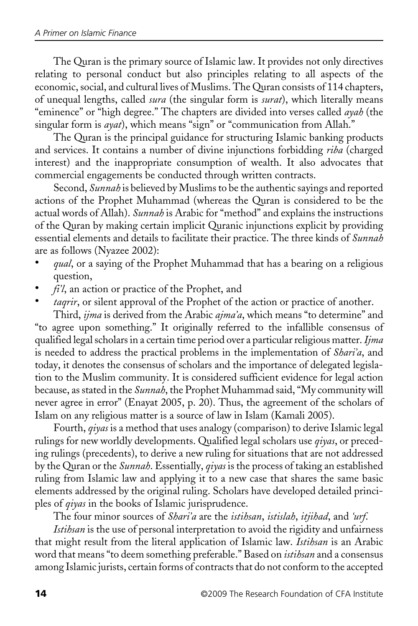The Quran is the primary source of Islamic law. It provides not only directives relating to personal conduct but also principles relating to all aspects of the economic, social, and cultural lives of Muslims. The Quran consists of 114 chapters, of unequal lengths, called *sura* (the singular form is *surat*), which literally means "eminence" or "high degree." The chapters are divided into verses called *ayah* (the singular form is *ayat*), which means "sign" or "communication from Allah."

The Quran is the principal guidance for structuring Islamic banking products and services. It contains a number of divine injunctions forbidding *riba* (charged interest) and the inappropriate consumption of wealth. It also advocates that commercial engagements be conducted through written contracts.

Second, *Sunnah* is believed by Muslims to be the authentic sayings and reported actions of the Prophet Muhammad (whereas the Quran is considered to be the actual words of Allah). *Sunnah* is Arabic for "method" and explains the instructions of the Quran by making certain implicit Quranic injunctions explicit by providing essential elements and details to facilitate their practice. The three kinds of *Sunnah* are as follows (Nyazee 2002):

- *qual*, or a saying of the Prophet Muhammad that has a bearing on a religious question,
- *fi'l*, an action or practice of the Prophet, and
- *taqrir*, or silent approval of the Prophet of the action or practice of another.

Third, *ijma* is derived from the Arabic *ajma'a*, which means "to determine" and "to agree upon something." It originally referred to the infallible consensus of qualified legal scholars in a certain time period over a particular religious matter. *Ijma* is needed to address the practical problems in the implementation of *Shari'a*, and today, it denotes the consensus of scholars and the importance of delegated legislation to the Muslim community. It is considered sufficient evidence for legal action because, as stated in the *Sunnah*, the Prophet Muhammad said, "My community will never agree in error" (Enayat 2005, p. 20). Thus, the agreement of the scholars of Islam on any religious matter is a source of law in Islam (Kamali 2005).

Fourth, *qiyas* is a method that uses analogy (comparison) to derive Islamic legal rulings for new worldly developments. Qualified legal scholars use *qiyas*, or preceding rulings (precedents), to derive a new ruling for situations that are not addressed by the Quran or the *Sunnah*. Essentially, *qiyas* is the process of taking an established ruling from Islamic law and applying it to a new case that shares the same basic elements addressed by the original ruling. Scholars have developed detailed principles of *qiyas* in the books of Islamic jurisprudence.

The four minor sources of *Shari'a* are the *istihsan*, *istislah*, *itjihad*, and *'urf*.

*Istihsan* is the use of personal interpretation to avoid the rigidity and unfairness that might result from the literal application of Islamic law. *Istihsan* is an Arabic word that means "to deem something preferable." Based on *istihsan* and a consensus among Islamic jurists, certain forms of contracts that do not conform to the accepted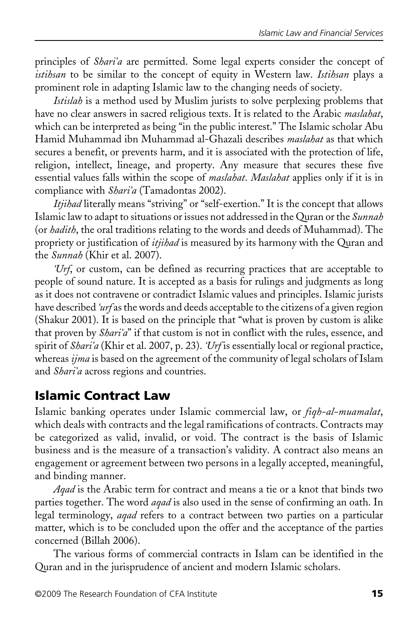principles of *Shari'a* are permitted. Some legal experts consider the concept of *istihsan* to be similar to the concept of equity in Western law. *Istihsan* plays a prominent role in adapting Islamic law to the changing needs of society.

*Istislah* is a method used by Muslim jurists to solve perplexing problems that have no clear answers in sacred religious texts. It is related to the Arabic *maslahat*, which can be interpreted as being "in the public interest." The Islamic scholar Abu Hamid Muhammad ibn Muhammad al-Ghazali describes *maslahat* as that which secures a benefit, or prevents harm, and it is associated with the protection of life, religion, intellect, lineage, and property. Any measure that secures these five essential values falls within the scope of *maslahat*. *Maslahat* applies only if it is in compliance with *Shari'a* (Tamadontas 2002).

*Itjihad* literally means "striving" or "self-exertion." It is the concept that allows Islamic law to adapt to situations or issues not addressed in the Quran or the *Sunnah* (or *hadith*, the oral traditions relating to the words and deeds of Muhammad). The propriety or justification of *itjihad* is measured by its harmony with the Quran and the *Sunnah* (Khir et al. 2007).

*'Urf*, or custom, can be defined as recurring practices that are acceptable to people of sound nature. It is accepted as a basis for rulings and judgments as long as it does not contravene or contradict Islamic values and principles. Islamic jurists have described *'urf* as the words and deeds acceptable to the citizens of a given region (Shakur 2001). It is based on the principle that "what is proven by custom is alike that proven by *Shari'a*" if that custom is not in conflict with the rules, essence, and spirit of *Shari'a* (Khir et al. 2007, p. 23). *'Urf* is essentially local or regional practice, whereas *ijma* is based on the agreement of the community of legal scholars of Islam and *Shari'a* across regions and countries.

## **Islamic Contract Law**

Islamic banking operates under Islamic commercial law, or *fiqh-al-muamalat*, which deals with contracts and the legal ramifications of contracts. Contracts may be categorized as valid, invalid, or void. The contract is the basis of Islamic business and is the measure of a transaction's validity. A contract also means an engagement or agreement between two persons in a legally accepted, meaningful, and binding manner.

*Aqad* is the Arabic term for contract and means a tie or a knot that binds two parties together. The word *aqad* is also used in the sense of confirming an oath. In legal terminology, *aqad* refers to a contract between two parties on a particular matter, which is to be concluded upon the offer and the acceptance of the parties concerned (Billah 2006).

The various forms of commercial contracts in Islam can be identified in the Quran and in the jurisprudence of ancient and modern Islamic scholars.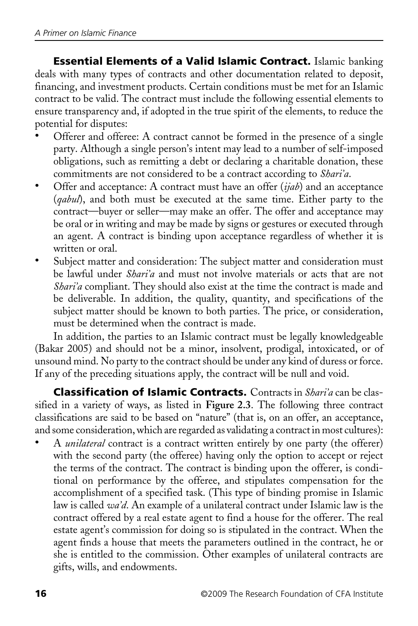**Essential Elements of a Valid Islamic Contract.** Islamic banking deals with many types of contracts and other documentation related to deposit, financing, and investment products. Certain conditions must be met for an Islamic contract to be valid. The contract must include the following essential elements to ensure transparency and, if adopted in the true spirit of the elements, to reduce the potential for disputes:

- Offerer and offeree: A contract cannot be formed in the presence of a single party. Although a single person's intent may lead to a number of self-imposed obligations, such as remitting a debt or declaring a charitable donation, these commitments are not considered to be a contract according to *Shari'a*.
- Offer and acceptance: A contract must have an offer (*ijab*) and an acceptance (*qabul*), and both must be executed at the same time. Either party to the contract—buyer or seller—may make an offer. The offer and acceptance may be oral or in writing and may be made by signs or gestures or executed through an agent. A contract is binding upon acceptance regardless of whether it is written or oral.
- Subject matter and consideration: The subject matter and consideration must be lawful under *Shari'a* and must not involve materials or acts that are not *Shari'a* compliant. They should also exist at the time the contract is made and be deliverable. In addition, the quality, quantity, and specifications of the subject matter should be known to both parties. The price, or consideration, must be determined when the contract is made.

In addition, the parties to an Islamic contract must be legally knowledgeable (Bakar 2005) and should not be a minor, insolvent, prodigal, intoxicated, or of unsound mind. No party to the contract should be under any kind of duress or force. If any of the preceding situations apply, the contract will be null and void.

**Classification of Islamic Contracts.** Contracts in *Shari'a* can be classified in a variety of ways, as listed in **Figure 2.3**. The following three contract classifications are said to be based on "nature" (that is, on an offer, an acceptance, and some consideration, which are regarded as validating a contract in most cultures):

• A *unilateral* contract is a contract written entirely by one party (the offerer) with the second party (the offeree) having only the option to accept or reject the terms of the contract. The contract is binding upon the offerer, is conditional on performance by the offeree, and stipulates compensation for the accomplishment of a specified task. (This type of binding promise in Islamic law is called *wa'd*. An example of a unilateral contract under Islamic law is the contract offered by a real estate agent to find a house for the offerer. The real estate agent's commission for doing so is stipulated in the contract. When the agent finds a house that meets the parameters outlined in the contract, he or she is entitled to the commission. Other examples of unilateral contracts are gifts, wills, and endowments.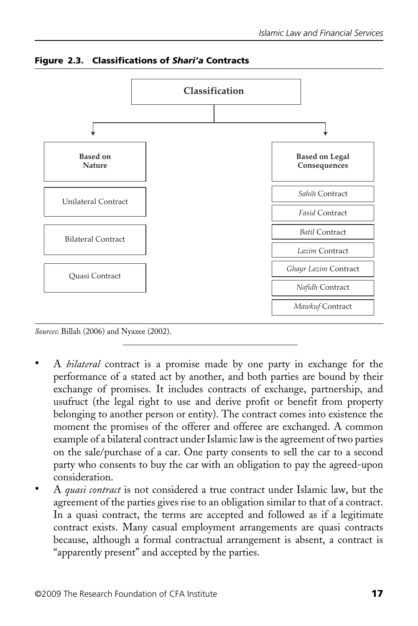

**Figure 2.3. Classifications of** *Shari'a* **Contracts**

*Sources*: Billah (2006) and Nyazee (2002).

- A *bilateral* contract is a promise made by one party in exchange for the performance of a stated act by another, and both parties are bound by their exchange of promises. It includes contracts of exchange, partnership, and usufruct (the legal right to use and derive profit or benefit from property belonging to another person or entity). The contract comes into existence the moment the promises of the offerer and offeree are exchanged. A common example of a bilateral contract under Islamic law is the agreement of two parties on the sale/purchase of a car. One party consents to sell the car to a second party who consents to buy the car with an obligation to pay the agreed-upon consideration.
- A *quasi contract* is not considered a true contract under Islamic law, but the agreement of the parties gives rise to an obligation similar to that of a contract. In a quasi contract, the terms are accepted and followed as if a legitimate contract exists. Many casual employment arrangements are quasi contracts because, although a formal contractual arrangement is absent, a contract is "apparently present" and accepted by the parties.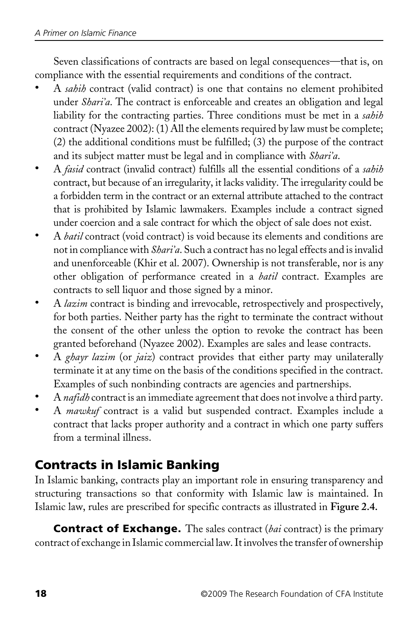Seven classifications of contracts are based on legal consequences—that is, on compliance with the essential requirements and conditions of the contract.

- A *sahih* contract (valid contract) is one that contains no element prohibited under *Shari'a*. The contract is enforceable and creates an obligation and legal liability for the contracting parties. Three conditions must be met in a *sahih* contract (Nyazee 2002): (1) All the elements required by law must be complete; (2) the additional conditions must be fulfilled; (3) the purpose of the contract and its subject matter must be legal and in compliance with *Shari'a*.
- A *fasid* contract (invalid contract) fulfills all the essential conditions of a *sahih* contract, but because of an irregularity, it lacks validity. The irregularity could be a forbidden term in the contract or an external attribute attached to the contract that is prohibited by Islamic lawmakers. Examples include a contract signed under coercion and a sale contract for which the object of sale does not exist.
- A *batil* contract (void contract) is void because its elements and conditions are not in compliance with *Shari'a*. Such a contract has no legal effects and is invalid and unenforceable (Khir et al. 2007). Ownership is not transferable, nor is any other obligation of performance created in a *batil* contract. Examples are contracts to sell liquor and those signed by a minor.
- A *lazim* contract is binding and irrevocable, retrospectively and prospectively, for both parties. Neither party has the right to terminate the contract without the consent of the other unless the option to revoke the contract has been granted beforehand (Nyazee 2002). Examples are sales and lease contracts.
- A *ghayr lazim* (or *jaiz*) contract provides that either party may unilaterally terminate it at any time on the basis of the conditions specified in the contract. Examples of such nonbinding contracts are agencies and partnerships.
- A *nafidh* contract is an immediate agreement that does not involve a third party.
- A *mawkuf* contract is a valid but suspended contract. Examples include a contract that lacks proper authority and a contract in which one party suffers from a terminal illness.

# **Contracts in Islamic Banking**

In Islamic banking, contracts play an important role in ensuring transparency and structuring transactions so that conformity with Islamic law is maintained. In Islamic law, rules are prescribed for specific contracts as illustrated in **Figure 2.4.**

**Contract of Exchange.** The sales contract (*bai* contract) is the primary contract of exchange in Islamic commercial law. It involves the transfer of ownership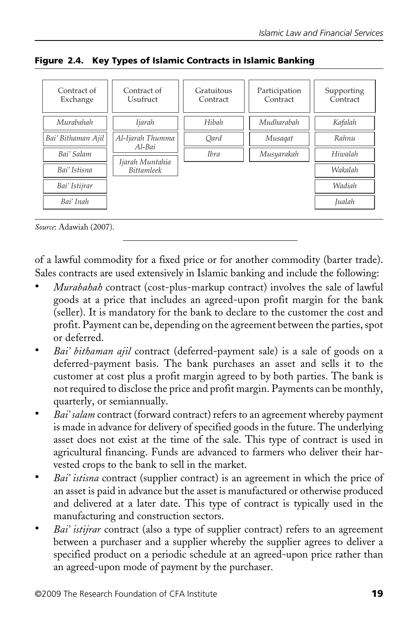| Contract of<br>Exchange | Contract of<br>Usufruct                        | Gratuitous<br>Contract | Participation<br>Contract | Supporting<br>Contract |
|-------------------------|------------------------------------------------|------------------------|---------------------------|------------------------|
| Murabahah               | Ijarah                                         | Hibah                  | Mudharabah                | Kafalah                |
| Bai' Bithaman Ajil      | Al-Ijarah Thumma                               | Oard                   | Musagat                   | Rahnu                  |
| Bai' Salam              | Al-Bai<br>Ijarah Muntahia<br><b>Bittamleek</b> | Ibra                   | Musyarakah                | Hiwalah                |
| Bai' Istisna            |                                                |                        |                           | Wakalah                |
| Bai' Istijrar           |                                                |                        |                           | Wadiah                 |
| Bai' Inah               |                                                |                        |                           | Jualah                 |

**Figure 2.4. Key Types of Islamic Contracts in Islamic Banking**

*Source*: Adawiah (2007).

of a lawful commodity for a fixed price or for another commodity (barter trade). Sales contracts are used extensively in Islamic banking and include the following:

- *Murabahah* contract (cost-plus-markup contract) involves the sale of lawful goods at a price that includes an agreed-upon profit margin for the bank (seller). It is mandatory for the bank to declare to the customer the cost and profit. Payment can be, depending on the agreement between the parties, spot or deferred.
- *Bai' bithaman ajil* contract (deferred-payment sale) is a sale of goods on a deferred-payment basis. The bank purchases an asset and sells it to the customer at cost plus a profit margin agreed to by both parties. The bank is not required to disclose the price and profit margin. Payments can be monthly, quarterly, or semiannually.
- *Bai' salam* contract (forward contract) refers to an agreement whereby payment is made in advance for delivery of specified goods in the future. The underlying asset does not exist at the time of the sale. This type of contract is used in agricultural financing. Funds are advanced to farmers who deliver their harvested crops to the bank to sell in the market.
- *Bai' istisna* contract (supplier contract) is an agreement in which the price of an asset is paid in advance but the asset is manufactured or otherwise produced and delivered at a later date. This type of contract is typically used in the manufacturing and construction sectors.
- *Bai' istijrar* contract (also a type of supplier contract) refers to an agreement between a purchaser and a supplier whereby the supplier agrees to deliver a specified product on a periodic schedule at an agreed-upon price rather than an agreed-upon mode of payment by the purchaser.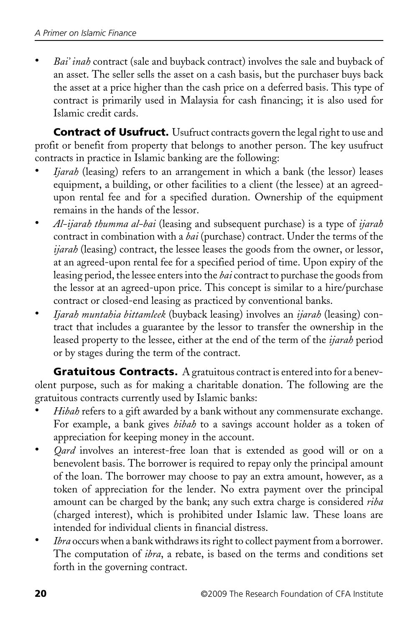• *Bai' inah* contract (sale and buyback contract) involves the sale and buyback of an asset. The seller sells the asset on a cash basis, but the purchaser buys back the asset at a price higher than the cash price on a deferred basis. This type of contract is primarily used in Malaysia for cash financing; it is also used for Islamic credit cards.

**Contract of Usufruct.** Usufruct contracts govern the legal right to use and profit or benefit from property that belongs to another person. The key usufruct contracts in practice in Islamic banking are the following:

- *Ijarah* (leasing) refers to an arrangement in which a bank (the lessor) leases equipment, a building, or other facilities to a client (the lessee) at an agreedupon rental fee and for a specified duration. Ownership of the equipment remains in the hands of the lessor.
- *Al-ijarah thumma al-bai* (leasing and subsequent purchase) is a type of *ijarah* contract in combination with a *bai* (purchase) contract. Under the terms of the *ijarah* (leasing) contract, the lessee leases the goods from the owner, or lessor, at an agreed-upon rental fee for a specified period of time. Upon expiry of the leasing period, the lessee enters into the *bai* contract to purchase the goods from the lessor at an agreed-upon price. This concept is similar to a hire/purchase contract or closed-end leasing as practiced by conventional banks.
- *Ijarah muntahia bittamleek* (buyback leasing) involves an *ijarah* (leasing) contract that includes a guarantee by the lessor to transfer the ownership in the leased property to the lessee, either at the end of the term of the *ijarah* period or by stages during the term of the contract.

**Gratuitous Contracts.** A gratuitous contract is entered into for a benevolent purpose, such as for making a charitable donation. The following are the gratuitous contracts currently used by Islamic banks:

- *Hibah* refers to a gift awarded by a bank without any commensurate exchange. For example, a bank gives *hibah* to a savings account holder as a token of appreciation for keeping money in the account.
- *Qard* involves an interest-free loan that is extended as good will or on a benevolent basis. The borrower is required to repay only the principal amount of the loan. The borrower may choose to pay an extra amount, however, as a token of appreciation for the lender. No extra payment over the principal amount can be charged by the bank; any such extra charge is considered *riba* (charged interest), which is prohibited under Islamic law. These loans are intended for individual clients in financial distress.
- *Ibra* occurs when a bank withdraws its right to collect payment from a borrower. The computation of *ibra*, a rebate, is based on the terms and conditions set forth in the governing contract.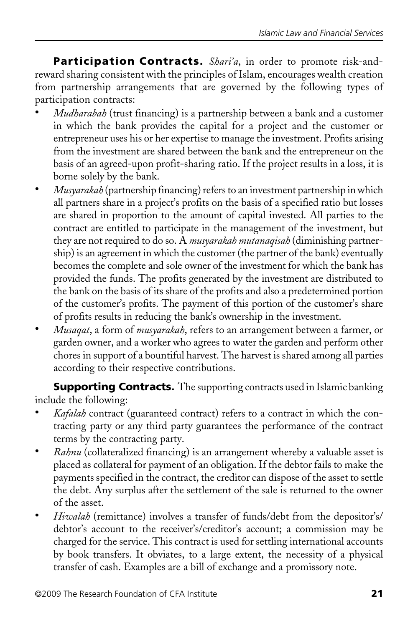**Participation Contracts.** *Shari'a*, in order to promote risk-andreward sharing consistent with the principles of Islam, encourages wealth creation from partnership arrangements that are governed by the following types of participation contracts:

- *Mudharabah* (trust financing) is a partnership between a bank and a customer in which the bank provides the capital for a project and the customer or entrepreneur uses his or her expertise to manage the investment. Profits arising from the investment are shared between the bank and the entrepreneur on the basis of an agreed-upon profit-sharing ratio. If the project results in a loss, it is borne solely by the bank.
- *Musyarakah* (partnership financing) refers to an investment partnership in which all partners share in a project's profits on the basis of a specified ratio but losses are shared in proportion to the amount of capital invested. All parties to the contract are entitled to participate in the management of the investment, but they are not required to do so. A *musyarakah mutanaqisah* (diminishing partnership) is an agreement in which the customer (the partner of the bank) eventually becomes the complete and sole owner of the investment for which the bank has provided the funds. The profits generated by the investment are distributed to the bank on the basis of its share of the profits and also a predetermined portion of the customer's profits. The payment of this portion of the customer's share of profits results in reducing the bank's ownership in the investment.
- *Musaqat*, a form of *musyarakah*, refers to an arrangement between a farmer, or garden owner, and a worker who agrees to water the garden and perform other chores in support of a bountiful harvest. The harvest is shared among all parties according to their respective contributions.

**Supporting Contracts.** The supporting contracts used in Islamic banking include the following:

- *Kafalah* contract (guaranteed contract) refers to a contract in which the contracting party or any third party guarantees the performance of the contract terms by the contracting party.
- *Rahnu* (collateralized financing) is an arrangement whereby a valuable asset is placed as collateral for payment of an obligation. If the debtor fails to make the payments specified in the contract, the creditor can dispose of the asset to settle the debt. Any surplus after the settlement of the sale is returned to the owner of the asset.
- *Hiwalah* (remittance) involves a transfer of funds/debt from the depositor's/ debtor's account to the receiver's/creditor's account; a commission may be charged for the service. This contract is used for settling international accounts by book transfers. It obviates, to a large extent, the necessity of a physical transfer of cash. Examples are a bill of exchange and a promissory note.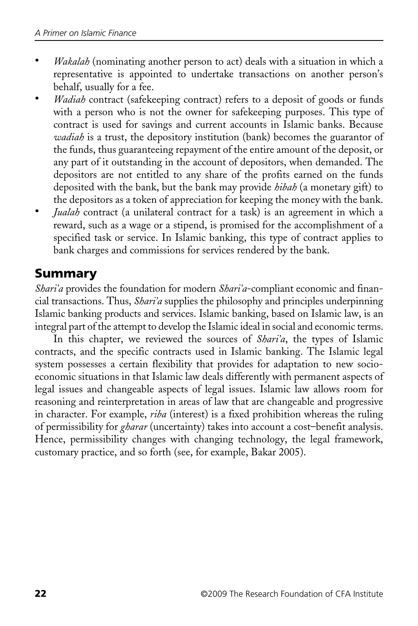- *Wakalah* (nominating another person to act) deals with a situation in which a representative is appointed to undertake transactions on another person's behalf, usually for a fee.
- *Wadiah* contract (safekeeping contract) refers to a deposit of goods or funds with a person who is not the owner for safekeeping purposes. This type of contract is used for savings and current accounts in Islamic banks. Because *wadiah* is a trust, the depository institution (bank) becomes the guarantor of the funds, thus guaranteeing repayment of the entire amount of the deposit, or any part of it outstanding in the account of depositors, when demanded. The depositors are not entitled to any share of the profits earned on the funds deposited with the bank, but the bank may provide *hibah* (a monetary gift) to the depositors as a token of appreciation for keeping the money with the bank.
- *Jualah* contract (a unilateral contract for a task) is an agreement in which a reward, such as a wage or a stipend, is promised for the accomplishment of a specified task or service. In Islamic banking, this type of contract applies to bank charges and commissions for services rendered by the bank.

#### **Summary**

*Shari'a* provides the foundation for modern *Shari'a*-compliant economic and financial transactions. Thus, *Shari'a* supplies the philosophy and principles underpinning Islamic banking products and services. Islamic banking, based on Islamic law, is an integral part of the attempt to develop the Islamic ideal in social and economic terms.

In this chapter, we reviewed the sources of *Shari'a*, the types of Islamic contracts, and the specific contracts used in Islamic banking. The Islamic legal system possesses a certain flexibility that provides for adaptation to new socioeconomic situations in that Islamic law deals differently with permanent aspects of legal issues and changeable aspects of legal issues. Islamic law allows room for reasoning and reinterpretation in areas of law that are changeable and progressive in character. For example, *riba* (interest) is a fixed prohibition whereas the ruling of permissibility for *gharar* (uncertainty) takes into account a cost–benefit analysis. Hence, permissibility changes with changing technology, the legal framework, customary practice, and so forth (see, for example, Bakar 2005).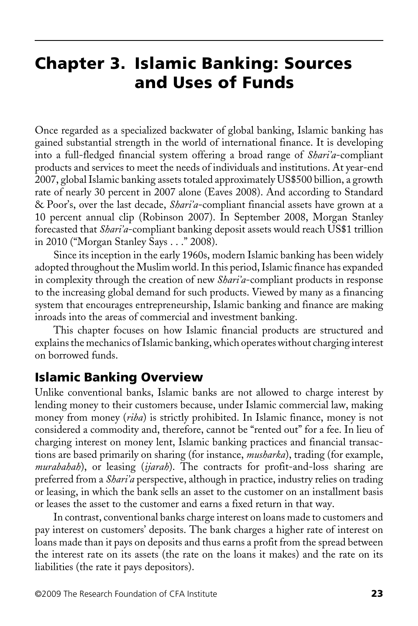# **Chapter 3. Islamic Banking: Sources and Uses of Funds**

Once regarded as a specialized backwater of global banking, Islamic banking has gained substantial strength in the world of international finance. It is developing into a full-fledged financial system offering a broad range of *Shari'a*-compliant products and services to meet the needs of individuals and institutions. At year-end 2007, global Islamic banking assets totaled approximately US\$500 billion, a growth rate of nearly 30 percent in 2007 alone (Eaves 2008). And according to Standard & Poor's, over the last decade, *Shari'a*-compliant financial assets have grown at a 10 percent annual clip (Robinson 2007). In September 2008, Morgan Stanley forecasted that *Shari'a*-compliant banking deposit assets would reach US\$1 trillion in 2010 ("Morgan Stanley Says . . ." 2008).

Since its inception in the early 1960s, modern Islamic banking has been widely adopted throughout the Muslim world. In this period, Islamic finance has expanded in complexity through the creation of new *Shari'a*-compliant products in response to the increasing global demand for such products. Viewed by many as a financing system that encourages entrepreneurship, Islamic banking and finance are making inroads into the areas of commercial and investment banking.

This chapter focuses on how Islamic financial products are structured and explains the mechanics of Islamic banking, which operates without charging interest on borrowed funds.

#### **Islamic Banking Overview**

Unlike conventional banks, Islamic banks are not allowed to charge interest by lending money to their customers because, under Islamic commercial law, making money from money (*riba*) is strictly prohibited. In Islamic finance, money is not considered a commodity and, therefore, cannot be "rented out" for a fee. In lieu of charging interest on money lent, Islamic banking practices and financial transactions are based primarily on sharing (for instance, *musharka*), trading (for example, *murabahah*), or leasing (*ijarah*). The contracts for profit-and-loss sharing are preferred from a *Shari'a* perspective, although in practice, industry relies on trading or leasing, in which the bank sells an asset to the customer on an installment basis or leases the asset to the customer and earns a fixed return in that way.

In contrast, conventional banks charge interest on loans made to customers and pay interest on customers' deposits. The bank charges a higher rate of interest on loans made than it pays on deposits and thus earns a profit from the spread between the interest rate on its assets (the rate on the loans it makes) and the rate on its liabilities (the rate it pays depositors).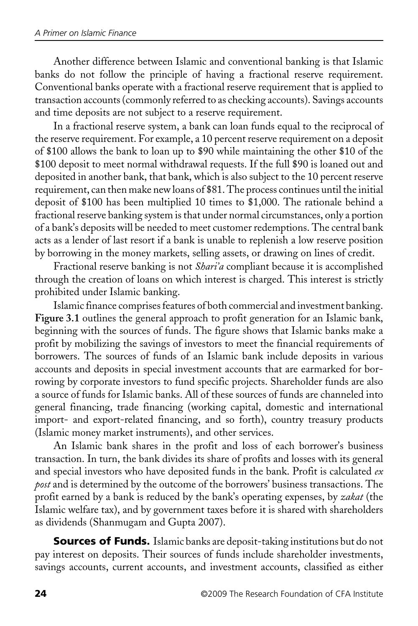Another difference between Islamic and conventional banking is that Islamic banks do not follow the principle of having a fractional reserve requirement. Conventional banks operate with a fractional reserve requirement that is applied to transaction accounts (commonly referred to as checking accounts). Savings accounts and time deposits are not subject to a reserve requirement.

In a fractional reserve system, a bank can loan funds equal to the reciprocal of the reserve requirement. For example, a 10 percent reserve requirement on a deposit of \$100 allows the bank to loan up to \$90 while maintaining the other \$10 of the \$100 deposit to meet normal withdrawal requests. If the full \$90 is loaned out and deposited in another bank, that bank, which is also subject to the 10 percent reserve requirement, can then make new loans of \$81. The process continues until the initial deposit of \$100 has been multiplied 10 times to \$1,000. The rationale behind a fractional reserve banking system is that under normal circumstances, only a portion of a bank's deposits will be needed to meet customer redemptions. The central bank acts as a lender of last resort if a bank is unable to replenish a low reserve position by borrowing in the money markets, selling assets, or drawing on lines of credit.

Fractional reserve banking is not *Shari'a* compliant because it is accomplished through the creation of loans on which interest is charged. This interest is strictly prohibited under Islamic banking.

Islamic finance comprises features of both commercial and investment banking. **Figure 3.1** outlines the general approach to profit generation for an Islamic bank, beginning with the sources of funds. The figure shows that Islamic banks make a profit by mobilizing the savings of investors to meet the financial requirements of borrowers. The sources of funds of an Islamic bank include deposits in various accounts and deposits in special investment accounts that are earmarked for borrowing by corporate investors to fund specific projects. Shareholder funds are also a source of funds for Islamic banks. All of these sources of funds are channeled into general financing, trade financing (working capital, domestic and international import- and export-related financing, and so forth), country treasury products (Islamic money market instruments), and other services.

An Islamic bank shares in the profit and loss of each borrower's business transaction. In turn, the bank divides its share of profits and losses with its general and special investors who have deposited funds in the bank. Profit is calculated *ex post* and is determined by the outcome of the borrowers' business transactions. The profit earned by a bank is reduced by the bank's operating expenses, by *zakat* (the Islamic welfare tax), and by government taxes before it is shared with shareholders as dividends (Shanmugam and Gupta 2007).

**Sources of Funds.** Islamic banks are deposit-taking institutions but do not pay interest on deposits. Their sources of funds include shareholder investments, savings accounts, current accounts, and investment accounts, classified as either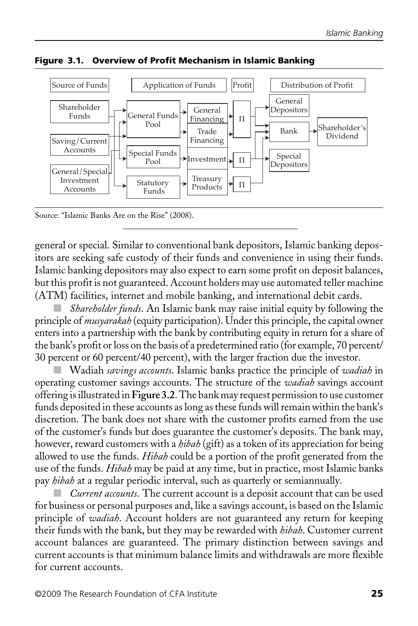

**Figure 3.1. Overview of Profit Mechanism in Islamic Banking** 

Source: "Islamic Banks Are on the Rise" (2008).

general or special. Similar to conventional bank depositors, Islamic banking depositors are seeking safe custody of their funds and convenience in using their funds. Islamic banking depositors may also expect to earn some profit on deposit balances, but this profit is not guaranteed. Account holders may use automated teller machine (ATM) facilities, internet and mobile banking, and international debit cards.

*Shareholder funds*. An Islamic bank may raise initial equity by following the principle of *musyarakah* (equity participation). Under this principle, the capital owner enters into a partnership with the bank by contributing equity in return for a share of the bank's profit or loss on the basis of a predetermined ratio (for example, 70 percent/ 30 percent or 60 percent/40 percent), with the larger fraction due the investor.

■ Wadiah *savings accounts*. Islamic banks practice the principle of *wadiah* in operating customer savings accounts. The structure of the *wadiah* savings account offering is illustrated in **Figure 3.2**. The bank may request permission to use customer funds deposited in these accounts as long as these funds will remain within the bank's discretion. The bank does not share with the customer profits earned from the use of the customer's funds but does guarantee the customer's deposits. The bank may, however, reward customers with a *hibah* (gift) as a token of its appreciation for being allowed to use the funds. *Hibah* could be a portion of the profit generated from the use of the funds. *Hibah* may be paid at any time, but in practice, most Islamic banks pay *hibah* at a regular periodic interval, such as quarterly or semiannually.

*Current accounts*. The current account is a deposit account that can be used for business or personal purposes and, like a savings account, is based on the Islamic principle of *wadiah*. Account holders are not guaranteed any return for keeping their funds with the bank, but they may be rewarded with *hibah*. Customer current account balances are guaranteed. The primary distinction between savings and current accounts is that minimum balance limits and withdrawals are more flexible for current accounts.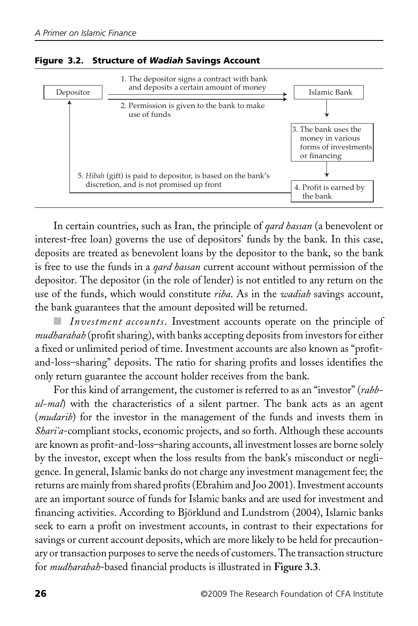| Depositor | 1. The depositor signs a contract with bank<br>and deposits a certain amount of money                           | Islamic Bank                                                                     |
|-----------|-----------------------------------------------------------------------------------------------------------------|----------------------------------------------------------------------------------|
|           | 2. Permission is given to the bank to make<br>use of funds                                                      |                                                                                  |
|           |                                                                                                                 | 3. The bank uses the<br>money in various<br>forms of investments<br>or financing |
|           | 5. <i>Hibah</i> (gift) is paid to depositor, is based on the bank's<br>discretion, and is not promised up front | 4. Profit is earned by<br>the bank                                               |

**Figure 3.2. Structure of** *Wadiah* **Savings Account**

In certain countries, such as Iran, the principle of *qard hassan* (a benevolent or interest-free loan) governs the use of depositors' funds by the bank. In this case, deposits are treated as benevolent loans by the depositor to the bank, so the bank is free to use the funds in a *qard hassan* current account without permission of the depositor. The depositor (in the role of lender) is not entitled to any return on the use of the funds, which would constitute *riba*. As in the *wadiah* savings account, the bank guarantees that the amount deposited will be returned.

Investment accounts. Investment accounts operate on the principle of *mudharabah* (profit sharing), with banks accepting deposits from investors for either a fixed or unlimited period of time. Investment accounts are also known as "profitand-loss–sharing" deposits. The ratio for sharing profits and losses identifies the only return guarantee the account holder receives from the bank.

For this kind of arrangement, the customer is referred to as an "investor" (*rabbul-mal*) with the characteristics of a silent partner. The bank acts as an agent (*mudarib*) for the investor in the management of the funds and invests them in *Shari'a*-compliant stocks, economic projects, and so forth. Although these accounts are known as profit-and-loss–sharing accounts, all investment losses are borne solely by the investor, except when the loss results from the bank's misconduct or negligence. In general, Islamic banks do not charge any investment management fee; the returns are mainly from shared profits (Ebrahim and Joo 2001). Investment accounts are an important source of funds for Islamic banks and are used for investment and financing activities. According to Björklund and Lundstrom (2004), Islamic banks seek to earn a profit on investment accounts, in contrast to their expectations for savings or current account deposits, which are more likely to be held for precautionary or transaction purposes to serve the needs of customers. The transaction structure for *mudharabah*-based financial products is illustrated in **Figure 3.3**.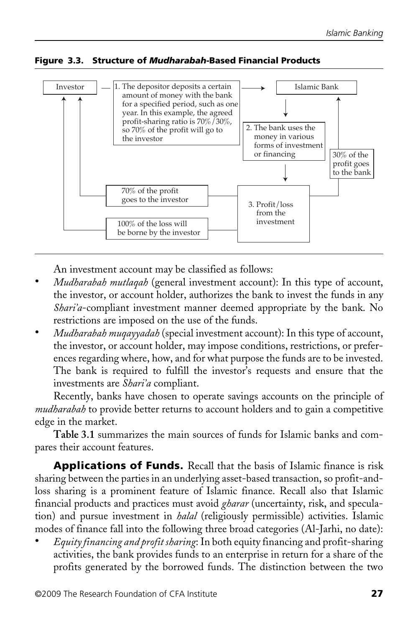**Figure 3.3. Structure of** *Mudharabah***-Based Financial Products**



An investment account may be classified as follows:

- *Mudharabah mutlaqah* (general investment account): In this type of account, the investor, or account holder, authorizes the bank to invest the funds in any *Shari'a*-compliant investment manner deemed appropriate by the bank. No restrictions are imposed on the use of the funds.
- *Mudharabah muqayyadah* (special investment account): In this type of account, the investor, or account holder, may impose conditions, restrictions, or preferences regarding where, how, and for what purpose the funds are to be invested. The bank is required to fulfill the investor's requests and ensure that the investments are *Shari'a* compliant.

Recently, banks have chosen to operate savings accounts on the principle of *mudharabah* to provide better returns to account holders and to gain a competitive edge in the market.

**Table 3.1** summarizes the main sources of funds for Islamic banks and compares their account features.

**Applications of Funds.** Recall that the basis of Islamic finance is risk sharing between the parties in an underlying asset-based transaction, so profit-andloss sharing is a prominent feature of Islamic finance. Recall also that Islamic financial products and practices must avoid *gharar* (uncertainty, risk, and speculation) and pursue investment in *halal* (religiously permissible) activities. Islamic modes of finance fall into the following three broad categories (Al-Jarhi, no date):

• *Equity financing and profit sharing*: In both equity financing and profit-sharing activities, the bank provides funds to an enterprise in return for a share of the profits generated by the borrowed funds. The distinction between the two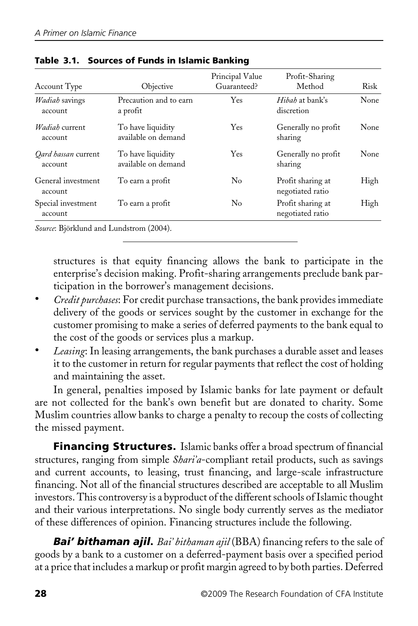| Account Type                          | Objective                                | Principal Value<br>Guaranteed? | Profit-Sharing<br>Method              | Risk |
|---------------------------------------|------------------------------------------|--------------------------------|---------------------------------------|------|
| <i>Wadiah</i> savings<br>account      | Precaution and to earn<br>a profit       | <b>Yes</b>                     | <i>Hibah</i> at bank's<br>discretion  | None |
| <i>Wadiah</i> current<br>account      | To have liquidity<br>available on demand | <b>Yes</b>                     | Generally no profit<br>sharing        | None |
| <i>Oard hassan</i> current<br>account | To have liquidity<br>available on demand | <b>Yes</b>                     | Generally no profit<br>sharing        | None |
| General investment<br>account         | To earn a profit                         | No                             | Profit sharing at<br>negotiated ratio | High |
| Special investment<br>account         | To earn a profit                         | No                             | Profit sharing at<br>negotiated ratio | High |

**Table 3.1. Sources of Funds in Islamic Banking**

*Source*: Björklund and Lundstrom (2004).

structures is that equity financing allows the bank to participate in the enterprise's decision making. Profit-sharing arrangements preclude bank participation in the borrower's management decisions.

- *Credit purchases*: For credit purchase transactions, the bank provides immediate delivery of the goods or services sought by the customer in exchange for the customer promising to make a series of deferred payments to the bank equal to the cost of the goods or services plus a markup.
- *Leasing*: In leasing arrangements, the bank purchases a durable asset and leases it to the customer in return for regular payments that reflect the cost of holding and maintaining the asset.

In general, penalties imposed by Islamic banks for late payment or default are not collected for the bank's own benefit but are donated to charity. Some Muslim countries allow banks to charge a penalty to recoup the costs of collecting the missed payment.

**Financing Structures.** Islamic banks offer a broad spectrum of financial structures, ranging from simple *Shari'a*-compliant retail products, such as savings and current accounts, to leasing, trust financing, and large-scale infrastructure financing. Not all of the financial structures described are acceptable to all Muslim investors. This controversy is a byproduct of the different schools of Islamic thought and their various interpretations. No single body currently serves as the mediator of these differences of opinion. Financing structures include the following.

*Bai' bithaman ajil***.** *Bai' bithaman ajil* (BBA) financing refers to the sale of goods by a bank to a customer on a deferred-payment basis over a specified period at a price that includes a markup or profit margin agreed to by both parties. Deferred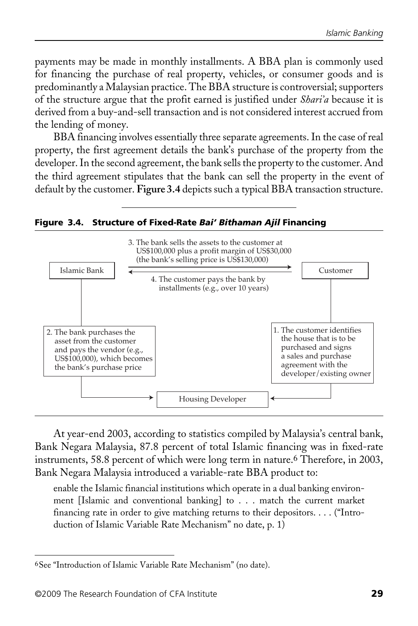payments may be made in monthly installments. A BBA plan is commonly used for financing the purchase of real property, vehicles, or consumer goods and is predominantly a Malaysian practice. The BBA structure is controversial; supporters of the structure argue that the profit earned is justified under *Shari'a* because it is derived from a buy-and-sell transaction and is not considered interest accrued from the lending of money.

BBA financing involves essentially three separate agreements. In the case of real property, the first agreement details the bank's purchase of the property from the developer. In the second agreement, the bank sells the property to the customer. And the third agreement stipulates that the bank can sell the property in the event of default by the customer. **Figure 3.4** depicts such a typical BBA transaction structure.

**Figure 3.4. Structure of Fixed-Rate** *Bai' Bithaman Ajil* **Financing** 



At year-end 2003, according to statistics compiled by Malaysia's central bank, Bank Negara Malaysia, 87.8 percent of total Islamic financing was in fixed-rate instruments, 58.8 percent of which were long term in nature.6 Therefore, in 2003, Bank Negara Malaysia introduced a variable-rate BBA product to:

enable the Islamic financial institutions which operate in a dual banking environment [Islamic and conventional banking] to . . . match the current market financing rate in order to give matching returns to their depositors. . . . ("Introduction of Islamic Variable Rate Mechanism" no date, p. 1)

<sup>6</sup>See "Introduction of Islamic Variable Rate Mechanism" (no date).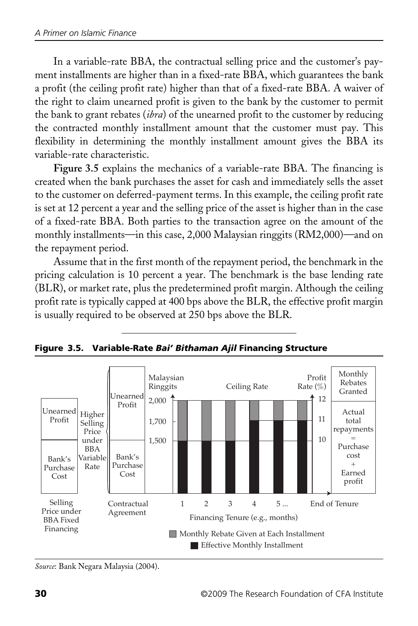In a variable-rate BBA, the contractual selling price and the customer's payment installments are higher than in a fixed-rate BBA, which guarantees the bank a profit (the ceiling profit rate) higher than that of a fixed-rate BBA. A waiver of the right to claim unearned profit is given to the bank by the customer to permit the bank to grant rebates (*ibra*) of the unearned profit to the customer by reducing the contracted monthly installment amount that the customer must pay. This flexibility in determining the monthly installment amount gives the BBA its variable-rate characteristic.

**Figure 3.5** explains the mechanics of a variable-rate BBA. The financing is created when the bank purchases the asset for cash and immediately sells the asset to the customer on deferred-payment terms. In this example, the ceiling profit rate is set at 12 percent a year and the selling price of the asset is higher than in the case of a fixed-rate BBA. Both parties to the transaction agree on the amount of the monthly installments—in this case, 2,000 Malaysian ringgits (RM2,000)—and on the repayment period.

Assume that in the first month of the repayment period, the benchmark in the pricing calculation is 10 percent a year. The benchmark is the base lending rate (BLR), or market rate, plus the predetermined profit margin. Although the ceiling profit rate is typically capped at 400 bps above the BLR, the effective profit margin is usually required to be observed at 250 bps above the BLR.



**Figure 3.5. Variable-Rate** *Bai' Bithaman Ajil* **Financing Structure**

*Source*: Bank Negara Malaysia (2004).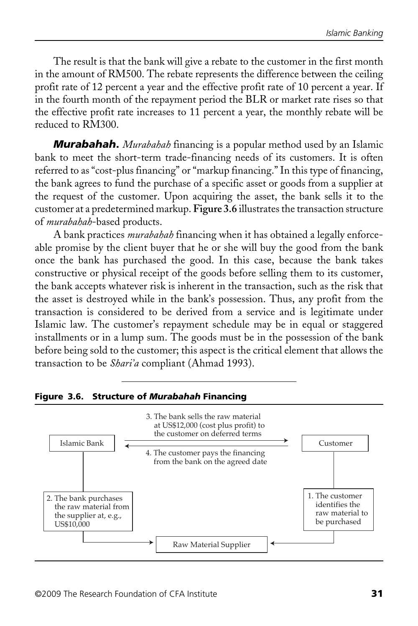The result is that the bank will give a rebate to the customer in the first month in the amount of RM500. The rebate represents the difference between the ceiling profit rate of 12 percent a year and the effective profit rate of 10 percent a year. If in the fourth month of the repayment period the BLR or market rate rises so that the effective profit rate increases to 11 percent a year, the monthly rebate will be reduced to RM300.

*Murabahah***.** *Murabahah* financing is a popular method used by an Islamic bank to meet the short-term trade-financing needs of its customers. It is often referred to as "cost-plus financing" or "markup financing." In this type of financing, the bank agrees to fund the purchase of a specific asset or goods from a supplier at the request of the customer. Upon acquiring the asset, the bank sells it to the customer at a predetermined markup. **Figure 3.6** illustrates the transaction structure of *murabahah*-based products.

A bank practices *murabahah* financing when it has obtained a legally enforceable promise by the client buyer that he or she will buy the good from the bank once the bank has purchased the good. In this case, because the bank takes constructive or physical receipt of the goods before selling them to its customer, the bank accepts whatever risk is inherent in the transaction, such as the risk that the asset is destroyed while in the bank's possession. Thus, any profit from the transaction is considered to be derived from a service and is legitimate under Islamic law. The customer's repayment schedule may be in equal or staggered installments or in a lump sum. The goods must be in the possession of the bank before being sold to the customer; this aspect is the critical element that allows the transaction to be *Shari'a* compliant (Ahmad 1993).



#### **Figure 3.6. Structure of** *Murabahah* **Financing**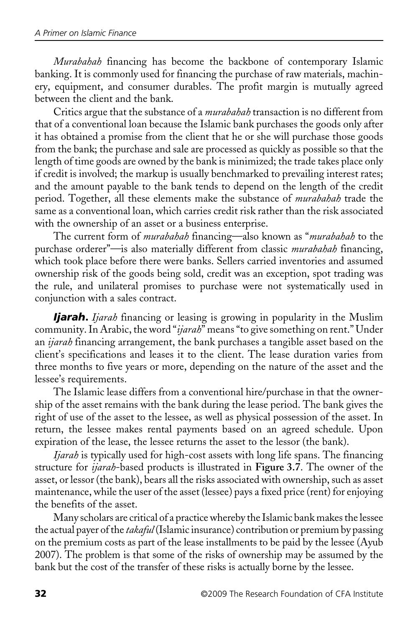*Murabahah* financing has become the backbone of contemporary Islamic banking. It is commonly used for financing the purchase of raw materials, machinery, equipment, and consumer durables. The profit margin is mutually agreed between the client and the bank.

Critics argue that the substance of a *murabahah* transaction is no different from that of a conventional loan because the Islamic bank purchases the goods only after it has obtained a promise from the client that he or she will purchase those goods from the bank; the purchase and sale are processed as quickly as possible so that the length of time goods are owned by the bank is minimized; the trade takes place only if credit is involved; the markup is usually benchmarked to prevailing interest rates; and the amount payable to the bank tends to depend on the length of the credit period. Together, all these elements make the substance of *murabahah* trade the same as a conventional loan, which carries credit risk rather than the risk associated with the ownership of an asset or a business enterprise.

The current form of *murabahah* financing—also known as "*murabahah* to the purchase orderer"—is also materially different from classic *murabahah* financing, which took place before there were banks. Sellers carried inventories and assumed ownership risk of the goods being sold, credit was an exception, spot trading was the rule, and unilateral promises to purchase were not systematically used in conjunction with a sales contract.

*Ijarah***.** *Ijarah* financing or leasing is growing in popularity in the Muslim community. In Arabic, the word "*ijarah*" means "to give something on rent." Under an *ijarah* financing arrangement, the bank purchases a tangible asset based on the client's specifications and leases it to the client. The lease duration varies from three months to five years or more, depending on the nature of the asset and the lessee's requirements.

The Islamic lease differs from a conventional hire/purchase in that the ownership of the asset remains with the bank during the lease period. The bank gives the right of use of the asset to the lessee, as well as physical possession of the asset. In return, the lessee makes rental payments based on an agreed schedule. Upon expiration of the lease, the lessee returns the asset to the lessor (the bank).

*Ijarah* is typically used for high-cost assets with long life spans. The financing structure for *ijarah*-based products is illustrated in **Figure 3.7**. The owner of the asset, or lessor (the bank), bears all the risks associated with ownership, such as asset maintenance, while the user of the asset (lessee) pays a fixed price (rent) for enjoying the benefits of the asset.

Many scholars are critical of a practice whereby the Islamic bank makes the lessee the actual payer of the *takaful* (Islamic insurance) contribution or premium by passing on the premium costs as part of the lease installments to be paid by the lessee (Ayub 2007). The problem is that some of the risks of ownership may be assumed by the bank but the cost of the transfer of these risks is actually borne by the lessee.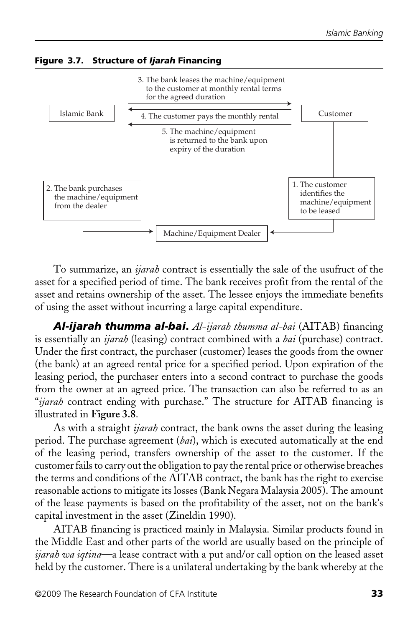



To summarize, an *ijarah* contract is essentially the sale of the usufruct of the asset for a specified period of time. The bank receives profit from the rental of the asset and retains ownership of the asset. The lessee enjoys the immediate benefits of using the asset without incurring a large capital expenditure.

*Al-ijarah thumma al-bai***.** *Al-ijarah thumma al-bai* (AITAB) financing is essentially an *ijarah* (leasing) contract combined with a *bai* (purchase) contract. Under the first contract, the purchaser (customer) leases the goods from the owner (the bank) at an agreed rental price for a specified period. Upon expiration of the leasing period, the purchaser enters into a second contract to purchase the goods from the owner at an agreed price. The transaction can also be referred to as an "*ijarah* contract ending with purchase." The structure for AITAB financing is illustrated in **Figure 3.8**.

As with a straight *ijarah* contract, the bank owns the asset during the leasing period. The purchase agreement (*bai*), which is executed automatically at the end of the leasing period, transfers ownership of the asset to the customer. If the customer fails to carry out the obligation to pay the rental price or otherwise breaches the terms and conditions of the AITAB contract, the bank has the right to exercise reasonable actions to mitigate its losses (Bank Negara Malaysia 2005). The amount of the lease payments is based on the profitability of the asset, not on the bank's capital investment in the asset (Zineldin 1990).

AITAB financing is practiced mainly in Malaysia. Similar products found in the Middle East and other parts of the world are usually based on the principle of *ijarah wa iqtina*—a lease contract with a put and/or call option on the leased asset held by the customer. There is a unilateral undertaking by the bank whereby at the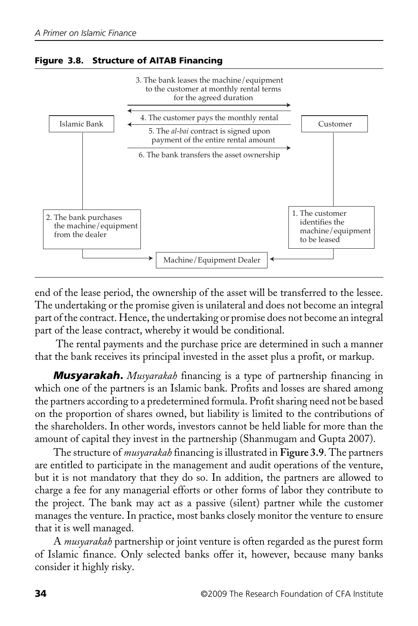



end of the lease period, the ownership of the asset will be transferred to the lessee. The undertaking or the promise given is unilateral and does not become an integral part of the contract. Hence, the undertaking or promise does not become an integral part of the lease contract, whereby it would be conditional.

 The rental payments and the purchase price are determined in such a manner that the bank receives its principal invested in the asset plus a profit, or markup.

*Musyarakah***.** *Musyarakah* financing is a type of partnership financing in which one of the partners is an Islamic bank. Profits and losses are shared among the partners according to a predetermined formula. Profit sharing need not be based on the proportion of shares owned, but liability is limited to the contributions of the shareholders. In other words, investors cannot be held liable for more than the amount of capital they invest in the partnership (Shanmugam and Gupta 2007).

The structure of *musyarakah* financing is illustrated in **Figure 3.9**. The partners are entitled to participate in the management and audit operations of the venture, but it is not mandatory that they do so. In addition, the partners are allowed to charge a fee for any managerial efforts or other forms of labor they contribute to the project. The bank may act as a passive (silent) partner while the customer manages the venture. In practice, most banks closely monitor the venture to ensure that it is well managed.

A *musyarakah* partnership or joint venture is often regarded as the purest form of Islamic finance. Only selected banks offer it, however, because many banks consider it highly risky.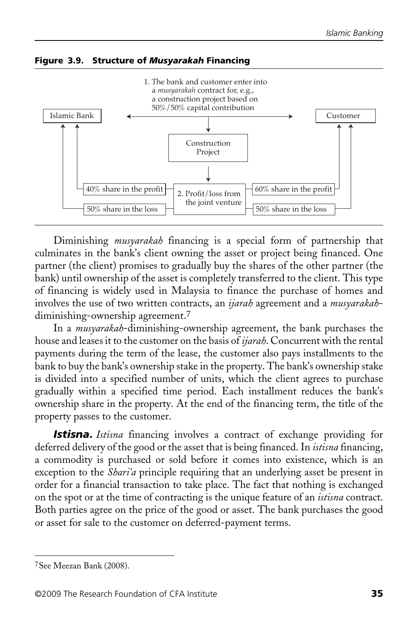

#### **Figure 3.9. Structure of** *Musyarakah* **Financing**

Diminishing *musyarakah* financing is a special form of partnership that culminates in the bank's client owning the asset or project being financed. One partner (the client) promises to gradually buy the shares of the other partner (the bank) until ownership of the asset is completely transferred to the client. This type of financing is widely used in Malaysia to finance the purchase of homes and involves the use of two written contracts, an *ijarah* agreement and a *musyarakah*diminishing-ownership agreement.7

In a *musyarakah*-diminishing-ownership agreement, the bank purchases the house and leases it to the customer on the basis of *ijarah*. Concurrent with the rental payments during the term of the lease, the customer also pays installments to the bank to buy the bank's ownership stake in the property. The bank's ownership stake is divided into a specified number of units, which the client agrees to purchase gradually within a specified time period. Each installment reduces the bank's ownership share in the property. At the end of the financing term, the title of the property passes to the customer.

*Istisna***.** *Istisna* financing involves a contract of exchange providing for deferred delivery of the good or the asset that is being financed. In *istisna* financing, a commodity is purchased or sold before it comes into existence, which is an exception to the *Shari'a* principle requiring that an underlying asset be present in order for a financial transaction to take place. The fact that nothing is exchanged on the spot or at the time of contracting is the unique feature of an *istisna* contract. Both parties agree on the price of the good or asset. The bank purchases the good or asset for sale to the customer on deferred-payment terms.

<sup>7</sup>See Meezan Bank (2008).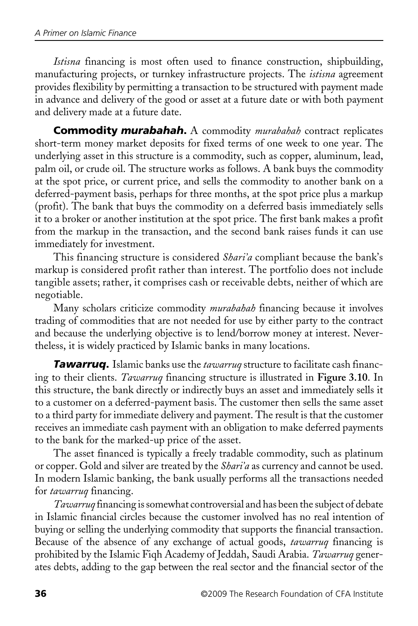*Istisna* financing is most often used to finance construction, shipbuilding, manufacturing projects, or turnkey infrastructure projects. The *istisna* agreement provides flexibility by permitting a transaction to be structured with payment made in advance and delivery of the good or asset at a future date or with both payment and delivery made at a future date.

**Commodity** *murabahah***.** A commodity *murabahah* contract replicates short-term money market deposits for fixed terms of one week to one year. The underlying asset in this structure is a commodity, such as copper, aluminum, lead, palm oil, or crude oil. The structure works as follows. A bank buys the commodity at the spot price, or current price, and sells the commodity to another bank on a deferred-payment basis, perhaps for three months, at the spot price plus a markup (profit). The bank that buys the commodity on a deferred basis immediately sells it to a broker or another institution at the spot price. The first bank makes a profit from the markup in the transaction, and the second bank raises funds it can use immediately for investment.

This financing structure is considered *Shari'a* compliant because the bank's markup is considered profit rather than interest. The portfolio does not include tangible assets; rather, it comprises cash or receivable debts, neither of which are negotiable.

Many scholars criticize commodity *murabahah* financing because it involves trading of commodities that are not needed for use by either party to the contract and because the underlying objective is to lend/borrow money at interest. Nevertheless, it is widely practiced by Islamic banks in many locations.

*Tawarruq***.** Islamic banks use the *tawarruq* structure to facilitate cash financing to their clients. *Tawarruq* financing structure is illustrated in **Figure 3.10**. In this structure, the bank directly or indirectly buys an asset and immediately sells it to a customer on a deferred-payment basis. The customer then sells the same asset to a third party for immediate delivery and payment. The result is that the customer receives an immediate cash payment with an obligation to make deferred payments to the bank for the marked-up price of the asset.

The asset financed is typically a freely tradable commodity, such as platinum or copper. Gold and silver are treated by the *Shari'a* as currency and cannot be used. In modern Islamic banking, the bank usually performs all the transactions needed for *tawarruq* financing.

*Tawarruq* financing is somewhat controversial and has been the subject of debate in Islamic financial circles because the customer involved has no real intention of buying or selling the underlying commodity that supports the financial transaction. Because of the absence of any exchange of actual goods, *tawarruq* financing is prohibited by the Islamic Fiqh Academy of Jeddah, Saudi Arabia. *Tawarruq* generates debts, adding to the gap between the real sector and the financial sector of the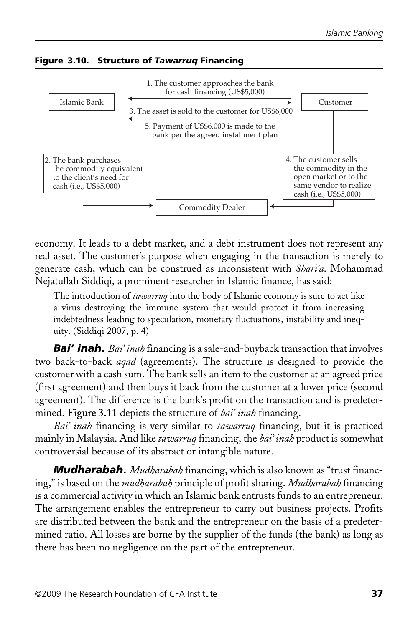



economy. It leads to a debt market, and a debt instrument does not represent any real asset. The customer's purpose when engaging in the transaction is merely to generate cash, which can be construed as inconsistent with *Shari'a*. Mohammad Nejatullah Siddiqi, a prominent researcher in Islamic finance, has said:

The introduction of *tawarruq* into the body of Islamic economy is sure to act like a virus destroying the immune system that would protect it from increasing indebtedness leading to speculation, monetary fluctuations, instability and inequity. (Siddiqi 2007, p. 4)

*Bai' inah***.** *Bai' inah* financing is a sale-and-buyback transaction that involves two back-to-back *aqad* (agreements). The structure is designed to provide the customer with a cash sum. The bank sells an item to the customer at an agreed price (first agreement) and then buys it back from the customer at a lower price (second agreement). The difference is the bank's profit on the transaction and is predetermined. **Figure 3.11** depicts the structure of *bai' inah* financing.

*Bai' inah* financing is very similar to *tawarruq* financing, but it is practiced mainly in Malaysia. And like *tawarruq* financing, the *bai' inah* product is somewhat controversial because of its abstract or intangible nature.

*Mudharabah***.** *Mudharabah* financing, which is also known as "trust financing," is based on the *mudharabah* principle of profit sharing. *Mudharabah* financing is a commercial activity in which an Islamic bank entrusts funds to an entrepreneur. The arrangement enables the entrepreneur to carry out business projects. Profits are distributed between the bank and the entrepreneur on the basis of a predetermined ratio. All losses are borne by the supplier of the funds (the bank) as long as there has been no negligence on the part of the entrepreneur.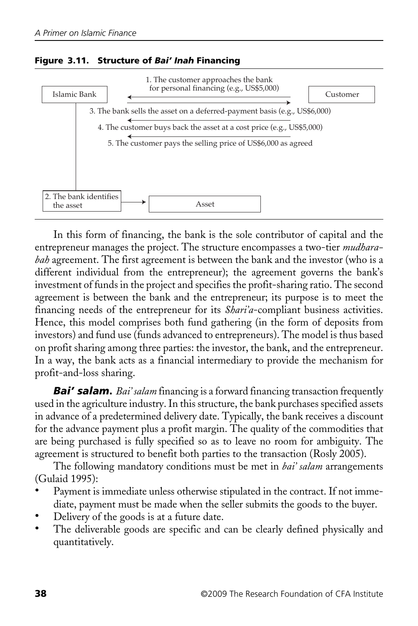



In this form of financing, the bank is the sole contributor of capital and the entrepreneur manages the project. The structure encompasses a two-tier *mudharabah* agreement. The first agreement is between the bank and the investor (who is a different individual from the entrepreneur); the agreement governs the bank's investment of funds in the project and specifies the profit-sharing ratio. The second agreement is between the bank and the entrepreneur; its purpose is to meet the financing needs of the entrepreneur for its *Shari'a*-compliant business activities. Hence, this model comprises both fund gathering (in the form of deposits from investors) and fund use (funds advanced to entrepreneurs). The model is thus based on profit sharing among three parties: the investor, the bank, and the entrepreneur. In a way, the bank acts as a financial intermediary to provide the mechanism for profit-and-loss sharing.

*Bai' salam***.** *Bai' salam* financing is a forward financing transaction frequently used in the agriculture industry. In this structure, the bank purchases specified assets in advance of a predetermined delivery date. Typically, the bank receives a discount for the advance payment plus a profit margin. The quality of the commodities that are being purchased is fully specified so as to leave no room for ambiguity. The agreement is structured to benefit both parties to the transaction (Rosly 2005).

The following mandatory conditions must be met in *bai' salam* arrangements (Gulaid 1995):

- Payment is immediate unless otherwise stipulated in the contract. If not immediate, payment must be made when the seller submits the goods to the buyer.
- Delivery of the goods is at a future date.
- The deliverable goods are specific and can be clearly defined physically and quantitatively.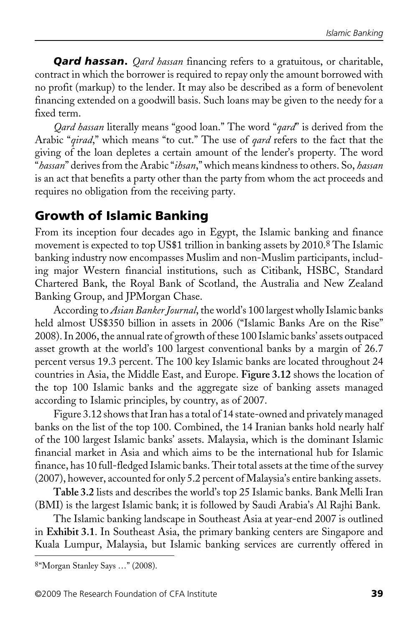*Qard hassan***.** *Qard hassan* financing refers to a gratuitous, or charitable, contract in which the borrower is required to repay only the amount borrowed with no profit (markup) to the lender. It may also be described as a form of benevolent financing extended on a goodwill basis. Such loans may be given to the needy for a fixed term.

*Qard hassan* literally means "good loan." The word "*qard*" is derived from the Arabic "*qirad*," which means "to cut." The use of *qard* refers to the fact that the giving of the loan depletes a certain amount of the lender's property. The word "*hassan*" derives from the Arabic "*ihsan*," which means kindness to others. So, *hassan* is an act that benefits a party other than the party from whom the act proceeds and requires no obligation from the receiving party.

### **Growth of Islamic Banking**

From its inception four decades ago in Egypt, the Islamic banking and finance movement is expected to top US\$1 trillion in banking assets by 2010.8 The Islamic banking industry now encompasses Muslim and non-Muslim participants, including major Western financial institutions, such as Citibank, HSBC, Standard Chartered Bank, the Royal Bank of Scotland, the Australia and New Zealand Banking Group, and JPMorgan Chase.

According to *Asian Banker Journal*, the world's 100 largest wholly Islamic banks held almost US\$350 billion in assets in 2006 ("Islamic Banks Are on the Rise" 2008). In 2006, the annual rate of growth of these 100 Islamic banks' assets outpaced asset growth at the world's 100 largest conventional banks by a margin of 26.7 percent versus 19.3 percent. The 100 key Islamic banks are located throughout 24 countries in Asia, the Middle East, and Europe. **Figure 3.12** shows the location of the top 100 Islamic banks and the aggregate size of banking assets managed according to Islamic principles, by country, as of 2007.

Figure 3.12 shows that Iran has a total of 14 state-owned and privately managed banks on the list of the top 100. Combined, the 14 Iranian banks hold nearly half of the 100 largest Islamic banks' assets. Malaysia, which is the dominant Islamic financial market in Asia and which aims to be the international hub for Islamic finance, has 10 full-fledged Islamic banks. Their total assets at the time of the survey (2007), however, accounted for only 5.2 percent of Malaysia's entire banking assets.

**Table 3.2** lists and describes the world's top 25 Islamic banks. Bank Melli Iran (BMI) is the largest Islamic bank; it is followed by Saudi Arabia's Al Rajhi Bank.

The Islamic banking landscape in Southeast Asia at year-end 2007 is outlined in **Exhibit 3.1**. In Southeast Asia, the primary banking centers are Singapore and Kuala Lumpur, Malaysia, but Islamic banking services are currently offered in

<sup>8&</sup>quot;Morgan Stanley Says …" (2008).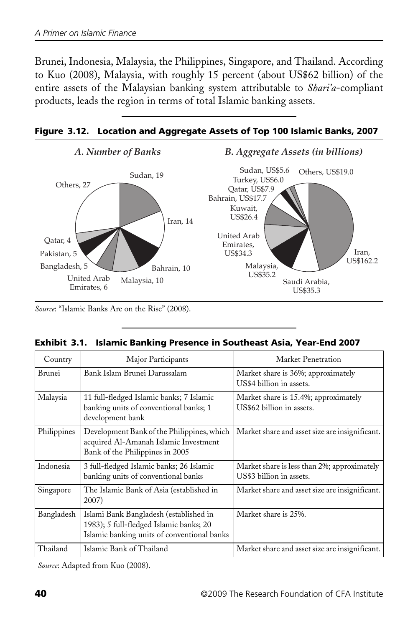Brunei, Indonesia, Malaysia, the Philippines, Singapore, and Thailand. According to Kuo (2008), Malaysia, with roughly 15 percent (about US\$62 billion) of the entire assets of the Malaysian banking system attributable to *Shari'a*-compliant products, leads the region in terms of total Islamic banking assets.





*Source*: "Islamic Banks Are on the Rise" (2008).

|  |  | Exhibit 3.1. Islamic Banking Presence in Southeast Asia, Year-End 2007 |  |  |
|--|--|------------------------------------------------------------------------|--|--|
|--|--|------------------------------------------------------------------------|--|--|

| Country     | Major Participants                                                                                                               | Market Penetration                                                      |
|-------------|----------------------------------------------------------------------------------------------------------------------------------|-------------------------------------------------------------------------|
| Brunei      | Bank Islam Brunei Darussalam                                                                                                     | Market share is 36%; approximately<br>US\$4 billion in assets.          |
| Malaysia    | 11 full-fledged Islamic banks; 7 Islamic<br>banking units of conventional banks; 1<br>development bank                           | Market share is 15.4%; approximately<br>US\$62 billion in assets.       |
| Philippines | Development Bank of the Philippines, which<br>acquired Al-Amanah Islamic Investment<br>Bank of the Philippines in 2005           | Market share and asset size are insignificant.                          |
| Indonesia   | 3 full-fledged Islamic banks; 26 Islamic<br>banking units of conventional banks                                                  | Market share is less than 2%; approximately<br>US\$3 billion in assets. |
| Singapore   | The Islamic Bank of Asia (established in<br>2007)                                                                                | Market share and asset size are insignificant.                          |
| Bangladesh  | Islami Bank Bangladesh (established in<br>1983); 5 full-fledged Islamic banks; 20<br>Islamic banking units of conventional banks | Market share is 25%.                                                    |
| Thailand    | Islamic Bank of Thailand                                                                                                         | Market share and asset size are insignificant.                          |

*Source*: Adapted from Kuo (2008).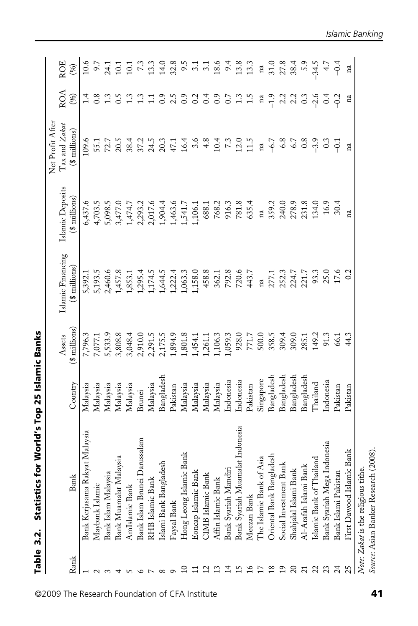|                 |                                                             |               | Assets               | Islamic Financing       | Islamic Deposits        | Net Profit After<br>Tax and Zakat | <b>ROA</b>                                 | <b>ROE</b>                                                   |
|-----------------|-------------------------------------------------------------|---------------|----------------------|-------------------------|-------------------------|-----------------------------------|--------------------------------------------|--------------------------------------------------------------|
| Rank            | $\vec{a}$<br>$\mathbf{\Omega}$                              | Country       | $(\$\text{minutes})$ | $(\$ \text{ millions})$ | $(\$ \text{ millions})$ | $(\text{$\frac{1}{2}$ million})$  | (%)                                        | (%)                                                          |
|                 | Bank Kerjasama Rakyat Malaysia                              | Malaysia      | 7,796.3              | 5,392.1                 | 6,437.6                 | 109.6                             |                                            | 10.6                                                         |
|                 | Maybank Islami                                              | Malaysia      | 7,077.1              | 5,193.5                 | 4,703.5                 | 55.1                              |                                            | 6.6                                                          |
|                 | laysia<br>Bank Islam Mal                                    | Malaysia      | 5,533.9              | 2,460.6                 | 5,098.5                 | 72.7                              |                                            | 24.1                                                         |
|                 | Bank Muamalat Malaysia                                      | Malaysia      | 3,808.8              | 1,457.8                 | 3,477.0                 | 20.5                              | 0.5                                        | 10.1                                                         |
|                 | AmIslamic Bank                                              | Malaysia      | 3,048.4              | 1,853.1                 | 1,474.7                 |                                   | $\begin{array}{c} 1.3 \\ 1.3 \end{array}$  |                                                              |
|                 | Bank Islam Brunei Darussalam                                | <b>Brunei</b> | 2,910.0              | 1,295.4                 | 2,293.2                 |                                   |                                            |                                                              |
|                 | RHB Islamic Bank                                            | Malaysia      | 2,291.5              | 1,174.5                 | 2,017.6                 | 3<br>3 5 7 9 9 1<br>3 9 7 9 7 1   | $\Xi$                                      | $10.1$<br>$7.3$<br>$13.3$                                    |
|                 | ngladesh<br>Islami Bank Bar                                 | Bangladesh    | 2,175.5              | 1,644.5                 | 1,904.4                 |                                   |                                            | $\begin{array}{c} 14.0 \\ 32.8 \\ 9.5 \\ 3.1 \\ \end{array}$ |
|                 | Faysal Bank                                                 | Pakistan      | 1,894.9              | 1,222.4                 | 1,463.6                 |                                   | $0.9$<br>$2.5$                             |                                                              |
|                 | Hong Leong Islamic Bank                                     | Malaysia      | 1,801.8              | 1,063.3                 | 1,541.7                 |                                   | 0.9                                        |                                                              |
|                 | $\mbox{Bank}$<br>Eoncap Islamic                             | Malaysia      | 1,454.1              | 1,158.0                 | 1,106.1                 | $16.4$<br>$3.6$<br>$4.8$          | 0.2                                        |                                                              |
|                 | <b>Bank</b><br>CIMB Islamic                                 | Malaysia      | 1,261.1              | 458.8                   | 688.1                   |                                   | 0.4                                        |                                                              |
|                 | Affin Islamic Bank                                          | Malaysia      | 1,106.3              | 362.1                   | 768.2                   | 10.4                              | 0.9                                        |                                                              |
| 국               | landiri<br>Bank Syariah M                                   | Indonesia     | 1,059.3              |                         | 916.3                   |                                   | 0.7                                        |                                                              |
| ≌               | luamalat Indonesia<br>Bank Syariah M                        | Indonesia     | 928.0                | 792.8<br>720.6<br>443.7 | 781.8                   | $7.3$<br>12.0                     | $\begin{array}{c} 2.5 \\ -1.5 \end{array}$ | $18.4$<br>$9.4$<br>$13.3$<br>$13.3$                          |
| $\frac{6}{2}$   | Meezan Bank                                                 | Pakistan      | 771.7                |                         | 635.4                   | 11.5                              |                                            |                                                              |
| $\overline{1}$  | nk of Asia<br>The Islamic Ban                               | Singapore     | 500.0                | na                      | na                      | na                                | n <sub>a</sub>                             | na                                                           |
| $\frac{8}{3}$   | Oriental Bank Bangladesh                                    | Bangladesh    | 358.5                | 277.1                   | 359.2                   | $-6.7$                            | $-1.9$                                     | 31.0                                                         |
| $\overline{1}$  | Social Investment Bank                                      | Bangladesh    | 309.4                | 252.3<br>224.7          |                         | $6.8\,$                           |                                            | 27.8<br>38.4                                                 |
| $\infty$        | <b>Bank</b><br>Shahjalal Islami                             | Bangladesh    | 309.0                |                         | 240.0<br>278.9          | 6.7                               | $2.2$<br>$2.2$                             |                                                              |
| $\overline{z}$  | $\mathbf{Al}\text{-}\mathbf{Arafah}$ Islami $\mathbf{Bank}$ | Bangladesh    | 285.1                | 221.7                   | 231.8                   | $\overline{0.8}$                  | 0.3                                        | 5.9                                                          |
| $\frac{23}{23}$ | Islamic Bank of Thailand                                    | Thailand      | 149.2                | 93.3                    | 134.0                   | $-3.9$                            | $-2.6$                                     | $-34.5$                                                      |
|                 | lega Indonesia<br>Bank Syariah M                            | Indonesia     | 91.3                 | $25.0$<br>17.6          | 16.9                    | 0.3                               | 0.4                                        | $\ddot{4.7}$                                                 |
| $\mathcal{Z}$   | Bank Islami Pakistan                                        | Pakistan      | 66.1                 |                         | 30.4                    | $-5$                              | $-0.2$                                     | $-0.4$                                                       |
| 25              | First Dawood Islamic Bank                                   | Pakistan      | 44.3                 | 0.2                     | ra                      | na                                | na                                         | na                                                           |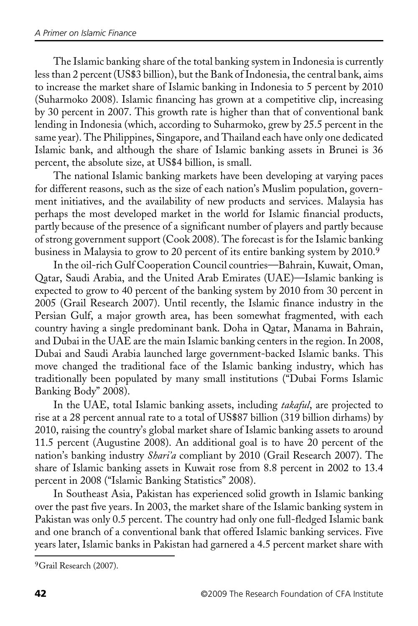The Islamic banking share of the total banking system in Indonesia is currently less than 2 percent (US\$3 billion), but the Bank of Indonesia, the central bank, aims to increase the market share of Islamic banking in Indonesia to 5 percent by 2010 (Suharmoko 2008). Islamic financing has grown at a competitive clip, increasing by 30 percent in 2007. This growth rate is higher than that of conventional bank lending in Indonesia (which, according to Suharmoko, grew by 25.5 percent in the same year). The Philippines, Singapore, and Thailand each have only one dedicated Islamic bank, and although the share of Islamic banking assets in Brunei is 36 percent, the absolute size, at US\$4 billion, is small.

The national Islamic banking markets have been developing at varying paces for different reasons, such as the size of each nation's Muslim population, government initiatives, and the availability of new products and services. Malaysia has perhaps the most developed market in the world for Islamic financial products, partly because of the presence of a significant number of players and partly because of strong government support (Cook 2008). The forecast is for the Islamic banking business in Malaysia to grow to 20 percent of its entire banking system by 2010.9

In the oil-rich Gulf Cooperation Council countries—Bahrain, Kuwait, Oman, Qatar, Saudi Arabia, and the United Arab Emirates (UAE)—Islamic banking is expected to grow to 40 percent of the banking system by 2010 from 30 percent in 2005 (Grail Research 2007). Until recently, the Islamic finance industry in the Persian Gulf, a major growth area, has been somewhat fragmented, with each country having a single predominant bank. Doha in Qatar, Manama in Bahrain, and Dubai in the UAE are the main Islamic banking centers in the region. In 2008, Dubai and Saudi Arabia launched large government-backed Islamic banks. This move changed the traditional face of the Islamic banking industry, which has traditionally been populated by many small institutions ("Dubai Forms Islamic Banking Body" 2008).

In the UAE, total Islamic banking assets, including *takaful*, are projected to rise at a 28 percent annual rate to a total of US\$87 billion (319 billion dirhams) by 2010, raising the country's global market share of Islamic banking assets to around 11.5 percent (Augustine 2008). An additional goal is to have 20 percent of the nation's banking industry *Shari'a* compliant by 2010 (Grail Research 2007). The share of Islamic banking assets in Kuwait rose from 8.8 percent in 2002 to 13.4 percent in 2008 ("Islamic Banking Statistics" 2008).

In Southeast Asia, Pakistan has experienced solid growth in Islamic banking over the past five years. In 2003, the market share of the Islamic banking system in Pakistan was only 0.5 percent. The country had only one full-fledged Islamic bank and one branch of a conventional bank that offered Islamic banking services. Five years later, Islamic banks in Pakistan had garnered a 4.5 percent market share with

<sup>9</sup>Grail Research (2007).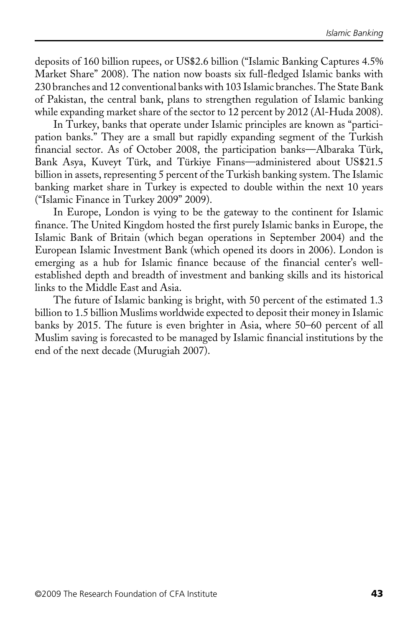deposits of 160 billion rupees, or US\$2.6 billion ("Islamic Banking Captures 4.5% Market Share" 2008). The nation now boasts six full-fledged Islamic banks with 230 branches and 12 conventional banks with 103 Islamic branches. The State Bank of Pakistan, the central bank, plans to strengthen regulation of Islamic banking while expanding market share of the sector to 12 percent by 2012 (Al-Huda 2008).

In Turkey, banks that operate under Islamic principles are known as "participation banks." They are a small but rapidly expanding segment of the Turkish financial sector. As of October 2008, the participation banks—Albaraka Türk, Bank Asya, Kuveyt Türk, and Türkiye Finans—administered about US\$21.5 billion in assets, representing 5 percent of the Turkish banking system. The Islamic banking market share in Turkey is expected to double within the next 10 years ("Islamic Finance in Turkey 2009" 2009).

In Europe, London is vying to be the gateway to the continent for Islamic finance. The United Kingdom hosted the first purely Islamic banks in Europe, the Islamic Bank of Britain (which began operations in September 2004) and the European Islamic Investment Bank (which opened its doors in 2006). London is emerging as a hub for Islamic finance because of the financial center's wellestablished depth and breadth of investment and banking skills and its historical links to the Middle East and Asia.

The future of Islamic banking is bright, with 50 percent of the estimated 1.3 billion to 1.5 billion Muslims worldwide expected to deposit their money in Islamic banks by 2015. The future is even brighter in Asia, where 50–60 percent of all Muslim saving is forecasted to be managed by Islamic financial institutions by the end of the next decade (Murugiah 2007).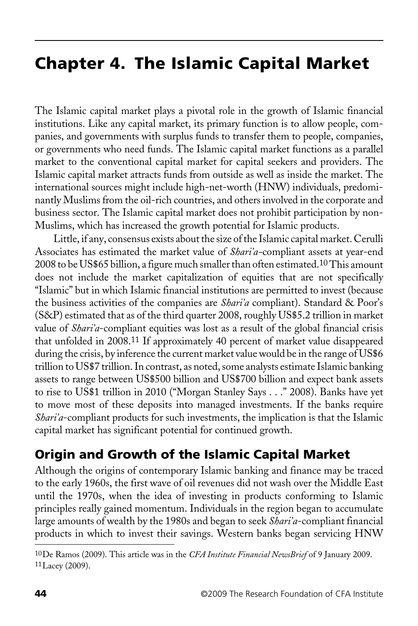# **Chapter 4. The Islamic Capital Market**

The Islamic capital market plays a pivotal role in the growth of Islamic financial institutions. Like any capital market, its primary function is to allow people, companies, and governments with surplus funds to transfer them to people, companies, or governments who need funds. The Islamic capital market functions as a parallel market to the conventional capital market for capital seekers and providers. The Islamic capital market attracts funds from outside as well as inside the market. The international sources might include high-net-worth (HNW) individuals, predominantly Muslims from the oil-rich countries, and others involved in the corporate and business sector. The Islamic capital market does not prohibit participation by non-Muslims, which has increased the growth potential for Islamic products.

Little, if any, consensus exists about the size of the Islamic capital market. Cerulli Associates has estimated the market value of *Shari'a-*compliant assets at year-end 2008 to be US\$65 billion, a figure much smaller than often estimated.<sup>10</sup> This amount does not include the market capitalization of equities that are not specifically "Islamic" but in which Islamic financial institutions are permitted to invest (because the business activities of the companies are *Shari'a* compliant). Standard & Poor's (S&P) estimated that as of the third quarter 2008, roughly US\$5.2 trillion in market value of *Shari'a*-compliant equities was lost as a result of the global financial crisis that unfolded in 2008.11 If approximately 40 percent of market value disappeared during the crisis, by inference the current market value would be in the range of US\$6 trillion to US\$7 trillion. In contrast, as noted, some analysts estimate Islamic banking assets to range between US\$500 billion and US\$700 billion and expect bank assets to rise to US\$1 trillion in 2010 ("Morgan Stanley Says . . ." 2008). Banks have yet to move most of these deposits into managed investments. If the banks require *Shari'a*-compliant products for such investments, the implication is that the Islamic capital market has significant potential for continued growth.

### **Origin and Growth of the Islamic Capital Market**

Although the origins of contemporary Islamic banking and finance may be traced to the early 1960s, the first wave of oil revenues did not wash over the Middle East until the 1970s, when the idea of investing in products conforming to Islamic principles really gained momentum. Individuals in the region began to accumulate large amounts of wealth by the 1980s and began to seek *Shari'a*-compliant financial products in which to invest their savings. Western banks began servicing HNW

<sup>10</sup>De Ramos (2009). This article was in the *CFA Institute Financial NewsBrief* of 9 January 2009. 11Lacey (2009).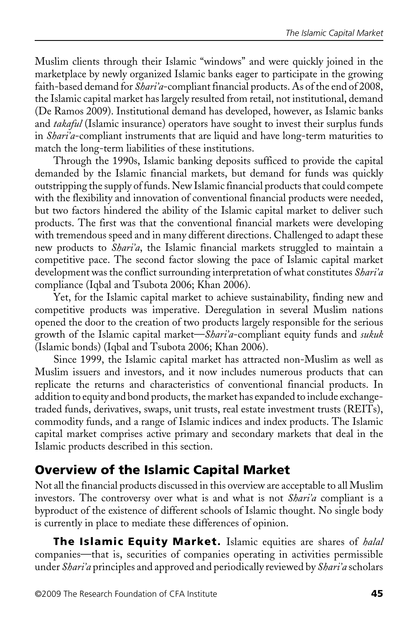Muslim clients through their Islamic "windows" and were quickly joined in the marketplace by newly organized Islamic banks eager to participate in the growing faith-based demand for *Shari'a*-compliant financial products. As of the end of 2008, the Islamic capital market has largely resulted from retail, not institutional, demand (De Ramos 2009). Institutional demand has developed, however, as Islamic banks and *takaful* (Islamic insurance) operators have sought to invest their surplus funds in *Shari'a*-compliant instruments that are liquid and have long-term maturities to match the long-term liabilities of these institutions.

Through the 1990s, Islamic banking deposits sufficed to provide the capital demanded by the Islamic financial markets, but demand for funds was quickly outstripping the supply of funds. New Islamic financial products that could compete with the flexibility and innovation of conventional financial products were needed, but two factors hindered the ability of the Islamic capital market to deliver such products. The first was that the conventional financial markets were developing with tremendous speed and in many different directions. Challenged to adapt these new products to *Shari'a*, the Islamic financial markets struggled to maintain a competitive pace. The second factor slowing the pace of Islamic capital market development was the conflict surrounding interpretation of what constitutes *Shari'a* compliance (Iqbal and Tsubota 2006; Khan 2006).

Yet, for the Islamic capital market to achieve sustainability, finding new and competitive products was imperative. Deregulation in several Muslim nations opened the door to the creation of two products largely responsible for the serious growth of the Islamic capital market—*Shari'a*-compliant equity funds and *sukuk* (Islamic bonds) (Iqbal and Tsubota 2006; Khan 2006).

Since 1999, the Islamic capital market has attracted non-Muslim as well as Muslim issuers and investors, and it now includes numerous products that can replicate the returns and characteristics of conventional financial products. In addition to equity and bond products, the market has expanded to include exchangetraded funds, derivatives, swaps, unit trusts, real estate investment trusts (REITs), commodity funds, and a range of Islamic indices and index products. The Islamic capital market comprises active primary and secondary markets that deal in the Islamic products described in this section.

# **Overview of the Islamic Capital Market**

Not all the financial products discussed in this overview are acceptable to all Muslim investors. The controversy over what is and what is not *Shari'a* compliant is a byproduct of the existence of different schools of Islamic thought. No single body is currently in place to mediate these differences of opinion.

**The Islamic Equity Market.** Islamic equities are shares of *halal* companies—that is, securities of companies operating in activities permissible under *Shari'a* principles and approved and periodically reviewed by *Shari'a* scholars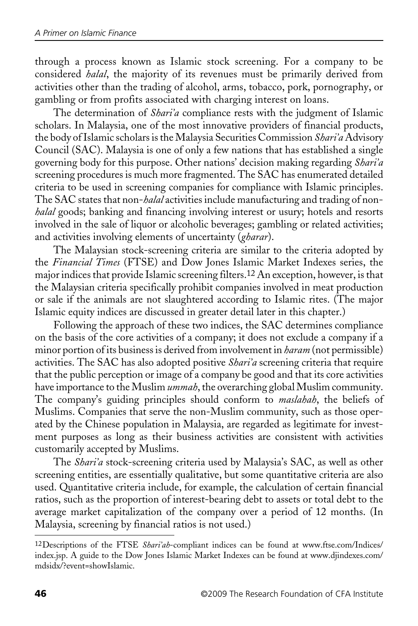through a process known as Islamic stock screening. For a company to be considered *halal*, the majority of its revenues must be primarily derived from activities other than the trading of alcohol, arms, tobacco, pork, pornography, or gambling or from profits associated with charging interest on loans.

The determination of *Shari'a* compliance rests with the judgment of Islamic scholars. In Malaysia, one of the most innovative providers of financial products, the body of Islamic scholars is the Malaysia Securities Commission *Shari'a* Advisory Council (SAC). Malaysia is one of only a few nations that has established a single governing body for this purpose. Other nations' decision making regarding *Shari'a* screening procedures is much more fragmented. The SAC has enumerated detailed criteria to be used in screening companies for compliance with Islamic principles. The SAC states that non-*halal* activities include manufacturing and trading of non*halal* goods; banking and financing involving interest or usury; hotels and resorts involved in the sale of liquor or alcoholic beverages; gambling or related activities; and activities involving elements of uncertainty (*gharar*).

The Malaysian stock-screening criteria are similar to the criteria adopted by the *Financial Times* (FTSE) and Dow Jones Islamic Market Indexes series, the major indices that provide Islamic screening filters.12 An exception, however, is that the Malaysian criteria specifically prohibit companies involved in meat production or sale if the animals are not slaughtered according to Islamic rites. (The major Islamic equity indices are discussed in greater detail later in this chapter.)

Following the approach of these two indices, the SAC determines compliance on the basis of the core activities of a company; it does not exclude a company if a minor portion of its business is derived from involvement in *haram* (not permissible) activities. The SAC has also adopted positive *Shari'a* screening criteria that require that the public perception or image of a company be good and that its core activities have importance to the Muslim *ummah*, the overarching global Muslim community. The company's guiding principles should conform to *maslahah*, the beliefs of Muslims. Companies that serve the non-Muslim community, such as those operated by the Chinese population in Malaysia, are regarded as legitimate for investment purposes as long as their business activities are consistent with activities customarily accepted by Muslims.

The *Shari'a* stock-screening criteria used by Malaysia's SAC, as well as other screening entities, are essentially qualitative, but some quantitative criteria are also used. Quantitative criteria include, for example, the calculation of certain financial ratios, such as the proportion of interest-bearing debt to assets or total debt to the average market capitalization of the company over a period of 12 months. (In Malaysia, screening by financial ratios is not used.)

<sup>12</sup>Descriptions of the FTSE *Shari'ah*-compliant indices can be found at www.ftse.com/Indices/ [index.jsp. A guide to the Dow Jones Islamic Market Indexes can be found at www.djindexes.com/](http://www.djindexes.com/mdsidx/?event=showIslamic) mdsidx/?event=showIslamic.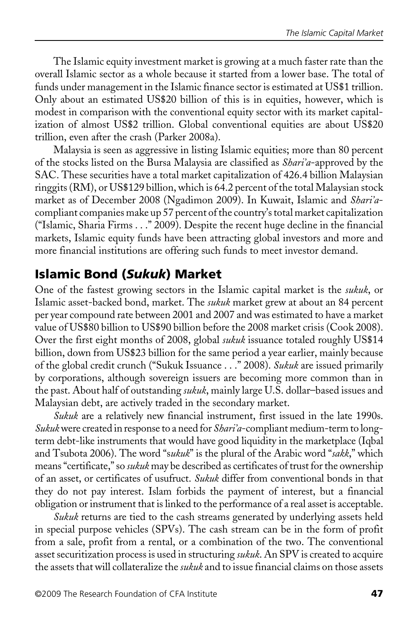The Islamic equity investment market is growing at a much faster rate than the overall Islamic sector as a whole because it started from a lower base. The total of funds under management in the Islamic finance sector is estimated at US\$1 trillion. Only about an estimated US\$20 billion of this is in equities, however, which is modest in comparison with the conventional equity sector with its market capitalization of almost US\$2 trillion. Global conventional equities are about US\$20 trillion, even after the crash (Parker 2008a).

Malaysia is seen as aggressive in listing Islamic equities; more than 80 percent of the stocks listed on the Bursa Malaysia are classified as *Shari'a*-approved by the SAC. These securities have a total market capitalization of 426.4 billion Malaysian ringgits (RM), or US\$129 billion, which is 64.2 percent of the total Malaysian stock market as of December 2008 (Ngadimon 2009). In Kuwait, Islamic and *Shari'a*compliant companies make up 57 percent of the country's total market capitalization ("Islamic, Sharia Firms . . ." 2009). Despite the recent huge decline in the financial markets, Islamic equity funds have been attracting global investors and more and more financial institutions are offering such funds to meet investor demand.

# **Islamic Bond (***Sukuk***) Market**

One of the fastest growing sectors in the Islamic capital market is the *sukuk*, or Islamic asset-backed bond, market. The *sukuk* market grew at about an 84 percent per year compound rate between 2001 and 2007 and was estimated to have a market value of US\$80 billion to US\$90 billion before the 2008 market crisis (Cook 2008). Over the first eight months of 2008, global *sukuk* issuance totaled roughly US\$14 billion, down from US\$23 billion for the same period a year earlier, mainly because of the global credit crunch ("Sukuk Issuance . . ." 2008). *Sukuk* are issued primarily by corporations, although sovereign issuers are becoming more common than in the past. About half of outstanding *sukuk*, mainly large U.S. dollar–based issues and Malaysian debt, are actively traded in the secondary market.

*Sukuk* are a relatively new financial instrument, first issued in the late 1990s. *Sukuk* were created in response to a need for *Shari'a*-compliant medium-term to longterm debt-like instruments that would have good liquidity in the marketplace (Iqbal and Tsubota 2006). The word "s*ukuk*" is the plural of the Arabic word "*sakk*," which means "certificate," so *sukuk* may be described as certificates of trust for the ownership of an asset, or certificates of usufruct. *Sukuk* differ from conventional bonds in that they do not pay interest. Islam forbids the payment of interest, but a financial obligation or instrument that is linked to the performance of a real asset is acceptable.

*Sukuk* returns are tied to the cash streams generated by underlying assets held in special purpose vehicles (SPVs). The cash stream can be in the form of profit from a sale, profit from a rental, or a combination of the two. The conventional asset securitization process is used in structuring *sukuk*. An SPV is created to acquire the assets that will collateralize the *sukuk* and to issue financial claims on those assets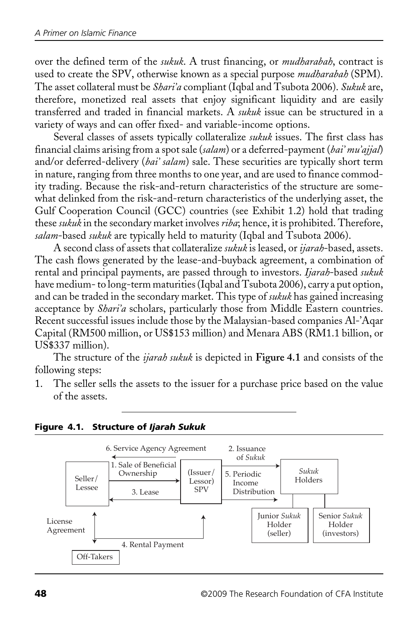over the defined term of the *sukuk*. A trust financing, or *mudharabah*, contract is used to create the SPV, otherwise known as a special purpose *mudharabah* (SPM). The asset collateral must be *Shari'a* compliant (Iqbal and Tsubota 2006). *Sukuk* are, therefore, monetized real assets that enjoy significant liquidity and are easily transferred and traded in financial markets. A *sukuk* issue can be structured in a variety of ways and can offer fixed- and variable-income options.

Several classes of assets typically collateralize *sukuk* issues. The first class has financial claims arising from a spot sale (*salam*) or a deferred-payment (*bai' mu'ajjal*) and/or deferred-delivery (*bai' salam*) sale. These securities are typically short term in nature, ranging from three months to one year, and are used to finance commodity trading. Because the risk-and-return characteristics of the structure are somewhat delinked from the risk-and-return characteristics of the underlying asset, the Gulf Cooperation Council (GCC) countries (see Exhibit 1.2) hold that trading these *sukuk* in the secondary market involves *riba*; hence, it is prohibited. Therefore, *salam*-based *sukuk* are typically held to maturity (Iqbal and Tsubota 2006).

A second class of assets that collateralize *sukuk* is leased, or *ijarah*-based, assets. The cash flows generated by the lease-and-buyback agreement, a combination of rental and principal payments, are passed through to investors. *Ijarah*-based *sukuk* have medium- to long-term maturities (Iqbal and Tsubota 2006), carry a put option, and can be traded in the secondary market. This type of *sukuk* has gained increasing acceptance by *Shari'a* scholars, particularly those from Middle Eastern countries. Recent successful issues include those by the Malaysian-based companies Al-'Aqar Capital (RM500 million, or US\$153 million) and Menara ABS (RM1.1 billion, or US\$337 million).

The structure of the *ijarah sukuk* is depicted in **Figure 4.1** and consists of the following steps:

1. The seller sells the assets to the issuer for a purchase price based on the value of the assets.



#### **Figure 4.1. Structure of** *Ijarah Sukuk*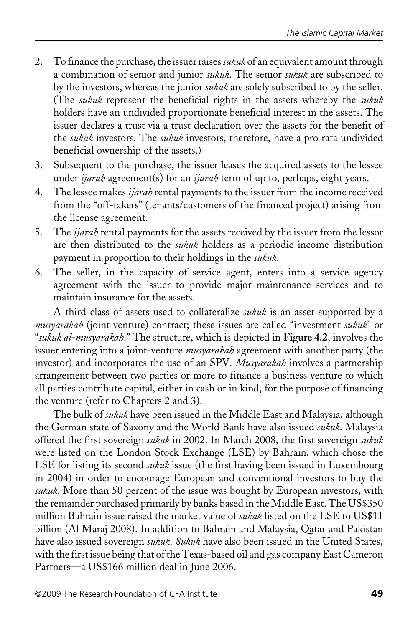- 2. To finance the purchase, the issuer raises *sukuk* of an equivalent amount through a combination of senior and junior *sukuk*. The senior *sukuk* are subscribed to by the investors, whereas the junior *sukuk* are solely subscribed to by the seller. (The *sukuk* represent the beneficial rights in the assets whereby the *sukuk* holders have an undivided proportionate beneficial interest in the assets. The issuer declares a trust via a trust declaration over the assets for the benefit of the *sukuk* investors. The *sukuk* investors, therefore, have a pro rata undivided beneficial ownership of the assets.)
- 3. Subsequent to the purchase, the issuer leases the acquired assets to the lessee under *ijarah* agreement(s) for an *ijarah* term of up to, perhaps, eight years.
- 4. The lessee makes *ijarah* rental payments to the issuer from the income received from the "off-takers" (tenants/customers of the financed project) arising from the license agreement.
- 5. The *ijarah* rental payments for the assets received by the issuer from the lessor are then distributed to the *sukuk* holders as a periodic income-distribution payment in proportion to their holdings in the *sukuk*.
- 6. The seller, in the capacity of service agent, enters into a service agency agreement with the issuer to provide major maintenance services and to maintain insurance for the assets.

A third class of assets used to collateralize *sukuk* is an asset supported by a *musyarakah* (joint venture) contract; these issues are called "investment *sukuk*" or "*sukuk al*-*musyarakah*." The structure, which is depicted in **Figure 4.2**, involves the issuer entering into a joint-venture *musyarakah* agreement with another party (the investor) and incorporates the use of an SPV. *Musyarakah* involves a partnership arrangement between two parties or more to finance a business venture to which all parties contribute capital, either in cash or in kind, for the purpose of financing the venture (refer to Chapters 2 and 3).

The bulk of *sukuk* have been issued in the Middle East and Malaysia, although the German state of Saxony and the World Bank have also issued *sukuk*. Malaysia offered the first sovereign *sukuk* in 2002. In March 2008, the first sovereign *sukuk* were listed on the London Stock Exchange (LSE) by Bahrain, which chose the LSE for listing its second *sukuk* issue (the first having been issued in Luxembourg in 2004) in order to encourage European and conventional investors to buy the *sukuk*. More than 50 percent of the issue was bought by European investors, with the remainder purchased primarily by banks based in the Middle East. The US\$350 million Bahrain issue raised the market value of *sukuk* listed on the LSE to US\$11 billion (Al Maraj 2008). In addition to Bahrain and Malaysia, Qatar and Pakistan have also issued sovereign *sukuk*. *Sukuk* have also been issued in the United States, with the first issue being that of the Texas-based oil and gas company East Cameron Partners—a US\$166 million deal in June 2006.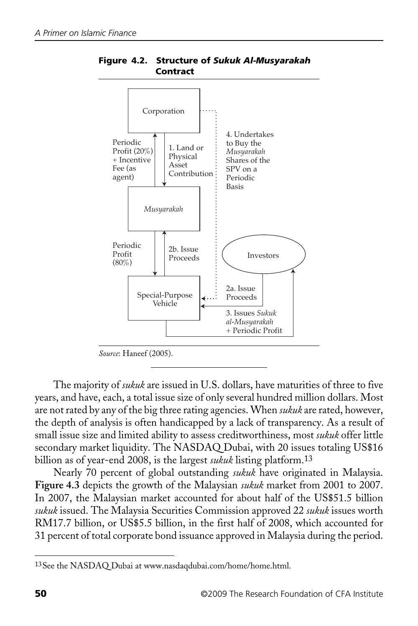

**Figure 4.2. Structure of** *Sukuk Al-Musyarakah* **Contract**

The majority of *sukuk* are issued in U.S. dollars, have maturities of three to five years, and have, each, a total issue size of only several hundred million dollars. Most are not rated by any of the big three rating agencies. When *sukuk* are rated, however, the depth of analysis is often handicapped by a lack of transparency. As a result of small issue size and limited ability to assess creditworthiness, most *sukuk* offer little secondary market liquidity. The NASDAQ Dubai, with 20 issues totaling US\$16 billion as of year-end 2008, is the largest *sukuk* listing platform.13

Nearly 70 percent of global outstanding *sukuk* have originated in Malaysia. **Figure 4.3** depicts the growth of the Malaysian *sukuk* market from 2001 to 2007. In 2007, the Malaysian market accounted for about half of the US\$51.5 billion *sukuk* issued. The Malaysia Securities Commission approved 22 *sukuk* issues worth RM17.7 billion, or US\$5.5 billion, in the first half of 2008, which accounted for 31 percent of total corporate bond issuance approved in Malaysia during the period.

<sup>13</sup>See the NASDAQ Dubai at [www.nasdaqdubai.com/home/home.html.](http://www.nasdaqdubai.com/home/home.html)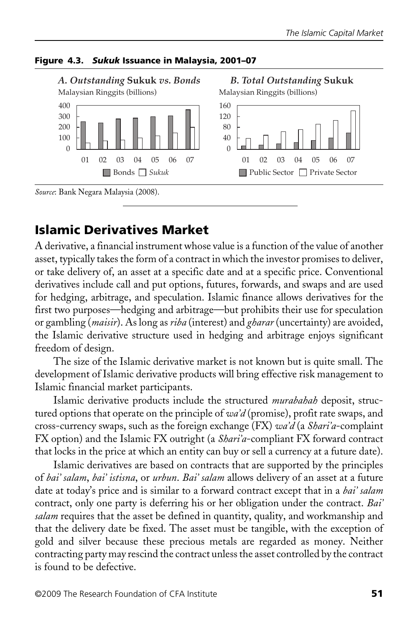

Malaysian Ringgits (billions) *A. Outstanding* **Sukuk** *vs. Bonds*

### 400 200 300 100  $\Omega$ 0201 03 0504 06 07 Bonds *Sukuk*

Malaysian Ringgits (billions) *B. Total Outstanding* **Sukuk**



*Source*: Bank Negara Malaysia (2008).

# **Islamic Derivatives Market**

A derivative, a financial instrument whose value is a function of the value of another asset, typically takes the form of a contract in which the investor promises to deliver, or take delivery of, an asset at a specific date and at a specific price. Conventional derivatives include call and put options, futures, forwards, and swaps and are used for hedging, arbitrage, and speculation. Islamic finance allows derivatives for the first two purposes—hedging and arbitrage—but prohibits their use for speculation or gambling (*maisir*). As long as *riba* (interest) and *gharar* (uncertainty) are avoided, the Islamic derivative structure used in hedging and arbitrage enjoys significant freedom of design.

The size of the Islamic derivative market is not known but is quite small. The development of Islamic derivative products will bring effective risk management to Islamic financial market participants.

Islamic derivative products include the structured *murabahah* deposit, structured options that operate on the principle of *wa'd* (promise), profit rate swaps, and cross-currency swaps, such as the foreign exchange (FX) *wa'd* (a *Shari'a*-complaint FX option) and the Islamic FX outright (a *Shari'a*-compliant FX forward contract that locks in the price at which an entity can buy or sell a currency at a future date).

Islamic derivatives are based on contracts that are supported by the principles of *bai' salam*, *bai' istisna*, or *urbun*. *Bai' salam* allows delivery of an asset at a future date at today's price and is similar to a forward contract except that in a *bai' salam* contract, only one party is deferring his or her obligation under the contract. *Bai' salam* requires that the asset be defined in quantity, quality, and workmanship and that the delivery date be fixed. The asset must be tangible, with the exception of gold and silver because these precious metals are regarded as money. Neither contracting party may rescind the contract unless the asset controlled by the contract is found to be defective.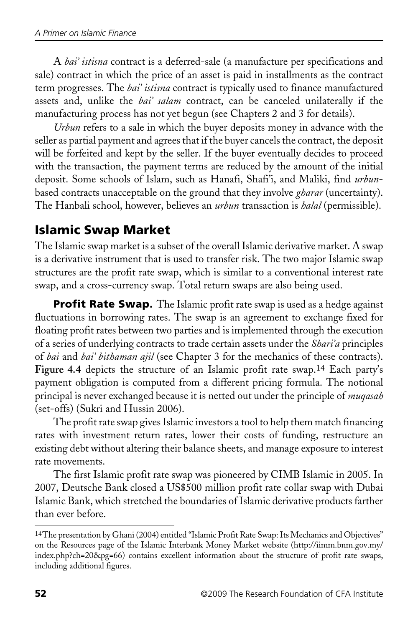A *bai' istisna* contract is a deferred-sale (a manufacture per specifications and sale) contract in which the price of an asset is paid in installments as the contract term progresses. The *bai' istisna* contract is typically used to finance manufactured assets and, unlike the *bai' salam* contract, can be canceled unilaterally if the manufacturing process has not yet begun (see Chapters 2 and 3 for details).

*Urbun* refers to a sale in which the buyer deposits money in advance with the seller as partial payment and agrees that if the buyer cancels the contract, the deposit will be forfeited and kept by the seller. If the buyer eventually decides to proceed with the transaction, the payment terms are reduced by the amount of the initial deposit. Some schools of Islam, such as Hanafi, Shafi'i, and Maliki, find *urbun*based contracts unacceptable on the ground that they involve *gharar* (uncertainty). The Hanbali school, however, believes an *urbun* transaction is *halal* (permissible).

### **Islamic Swap Market**

The Islamic swap market is a subset of the overall Islamic derivative market. A swap is a derivative instrument that is used to transfer risk. The two major Islamic swap structures are the profit rate swap, which is similar to a conventional interest rate swap, and a cross-currency swap. Total return swaps are also being used.

**Profit Rate Swap.** The Islamic profit rate swap is used as a hedge against fluctuations in borrowing rates. The swap is an agreement to exchange fixed for floating profit rates between two parties and is implemented through the execution of a series of underlying contracts to trade certain assets under the *Shari'a* principles of *bai* and *bai' bithaman ajil* (see Chapter 3 for the mechanics of these contracts). **Figure 4.4** depicts the structure of an Islamic profit rate swap.14 Each party's payment obligation is computed from a different pricing formula. The notional principal is never exchanged because it is netted out under the principle of *muqasah* (set-offs) (Sukri and Hussin 2006).

The profit rate swap gives Islamic investors a tool to help them match financing rates with investment return rates, lower their costs of funding, restructure an existing debt without altering their balance sheets, and manage exposure to interest rate movements.

The first Islamic profit rate swap was pioneered by CIMB Islamic in 2005. In 2007, Deutsche Bank closed a US\$500 million profit rate collar swap with Dubai Islamic Bank, which stretched the boundaries of Islamic derivative products farther than ever before.

<sup>14</sup>The presentation by Ghani (2004) entitled "Islamic Profit Rate Swap: Its Mechanics and Objectives" on the Resources page of the Islamic Interbank Money Market website ([http://iimm.bnm.gov.my/](http://iimm.bnm.gov.my/index.php?ch=20&pg=66) [index.php?ch=20&pg=66\) co](http://iimm.bnm.gov.my/index.php?ch=20&pg=66)ntains excellent information about the structure of profit rate swaps, including additional figures.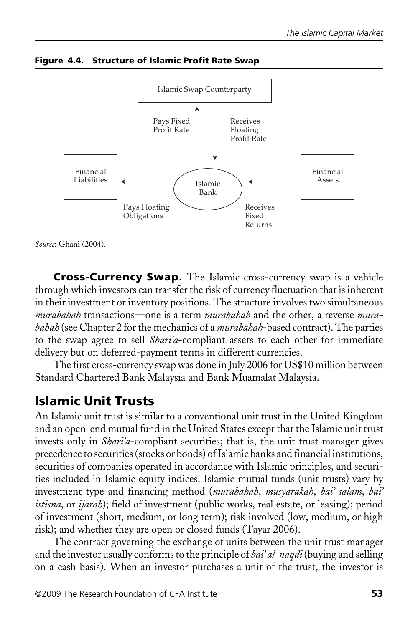

**Figure 4.4. Structure of Islamic Profit Rate Swap**

**Cross-Currency Swap.** The Islamic cross-currency swap is a vehicle through which investors can transfer the risk of currency fluctuation that is inherent in their investment or inventory positions. The structure involves two simultaneous *murabahah* transactions—one is a term *murabahah* and the other, a reverse *murabahah* (see Chapter 2 for the mechanics of a *murabahah*-based contract). The parties to the swap agree to sell *Shari'a*-compliant assets to each other for immediate delivery but on deferred-payment terms in different currencies.

The first cross-currency swap was done in July 2006 for US\$10 million between Standard Chartered Bank Malaysia and Bank Muamalat Malaysia.

### **Islamic Unit Trusts**

An Islamic unit trust is similar to a conventional unit trust in the United Kingdom and an open-end mutual fund in the United States except that the Islamic unit trust invests only in *Shari'a*-compliant securities; that is, the unit trust manager gives precedence to securities (stocks or bonds) of Islamic banks and financial institutions, securities of companies operated in accordance with Islamic principles, and securities included in Islamic equity indices. Islamic mutual funds (unit trusts) vary by investment type and financing method (*murabahah*, *musyarakah*, *bai' salam*, *bai' istisna*, or *ijarah*); field of investment (public works, real estate, or leasing); period of investment (short, medium, or long term); risk involved (low, medium, or high risk); and whether they are open or closed funds (Tayar 2006).

The contract governing the exchange of units between the unit trust manager and the investor usually conforms to the principle of *bai' al-naqdi* (buying and selling on a cash basis). When an investor purchases a unit of the trust, the investor is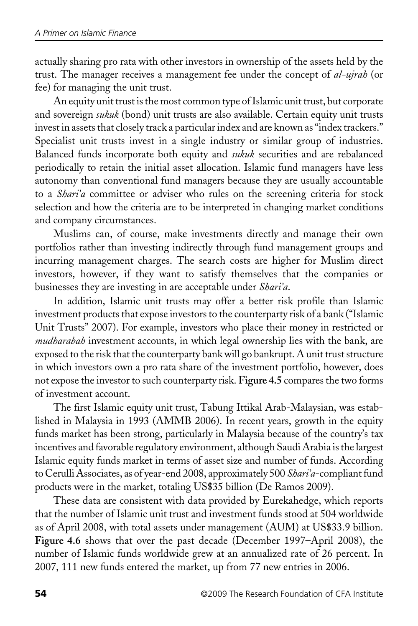actually sharing pro rata with other investors in ownership of the assets held by the trust. The manager receives a management fee under the concept of *al-ujrah* (or fee) for managing the unit trust.

An equity unit trust is the most common type of Islamic unit trust, but corporate and sovereign *sukuk* (bond) unit trusts are also available. Certain equity unit trusts invest in assets that closely track a particular index and are known as "index trackers." Specialist unit trusts invest in a single industry or similar group of industries. Balanced funds incorporate both equity and *sukuk* securities and are rebalanced periodically to retain the initial asset allocation. Islamic fund managers have less autonomy than conventional fund managers because they are usually accountable to a *Shari'a* committee or adviser who rules on the screening criteria for stock selection and how the criteria are to be interpreted in changing market conditions and company circumstances.

Muslims can, of course, make investments directly and manage their own portfolios rather than investing indirectly through fund management groups and incurring management charges. The search costs are higher for Muslim direct investors, however, if they want to satisfy themselves that the companies or businesses they are investing in are acceptable under *Shari'a*.

In addition, Islamic unit trusts may offer a better risk profile than Islamic investment products that expose investors to the counterparty risk of a bank ("Islamic Unit Trusts" 2007). For example, investors who place their money in restricted or *mudharabah* investment accounts, in which legal ownership lies with the bank, are exposed to the risk that the counterparty bank will go bankrupt. A unit trust structure in which investors own a pro rata share of the investment portfolio, however, does not expose the investor to such counterparty risk. **Figure 4.5** compares the two forms of investment account.

The first Islamic equity unit trust, Tabung Ittikal Arab-Malaysian, was established in Malaysia in 1993 (AMMB 2006). In recent years, growth in the equity funds market has been strong, particularly in Malaysia because of the country's tax incentives and favorable regulatory environment, although Saudi Arabia is the largest Islamic equity funds market in terms of asset size and number of funds. According to Cerulli Associates, as of year-end 2008, approximately 500 *Shari'a*-compliant fund products were in the market, totaling US\$35 billion (De Ramos 2009).

These data are consistent with data provided by Eurekahedge, which reports that the number of Islamic unit trust and investment funds stood at 504 worldwide as of April 2008, with total assets under management (AUM) at US\$33.9 billion. **Figure 4.6** shows that over the past decade (December 1997–April 2008), the number of Islamic funds worldwide grew at an annualized rate of 26 percent. In 2007, 111 new funds entered the market, up from 77 new entries in 2006.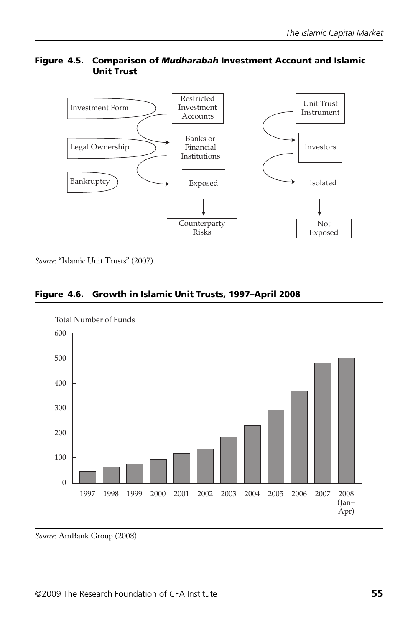#### **Figure 4.5. Comparison of** *Mudharabah* **Investment Account and Islamic Unit Trust**



*Source*: "Islamic Unit Trusts" (2007).

#### **Figure 4.6. Growth in Islamic Unit Trusts, 1997–April 2008**



*Source*: AmBank Group (2008).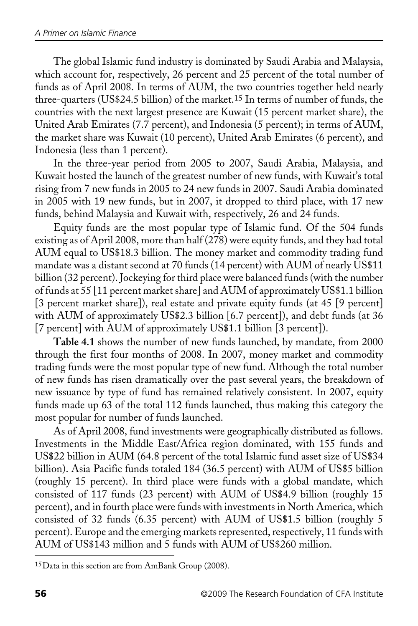The global Islamic fund industry is dominated by Saudi Arabia and Malaysia, which account for, respectively, 26 percent and 25 percent of the total number of funds as of April 2008. In terms of AUM, the two countries together held nearly three-quarters (US\$24.5 billion) of the market.15 In terms of number of funds, the countries with the next largest presence are Kuwait (15 percent market share), the United Arab Emirates (7.7 percent), and Indonesia (5 percent); in terms of AUM, the market share was Kuwait (10 percent), United Arab Emirates (6 percent), and Indonesia (less than 1 percent).

In the three-year period from 2005 to 2007, Saudi Arabia, Malaysia, and Kuwait hosted the launch of the greatest number of new funds, with Kuwait's total rising from 7 new funds in 2005 to 24 new funds in 2007. Saudi Arabia dominated in 2005 with 19 new funds, but in 2007, it dropped to third place, with 17 new funds, behind Malaysia and Kuwait with, respectively, 26 and 24 funds.

Equity funds are the most popular type of Islamic fund. Of the 504 funds existing as of April 2008, more than half (278) were equity funds, and they had total AUM equal to US\$18.3 billion. The money market and commodity trading fund mandate was a distant second at 70 funds (14 percent) with AUM of nearly US\$11 billion (32 percent). Jockeying for third place were balanced funds (with the number of funds at 55 [11 percent market share] and AUM of approximately US\$1.1 billion [3 percent market share]), real estate and private equity funds (at 45 [9 percent] with AUM of approximately US\$2.3 billion [6.7 percent]), and debt funds (at 36 [7 percent] with AUM of approximately US\$1.1 billion [3 percent]).

**Table 4.1** shows the number of new funds launched, by mandate, from 2000 through the first four months of 2008. In 2007, money market and commodity trading funds were the most popular type of new fund. Although the total number of new funds has risen dramatically over the past several years, the breakdown of new issuance by type of fund has remained relatively consistent. In 2007, equity funds made up 63 of the total 112 funds launched, thus making this category the most popular for number of funds launched.

As of April 2008, fund investments were geographically distributed as follows. Investments in the Middle East/Africa region dominated, with 155 funds and US\$22 billion in AUM (64.8 percent of the total Islamic fund asset size of US\$34 billion). Asia Pacific funds totaled 184 (36.5 percent) with AUM of US\$5 billion (roughly 15 percent). In third place were funds with a global mandate, which consisted of 117 funds (23 percent) with AUM of US\$4.9 billion (roughly 15 percent), and in fourth place were funds with investments in North America, which consisted of 32 funds (6.35 percent) with AUM of US\$1.5 billion (roughly 5 percent). Europe and the emerging markets represented, respectively, 11 funds with AUM of US\$143 million and 5 funds with AUM of US\$260 million.

<sup>15</sup>Data in this section are from AmBank Group (2008).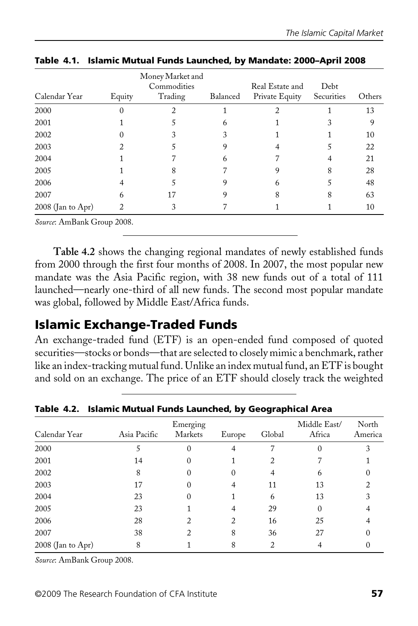| Calendar Year              | Equity | Money Market and<br>Commodities<br>Trading | Balanced | Real Estate and<br>Private Equity | Debt<br>Securities | Others |
|----------------------------|--------|--------------------------------------------|----------|-----------------------------------|--------------------|--------|
| 2000                       |        |                                            |          |                                   |                    | 13     |
| 2001                       |        |                                            | h        |                                   |                    |        |
| 2002                       |        |                                            |          |                                   |                    | 10     |
| 2003                       |        |                                            |          |                                   |                    | 22     |
| 2004                       |        |                                            | h        |                                   |                    | 21     |
| 2005                       |        |                                            |          | 9                                 | 8                  | 28     |
| 2006                       |        |                                            |          | h                                 |                    | 48     |
| 2007                       | 6      | 17                                         |          | 8                                 | 8                  | 63     |
| 2008 (Jan to Apr)          | 2      | 3                                          |          |                                   |                    | 10     |
| Source: AmBank Group 2008. |        |                                            |          |                                   |                    |        |

**Table 4.1. Islamic Mutual Funds Launched, by Mandate: 2000–April 2008**

**Table 4.2** shows the changing regional mandates of newly established funds from 2000 through the first four months of 2008. In 2007, the most popular new mandate was the Asia Pacific region, with 38 new funds out of a total of 111 launched—nearly one-third of all new funds. The second most popular mandate was global, followed by Middle East/Africa funds.

### **Islamic Exchange-Traded Funds**

An exchange-traded fund (ETF) is an open-ended fund composed of quoted securities—stocks or bonds—that are selected to closely mimic a benchmark, rather like an index-tracking mutual fund. Unlike an index mutual fund, an ETF is bought and sold on an exchange. The price of an ETF should closely track the weighted

| Calendar Year     | Asia Pacific | Emerging<br>Markets | Europe         | Global | Middle East/<br>Africa | North<br>America |
|-------------------|--------------|---------------------|----------------|--------|------------------------|------------------|
| 2000              |              | $\Omega$            | 4              |        |                        |                  |
| 2001              | 14           | 0                   |                |        |                        |                  |
| 2002              | 8            |                     | 0              |        | 6                      |                  |
| 2003              | 17           |                     | 4              | 11     | 13                     |                  |
| 2004              | 23           |                     |                | 6      | 13                     |                  |
| 2005              | 23           |                     | 4              | 29     | 0                      |                  |
| 2006              | 28           |                     | $\overline{c}$ | 16     | 25                     |                  |
| 2007              | 38           |                     | 8              | 36     | 27                     |                  |
| 2008 (Jan to Apr) | 8            |                     | 8              |        |                        |                  |
|                   |              |                     |                |        |                        |                  |

**Table 4.2. Islamic Mutual Funds Launched, by Geographical Area**

*Source*: AmBank Group 2008.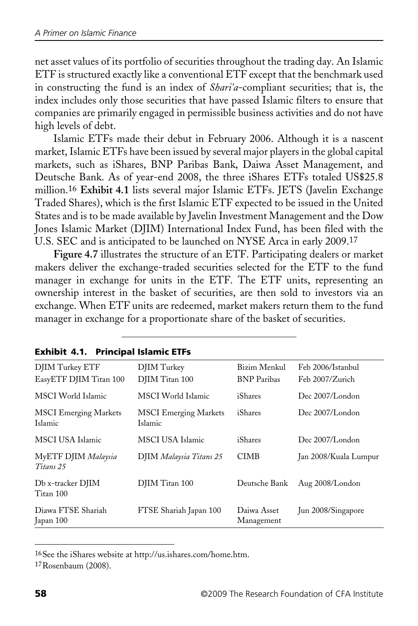net asset values of its portfolio of securities throughout the trading day. An Islamic ETF is structured exactly like a conventional ETF except that the benchmark used in constructing the fund is an index of *Shari'a*-compliant securities; that is, the index includes only those securities that have passed Islamic filters to ensure that companies are primarily engaged in permissible business activities and do not have high levels of debt.

Islamic ETFs made their debut in February 2006. Although it is a nascent market, Islamic ETFs have been issued by several major players in the global capital markets, such as iShares, BNP Paribas Bank, Daiwa Asset Management, and Deutsche Bank. As of year-end 2008, the three iShares ETFs totaled US\$25.8 million.16 **Exhibit 4.1** lists several major Islamic ETFs. JETS (Javelin Exchange Traded Shares), which is the first Islamic ETF expected to be issued in the United States and is to be made available by Javelin Investment Management and the Dow Jones Islamic Market (DJIM) International Index Fund, has been filed with the U.S. SEC and is anticipated to be launched on NYSE Arca in early 2009.17

**Figure 4.7** illustrates the structure of an ETF. Participating dealers or market makers deliver the exchange-traded securities selected for the ETF to the fund manager in exchange for units in the ETF. The ETF units, representing an ownership interest in the basket of securities, are then sold to investors via an exchange. When ETF units are redeemed, market makers return them to the fund manager in exchange for a proportionate share of the basket of securities.

| <b>DJIM Turkey ETF</b><br>EasyETF DJIM Titan 100 | DJIM Turkey<br>DJIM Titan 100           | Bizim Menkul<br><b>BNP</b> Paribas | Feb 2006/Istanbul<br>Feb 2007/Zurich |
|--------------------------------------------------|-----------------------------------------|------------------------------------|--------------------------------------|
| MSCI World Islamic                               | MSCI World Islamic                      | iShares                            | Dec 2007/London                      |
| <b>MSCI</b> Emerging Markets<br>Islamic          | <b>MSCI</b> Emerging Markets<br>Islamic | iShares                            | Dec 2007/London                      |
| MSCI USA Islamic                                 | MSCI USA Islamic                        | iShares                            | Dec 2007/London                      |
| MyETF DJIM Malaysia<br>Titans 25                 | DJIM Malaysia Titans 25                 | <b>CIMB</b>                        | Jan 2008/Kuala Lumpur                |
| Db x-tracker DJIM<br>Titan 100                   | DJIM Titan 100                          | Deutsche Bank                      | Aug 2008/London                      |
| Diawa FTSE Shariah<br>Japan 100                  | FTSE Shariah Japan 100                  | Daiwa Asset<br>Management          | Jun 2008/Singapore                   |

|  |  |  | <b>Exhibit 4.1. Principal Islamic ETFs</b> |  |  |
|--|--|--|--------------------------------------------|--|--|
|--|--|--|--------------------------------------------|--|--|

<sup>16</sup>See the iShares website at [http://us.ishares.com/home.htm.](http://us.ishares.com/home.htm)

<sup>17</sup>Rosenbaum (2008).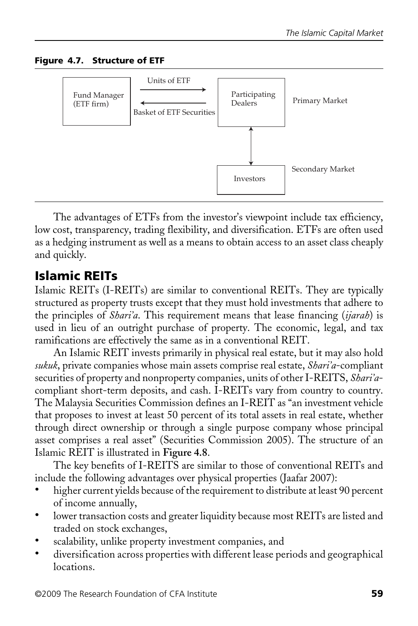**Figure 4.7. Structure of ETF**



The advantages of ETFs from the investor's viewpoint include tax efficiency, low cost, transparency, trading flexibility, and diversification. ETFs are often used as a hedging instrument as well as a means to obtain access to an asset class cheaply and quickly.

### **Islamic REITs**

Islamic REITs (I-REITs) are similar to conventional REITs. They are typically structured as property trusts except that they must hold investments that adhere to the principles of *Shari'a*. This requirement means that lease financing (*ijarah*) is used in lieu of an outright purchase of property. The economic, legal, and tax ramifications are effectively the same as in a conventional REIT.

An Islamic REIT invests primarily in physical real estate, but it may also hold *sukuk*, private companies whose main assets comprise real estate, *Shari'a*-compliant securities of property and nonproperty companies, units of other I-REITS, *Shari'a*compliant short-term deposits, and cash. I-REITs vary from country to country. The Malaysia Securities Commission defines an I-REIT as "an investment vehicle that proposes to invest at least 50 percent of its total assets in real estate, whether through direct ownership or through a single purpose company whose principal asset comprises a real asset" (Securities Commission 2005). The structure of an Islamic REIT is illustrated in **Figure 4.8**.

The key benefits of I-REITS are similar to those of conventional REITs and include the following advantages over physical properties (Jaafar 2007):

- higher current yields because of the requirement to distribute at least 90 percent of income annually,
- lower transaction costs and greater liquidity because most REITs are listed and traded on stock exchanges,
- scalability, unlike property investment companies, and
- diversification across properties with different lease periods and geographical locations.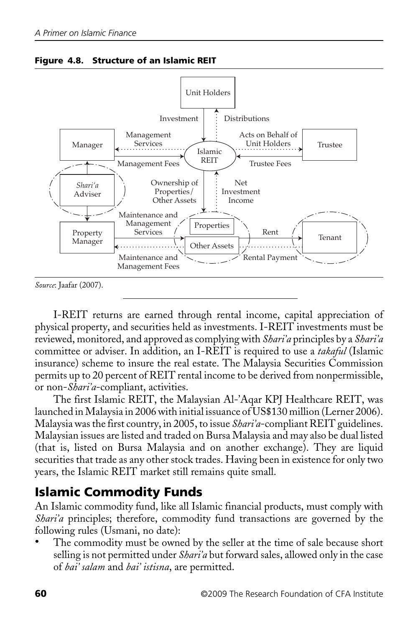

**Figure 4.8. Structure of an Islamic REIT**

I-REIT returns are earned through rental income, capital appreciation of physical property, and securities held as investments. I-REIT investments must be reviewed, monitored, and approved as complying with *Shari'a* principles by a *Shari'a* committee or adviser. In addition, an I-REIT is required to use a *takaful* (Islamic insurance) scheme to insure the real estate. The Malaysia Securities Commission permits up to 20 percent of REIT rental income to be derived from nonpermissible, or non-*Shari'a*-compliant, activities.

The first Islamic REIT, the Malaysian Al-'Aqar KPJ Healthcare REIT, was launched in Malaysia in 2006 with initial issuance of US\$130 million (Lerner 2006). Malaysia was the first country, in 2005, to issue *Shari'a*-compliant REIT guidelines. Malaysian issues are listed and traded on Bursa Malaysia and may also be dual listed (that is, listed on Bursa Malaysia and on another exchange). They are liquid securities that trade as any other stock trades. Having been in existence for only two years, the Islamic REIT market still remains quite small.

# **Islamic Commodity Funds**

An Islamic commodity fund, like all Islamic financial products, must comply with *Shari'a* principles; therefore, commodity fund transactions are governed by the following rules (Usmani, no date):

The commodity must be owned by the seller at the time of sale because short selling is not permitted under *Shari'a* but forward sales, allowed only in the case of *bai' salam* and *bai' istisna*, are permitted.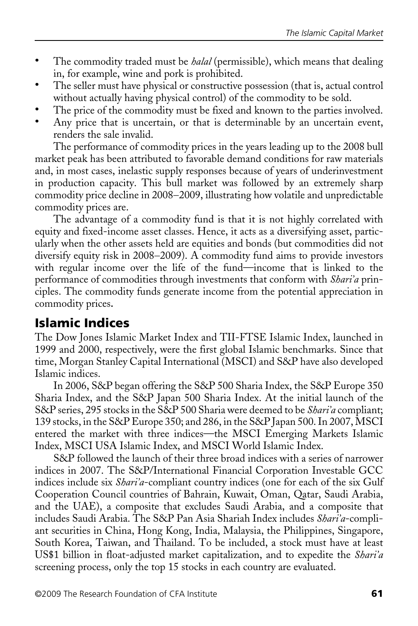- The commodity traded must be *halal* (permissible), which means that dealing in, for example, wine and pork is prohibited.
- The seller must have physical or constructive possession (that is, actual control without actually having physical control) of the commodity to be sold.
- The price of the commodity must be fixed and known to the parties involved.
- Any price that is uncertain, or that is determinable by an uncertain event, renders the sale invalid.

The performance of commodity prices in the years leading up to the 2008 bull market peak has been attributed to favorable demand conditions for raw materials and, in most cases, inelastic supply responses because of years of underinvestment in production capacity. This bull market was followed by an extremely sharp commodity price decline in 2008-2009, illustrating how volatile and unpredictable commodity prices are.

The advantage of a commodity fund is that it is not highly correlated with equity and fixed-income asset classes. Hence, it acts as a diversifying asset, particularly when the other assets held are equities and bonds (but commodities did not diversify equity risk in 2008-2009). A commodity fund aims to provide investors with regular income over the life of the fund—income that is linked to the performance of commodities through investments that conform with *Shari'a* principles. The commodity funds generate income from the potential appreciation in commodity prices**.**

### **Islamic Indices**

The Dow Jones Islamic Market Index and TII-FTSE Islamic Index, launched in 1999 and 2000, respectively, were the first global Islamic benchmarks. Since that time, Morgan Stanley Capital International (MSCI) and S&P have also developed Islamic indices.

In 2006, S&P began offering the S&P 500 Sharia Index, the S&P Europe 350 Sharia Index, and the S&P Japan 500 Sharia Index. At the initial launch of the S&P series, 295 stocks in the S&P 500 Sharia were deemed to be *Shari'a* compliant; 139 stocks, in the S&P Europe 350; and 286, in the S&P Japan 500. In 2007, MSCI entered the market with three indices—the MSCI Emerging Markets Islamic Index, MSCI USA Islamic Index, and MSCI World Islamic Index.

S&P followed the launch of their three broad indices with a series of narrower indices in 2007. The S&P/International Financial Corporation Investable GCC indices include six *Shari'a*-compliant country indices (one for each of the six Gulf Cooperation Council countries of Bahrain, Kuwait, Oman, Qatar, Saudi Arabia, and the UAE), a composite that excludes Saudi Arabia, and a composite that includes Saudi Arabia. The S&P Pan Asia Shariah Index includes *Shari'a*-compliant securities in China, Hong Kong, India, Malaysia, the Philippines, Singapore, South Korea, Taiwan, and Thailand. To be included, a stock must have at least US\$1 billion in float-adjusted market capitalization, and to expedite the *Shari'a* screening process, only the top 15 stocks in each country are evaluated.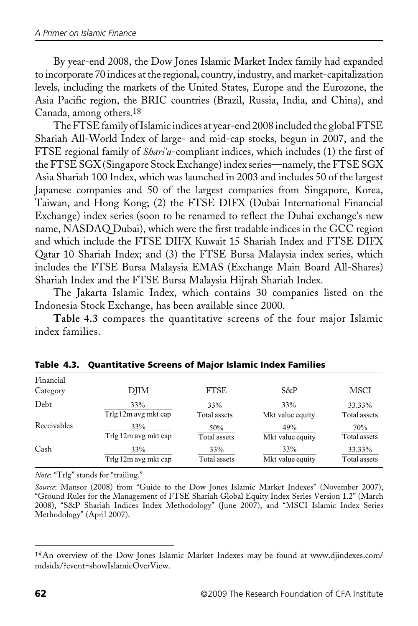By year-end 2008, the Dow Jones Islamic Market Index family had expanded to incorporate 70 indices at the regional, country, industry, and market-capitalization levels, including the markets of the United States, Europe and the Eurozone, the Asia Pacific region, the BRIC countries (Brazil, Russia, India, and China), and Canada, among others.18

The FTSE family of Islamic indices at year-end 2008 included the global FTSE Shariah All-World Index of large- and mid-cap stocks, begun in 2007, and the FTSE regional family of *Shari'a*-compliant indices, which includes (1) the first of the FTSE SGX (Singapore Stock Exchange) index series—namely, the FTSE SGX Asia Shariah 100 Index, which was launched in 2003 and includes 50 of the largest Japanese companies and 50 of the largest companies from Singapore, Korea, Taiwan, and Hong Kong; (2) the FTSE DIFX (Dubai International Financial Exchange) index series (soon to be renamed to reflect the Dubai exchange's new name, NASDAQ Dubai), which were the first tradable indices in the GCC region and which include the FTSE DIFX Kuwait 15 Shariah Index and FTSE DIFX Qatar 10 Shariah Index; and (3) the FTSE Bursa Malaysia index series, which includes the FTSE Bursa Malaysia EMAS (Exchange Main Board All-Shares) Shariah Index and the FTSE Bursa Malaysia Hijrah Shariah Index.

The Jakarta Islamic Index, which contains 30 companies listed on the Indonesia Stock Exchange, has been available since 2000.

**Table 4.3** compares the quantitative screens of the four major Islamic index families.

| Financial<br>Category | DJIM                 | <b>FTSE</b>  | S&P              | <b>MSCI</b>  |
|-----------------------|----------------------|--------------|------------------|--------------|
| Debt                  | 33%                  | 33%          | 33%              | 33.33%       |
|                       | Trlg 12m avg mkt cap | Total assets | Mkt value equity | Total assets |
| Receivables           | 33%                  | 50%          | 49%              | 70%          |
|                       | Trlg 12m avg mkt cap | Total assets | Mkt value equity | Total assets |
| Cash                  | 33%                  | 33%          | 33%              | 33.33%       |
|                       | Trlg 12m avg mkt cap | Total assets | Mkt value equity | Total assets |

**Table 4.3. Quantitative Screens of Major Islamic Index Families**

*Note*: "Trlg" stands for "trailing."

*Source*: Mansor (2008) from "Guide to the Dow Jones Islamic Market Indexes" (November 2007), "Ground Rules for the Management of FTSE Shariah Global Equity Index Series Version 1.2" (March 2008), "S&P Shariah Indices Index Methodology" (June 2007), and "MSCI Islamic Index Series Methodology" (April 2007).

[<sup>18</sup>An overview of the Dow Jones Islamic Market Indexes may be found at www.djindexes.com/](http://www.djindexes.com/mdsidx/?event=showIslamicOverView) mdsidx/?event=showIslamicOverView.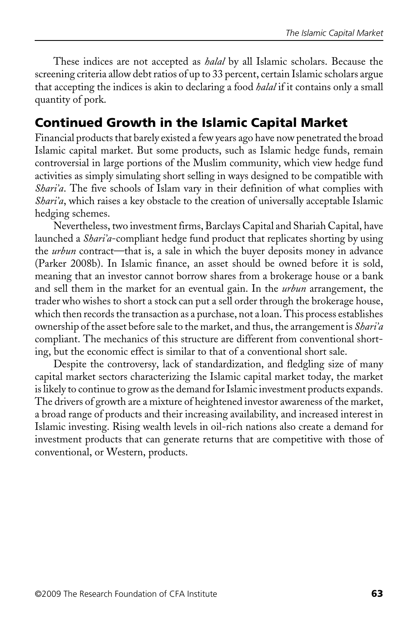These indices are not accepted as *halal* by all Islamic scholars. Because the screening criteria allow debt ratios of up to 33 percent, certain Islamic scholars argue that accepting the indices is akin to declaring a food *halal* if it contains only a small quantity of pork.

### **Continued Growth in the Islamic Capital Market**

Financial products that barely existed a few years ago have now penetrated the broad Islamic capital market. But some products, such as Islamic hedge funds, remain controversial in large portions of the Muslim community, which view hedge fund activities as simply simulating short selling in ways designed to be compatible with *Shari'a*. The five schools of Islam vary in their definition of what complies with *Shari'a*, which raises a key obstacle to the creation of universally acceptable Islamic hedging schemes.

Nevertheless, two investment firms, Barclays Capital and Shariah Capital, have launched a *Shari'a*-compliant hedge fund product that replicates shorting by using the *urbun* contract—that is, a sale in which the buyer deposits money in advance (Parker 2008b). In Islamic finance, an asset should be owned before it is sold, meaning that an investor cannot borrow shares from a brokerage house or a bank and sell them in the market for an eventual gain. In the *urbun* arrangement, the trader who wishes to short a stock can put a sell order through the brokerage house, which then records the transaction as a purchase, not a loan. This process establishes ownership of the asset before sale to the market, and thus, the arrangement is *Shari'a* compliant. The mechanics of this structure are different from conventional shorting, but the economic effect is similar to that of a conventional short sale.

Despite the controversy, lack of standardization, and fledgling size of many capital market sectors characterizing the Islamic capital market today, the market is likely to continue to grow as the demand for Islamic investment products expands. The drivers of growth are a mixture of heightened investor awareness of the market, a broad range of products and their increasing availability, and increased interest in Islamic investing. Rising wealth levels in oil-rich nations also create a demand for investment products that can generate returns that are competitive with those of conventional, or Western, products.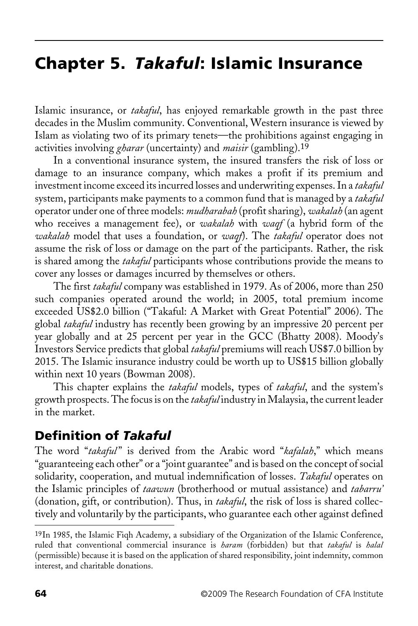# **Chapter 5.** *Takaful***: Islamic Insurance**

Islamic insurance, or *takaful*, has enjoyed remarkable growth in the past three decades in the Muslim community. Conventional, Western insurance is viewed by Islam as violating two of its primary tenets—the prohibitions against engaging in activities involving *gharar* (uncertainty) and *maisir* (gambling).19

In a conventional insurance system, the insured transfers the risk of loss or damage to an insurance company, which makes a profit if its premium and investment income exceed its incurred losses and underwriting expenses. In a *takaful* system, participants make payments to a common fund that is managed by a *takaful* operator under one of three models: *mudharabah* (profit sharing), *wakalah* (an agent who receives a management fee), or *wakalah* with *waqf* (a hybrid form of the *wakalah* model that uses a foundation, or *waqf*). The *takaful* operator does not assume the risk of loss or damage on the part of the participants. Rather, the risk is shared among the *takaful* participants whose contributions provide the means to cover any losses or damages incurred by themselves or others.

The first *takaful* company was established in 1979. As of 2006, more than 250 such companies operated around the world; in 2005, total premium income exceeded US\$2.0 billion ("Takaful: A Market with Great Potential" 2006). The global *takaful* industry has recently been growing by an impressive 20 percent per year globally and at 25 percent per year in the GCC (Bhatty 2008). Moody's Investors Service predicts that global *takaful* premiums will reach US\$7.0 billion by 2015. The Islamic insurance industry could be worth up to US\$15 billion globally within next 10 years (Bowman 2008).

This chapter explains the *takaful* models, types of *takaful*, and the system's growth prospects. The focus is on the *takaful* industry in Malaysia, the current leader in the market.

### **Definition of** *Takaful*

The word "*takaful*" is derived from the Arabic word "*kafalah*," which means "guaranteeing each other" or a "joint guarantee" and is based on the concept of social solidarity, cooperation, and mutual indemnification of losses. *Takaful* operates on the Islamic principles of *taawun* (brotherhood or mutual assistance) and *tabarru'* (donation, gift, or contribution). Thus, in *takaful*, the risk of loss is shared collectively and voluntarily by the participants, who guarantee each other against defined

<sup>19</sup>In 1985, the Islamic Fiqh Academy, a subsidiary of the Organization of the Islamic Conference, ruled that conventional commercial insurance is *haram* (forbidden) but that *takaful* is *halal* (permissible) because it is based on the application of shared responsibility, joint indemnity, common interest, and charitable donations.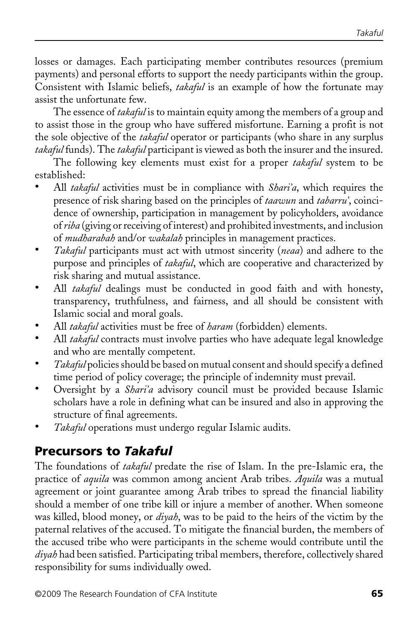losses or damages. Each participating member contributes resources (premium payments) and personal efforts to support the needy participants within the group. Consistent with Islamic beliefs, *takaful* is an example of how the fortunate may assist the unfortunate few.

The essence of *takaful* is to maintain equity among the members of a group and to assist those in the group who have suffered misfortune. Earning a profit is not the sole objective of the *takaful* operator or participants (who share in any surplus *takaful* funds). The *takaful* participant is viewed as both the insurer and the insured.

The following key elements must exist for a proper *takaful* system to be established:

- All *takaful* activities must be in compliance with *Shari'a*, which requires the presence of risk sharing based on the principles of *taawun* and *tabarru'*, coincidence of ownership, participation in management by policyholders, avoidance of *riba* (giving or receiving of interest) and prohibited investments, and inclusion of *mudharabah* and/or *wakalah* principles in management practices.
- *Takaful* participants must act with utmost sincerity (*neaa*) and adhere to the purpose and principles of *takaful*, which are cooperative and characterized by risk sharing and mutual assistance.
- All *takaful* dealings must be conducted in good faith and with honesty, transparency, truthfulness, and fairness, and all should be consistent with Islamic social and moral goals.
- All *takaful* activities must be free of *haram* (forbidden) elements.
- All *takaful* contracts must involve parties who have adequate legal knowledge and who are mentally competent.
- *Takaful* policies should be based on mutual consent and should specify a defined time period of policy coverage; the principle of indemnity must prevail.
- Oversight by a *Shari'a* advisory council must be provided because Islamic scholars have a role in defining what can be insured and also in approving the structure of final agreements.
- *Takaful* operations must undergo regular Islamic audits.

### **Precursors to** *Takaful*

The foundations of *takaful* predate the rise of Islam. In the pre-Islamic era, the practice of *aquila* was common among ancient Arab tribes. *Aquila* was a mutual agreement or joint guarantee among Arab tribes to spread the financial liability should a member of one tribe kill or injure a member of another. When someone was killed, blood money, or *diyah*, was to be paid to the heirs of the victim by the paternal relatives of the accused. To mitigate the financial burden, the members of the accused tribe who were participants in the scheme would contribute until the *diyah* had been satisfied. Participating tribal members, therefore, collectively shared responsibility for sums individually owed.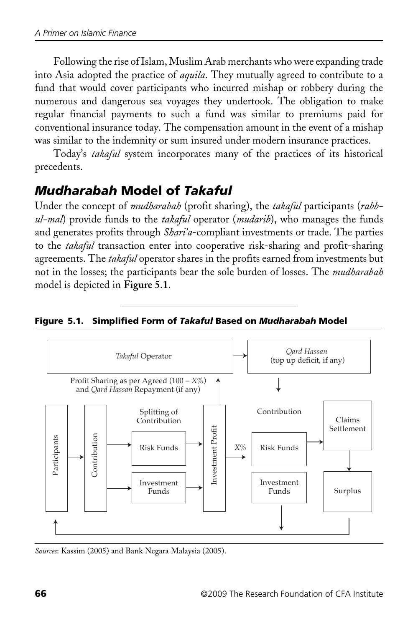Following the rise of Islam, Muslim Arab merchants who were expanding trade into Asia adopted the practice of *aquila*. They mutually agreed to contribute to a fund that would cover participants who incurred mishap or robbery during the numerous and dangerous sea voyages they undertook. The obligation to make regular financial payments to such a fund was similar to premiums paid for conventional insurance today. The compensation amount in the event of a mishap was similar to the indemnity or sum insured under modern insurance practices.

Today's *takaful* system incorporates many of the practices of its historical precedents.

## *Mudharabah* **Model of** *Takaful*

Under the concept of *mudharabah* (profit sharing), the *takaful* participants (*rabbul-mal*) provide funds to the *takaful* operator (*mudarib*), who manages the funds and generates profits through *Shari'a*-compliant investments or trade. The parties to the *takaful* transaction enter into cooperative risk-sharing and profit-sharing agreements. The *takaful* operator shares in the profits earned from investments but not in the losses; the participants bear the sole burden of losses. The *mudharabah* model is depicted in **Figure 5.1**.



**Figure 5.1. Simplified Form of** *Takaful* **Based on** *Mudharabah* **Model**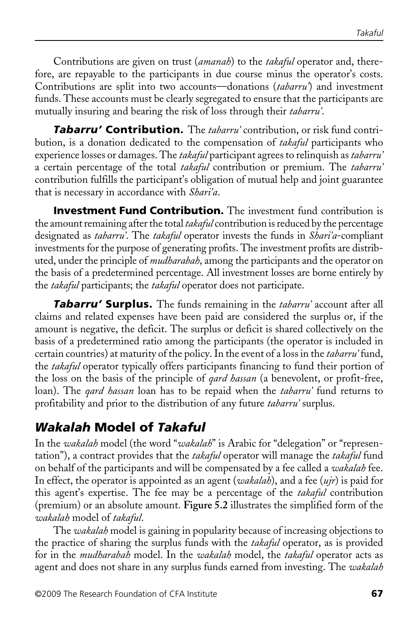Contributions are given on trust (*amanah*) to the *takaful* operator and, therefore, are repayable to the participants in due course minus the operator's costs. Contributions are split into two accounts—donations (*tabarru'*) and investment funds. These accounts must be clearly segregated to ensure that the participants are mutually insuring and bearing the risk of loss through their *tabarru'*.

*Tabarru'* **Contribution.** The *tabarru'* contribution, or risk fund contribution, is a donation dedicated to the compensation of *takaful* participants who experience losses or damages. The *takaful* participant agrees to relinquish as *tabarru'* a certain percentage of the total *takaful* contribution or premium. The *tabarru'* contribution fulfills the participant's obligation of mutual help and joint guarantee that is necessary in accordance with *Shari'a*.

**Investment Fund Contribution.** The investment fund contribution is the amount remaining after the total *takaful* contribution is reduced by the percentage designated as *tabarru'*. The *takaful* operator invests the funds in *Shari'a*-compliant investments for the purpose of generating profits. The investment profits are distributed, under the principle of *mudharabah*, among the participants and the operator on the basis of a predetermined percentage. All investment losses are borne entirely by the *takaful* participants; the *takaful* operator does not participate.

*Tabarru'* **Surplus.** The funds remaining in the *tabarru'* account after all claims and related expenses have been paid are considered the surplus or, if the amount is negative, the deficit. The surplus or deficit is shared collectively on the basis of a predetermined ratio among the participants (the operator is included in certain countries) at maturity of the policy. In the event of a loss in the *tabarru'* fund, the *takaful* operator typically offers participants financing to fund their portion of the loss on the basis of the principle of *qard hassan* (a benevolent, or profit-free, loan). The *qard hassan* loan has to be repaid when the *tabarru'* fund returns to profitability and prior to the distribution of any future *tabarru'* surplus.

# *Wakalah* **Model of** *Takaful*

In the *wakalah* model (the word "*wakalah*" is Arabic for "delegation" or "representation"), a contract provides that the *takaful* operator will manage the *takaful* fund on behalf of the participants and will be compensated by a fee called a *wakalah* fee. In effect, the operator is appointed as an agent (*wakalah*), and a fee (*ujr*) is paid for this agent's expertise. The fee may be a percentage of the *takaful* contribution (premium) or an absolute amount. **Figure 5.2** illustrates the simplified form of the *wakalah* model of *takaful*.

The *wakalah* model is gaining in popularity because of increasing objections to the practice of sharing the surplus funds with the *takaful* operator, as is provided for in the *mudharabah* model. In the *wakalah* model, the *takaful* operator acts as agent and does not share in any surplus funds earned from investing. The *wakalah*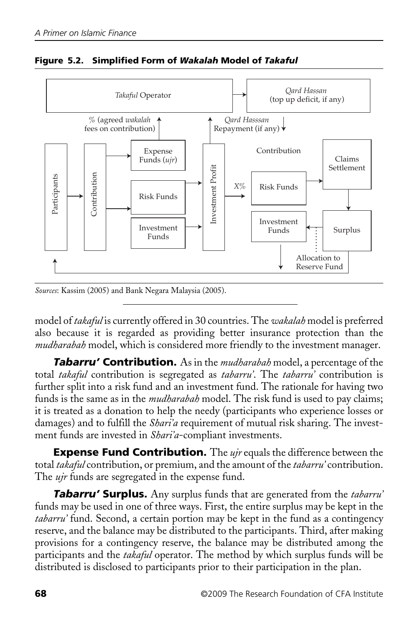

**Figure 5.2. Simplified Form of** *Wakalah* **Model of** *Takaful*

model of *takaful* is currently offered in 30 countries. The *wakalah* model is preferred also because it is regarded as providing better insurance protection than the *mudharabah* model, which is considered more friendly to the investment manager.

*Tabarru'* **Contribution.** As in the *mudharabah* model, a percentage of the total *takaful* contribution is segregated as *tabarru'*. The *tabarru'* contribution is further split into a risk fund and an investment fund. The rationale for having two funds is the same as in the *mudharabah* model. The risk fund is used to pay claims; it is treated as a donation to help the needy (participants who experience losses or damages) and to fulfill the *Shari'a* requirement of mutual risk sharing. The investment funds are invested in *Shari'a*-compliant investments.

**Expense Fund Contribution.** The *ujr* equals the difference between the total *takaful* contribution, or premium, and the amount of the *tabarru'* contribution. The *ujr* funds are segregated in the expense fund.

*Tabarru'* **Surplus.** Any surplus funds that are generated from the *tabarru'* funds may be used in one of three ways. First, the entire surplus may be kept in the *tabarru'* fund. Second, a certain portion may be kept in the fund as a contingency reserve, and the balance may be distributed to the participants. Third, after making provisions for a contingency reserve, the balance may be distributed among the participants and the *takaful* operator. The method by which surplus funds will be distributed is disclosed to participants prior to their participation in the plan.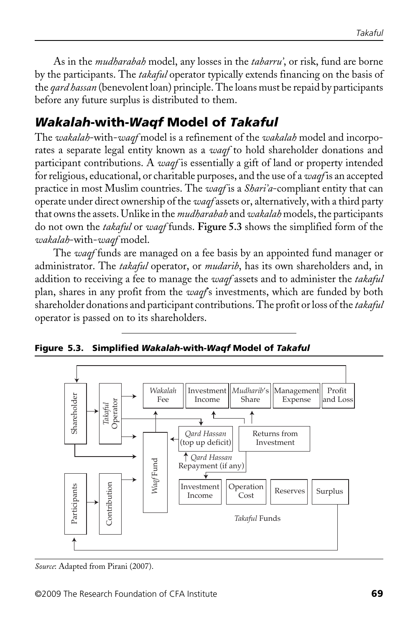As in the *mudharabah* model, any losses in the *tabarru'*, or risk, fund are borne by the participants. The *takaful* operator typically extends financing on the basis of the *qard hassan* (benevolent loan) principle. The loans must be repaid by participants before any future surplus is distributed to them.

# *Wakalah***-with-***Waqf* **Model of** *Takaful*

The *wakalah*-with-*waqf* model is a refinement of the *wakalah* model and incorporates a separate legal entity known as a *waqf* to hold shareholder donations and participant contributions. A *waqf* is essentially a gift of land or property intended for religious, educational, or charitable purposes, and the use of a *waqf* is an accepted practice in most Muslim countries. The *waqf* is a *Shari'a*-compliant entity that can operate under direct ownership of the *waqf* assets or, alternatively, with a third party that owns the assets. Unlike in the *mudharabah* and *wakalah* models, the participants do not own the *takaful* or *waqf* funds. **Figure 5.3** shows the simplified form of the *wakalah*-with-*waqf* model.

The *waqf* funds are managed on a fee basis by an appointed fund manager or administrator. The *takaful* operator, or *mudarib*, has its own shareholders and, in addition to receiving a fee to manage the *waqf* assets and to administer the *takaful* plan, shares in any profit from the *waqf*'s investments, which are funded by both shareholder donations and participant contributions. The profit or loss of the *takaful* operator is passed on to its shareholders.



**Figure 5.3. Simplified** *Wakalah***-with-***Waqf* **Model of** *Takaful*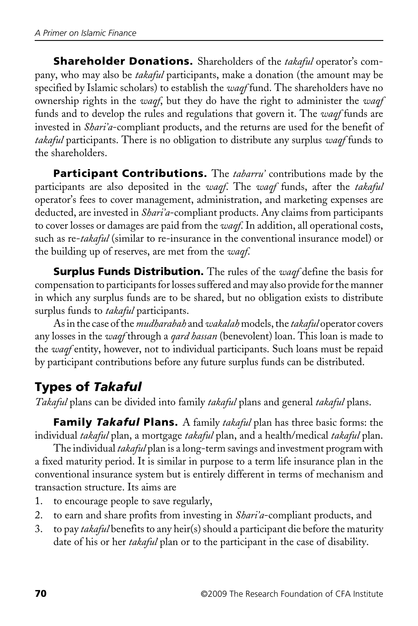**Shareholder Donations.** Shareholders of the *takaful* operator's company, who may also be *takaful* participants, make a donation (the amount may be specified by Islamic scholars) to establish the *waqf* fund. The shareholders have no ownership rights in the *waqf*, but they do have the right to administer the *waqf* funds and to develop the rules and regulations that govern it. The *waqf* funds are invested in *Shari'a*-compliant products, and the returns are used for the benefit of *takaful* participants. There is no obligation to distribute any surplus *waqf* funds to the shareholders.

**Participant Contributions.** The *tabarru'* contributions made by the participants are also deposited in the *waqf*. The *waqf* funds, after the *takaful* operator's fees to cover management, administration, and marketing expenses are deducted, are invested in *Shari'a*-compliant products. Any claims from participants to cover losses or damages are paid from the *waqf*. In addition, all operational costs, such as re-*takaful* (similar to re-insurance in the conventional insurance model) or the building up of reserves, are met from the *waqf*.

**Surplus Funds Distribution.** The rules of the *waqf* define the basis for compensation to participants for losses suffered and may also provide for the manner in which any surplus funds are to be shared, but no obligation exists to distribute surplus funds to *takaful* participants.

As in the case of the *mudharabah* and *wakalah* models, the *takaful* operator covers any losses in the *waqf* through a *qard hassan* (benevolent) loan. This loan is made to the *waqf* entity, however, not to individual participants. Such loans must be repaid by participant contributions before any future surplus funds can be distributed.

# **Types of** *Takaful*

*Takaful* plans can be divided into family *takaful* plans and general *takaful* plans.

**Family** *Takaful* **Plans.** A family *takaful* plan has three basic forms: the individual *takaful* plan, a mortgage *takaful* plan, and a health/medical *takaful* plan.

The individual *takaful* plan is a long-term savings and investment program with a fixed maturity period. It is similar in purpose to a term life insurance plan in the conventional insurance system but is entirely different in terms of mechanism and transaction structure. Its aims are

- 1. to encourage people to save regularly,
- 2. to earn and share profits from investing in *Shari'a*-compliant products, and
- 3. to pay *takaful* benefits to any heir(s) should a participant die before the maturity date of his or her *takaful* plan or to the participant in the case of disability.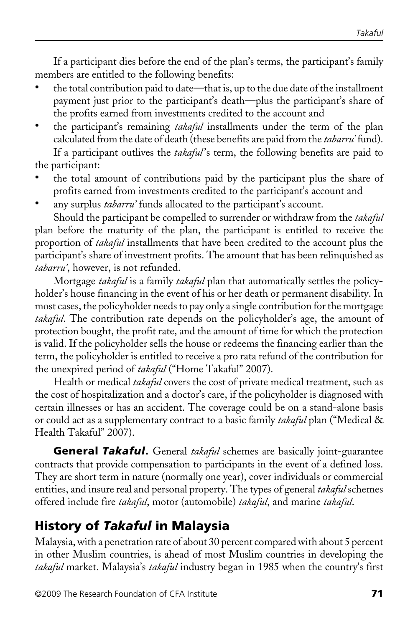If a participant dies before the end of the plan's terms, the participant's family members are entitled to the following benefits:

- the total contribution paid to date—that is, up to the due date of the installment payment just prior to the participant's death—plus the participant's share of the profits earned from investments credited to the account and
- the participant's remaining *takaful* installments under the term of the plan calculated from the date of death (these benefits are paid from the *tabarru'* fund). If a participant outlives the *takaful*'s term, the following benefits are paid to the participant:
- the total amount of contributions paid by the participant plus the share of profits earned from investments credited to the participant's account and
- any surplus *tabarru'* funds allocated to the participant's account.

Should the participant be compelled to surrender or withdraw from the *takaful* plan before the maturity of the plan, the participant is entitled to receive the proportion of *takaful* installments that have been credited to the account plus the participant's share of investment profits. The amount that has been relinquished as *tabarru'*, however, is not refunded.

Mortgage *takaful* is a family *takaful* plan that automatically settles the policyholder's house financing in the event of his or her death or permanent disability. In most cases, the policyholder needs to pay only a single contribution for the mortgage *takaful*. The contribution rate depends on the policyholder's age, the amount of protection bought, the profit rate, and the amount of time for which the protection is valid. If the policyholder sells the house or redeems the financing earlier than the term, the policyholder is entitled to receive a pro rata refund of the contribution for the unexpired period of *takaful* ("Home Takaful" 2007).

Health or medical *takaful* covers the cost of private medical treatment, such as the cost of hospitalization and a doctor's care, if the policyholder is diagnosed with certain illnesses or has an accident. The coverage could be on a stand-alone basis or could act as a supplementary contract to a basic family *takaful* plan ("Medical & Health Takaful" 2007).

**General** *Takaful***.** General *takaful* schemes are basically joint-guarantee contracts that provide compensation to participants in the event of a defined loss. They are short term in nature (normally one year), cover individuals or commercial entities, and insure real and personal property. The types of general *takaful* schemes offered include fire *takaful*, motor (automobile) *takaful*, and marine *takaful*.

# **History of** *Takaful* **in Malaysia**

Malaysia, with a penetration rate of about 30 percent compared with about 5 percent in other Muslim countries, is ahead of most Muslim countries in developing the *takaful* market. Malaysia's *takaful* industry began in 1985 when the country's first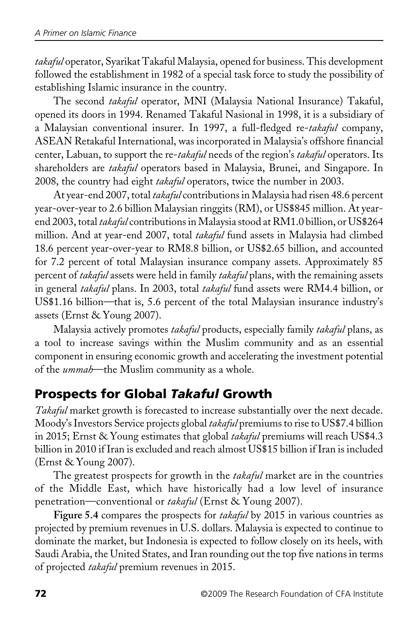*takaful* operator, Syarikat Takaful Malaysia, opened for business. This development followed the establishment in 1982 of a special task force to study the possibility of establishing Islamic insurance in the country.

The second *takaful* operator, MNI (Malaysia National Insurance) Takaful, opened its doors in 1994. Renamed Takaful Nasional in 1998, it is a subsidiary of a Malaysian conventional insurer. In 1997, a full-fledged re-*takaful* company, ASEAN Retakaful International, was incorporated in Malaysia's offshore financial center, Labuan, to support the re-*takaful* needs of the region's *takaful* operators. Its shareholders are *takaful* operators based in Malaysia, Brunei, and Singapore. In 2008, the country had eight *takaful* operators, twice the number in 2003.

At year-end 2007, total *takaful* contributions in Malaysia had risen 48.6 percent year-over-year to 2.6 billion Malaysian ringgits (RM), or US\$845 million. At yearend 2003, total *takaful* contributions in Malaysia stood at RM1.0 billion, or US\$264 million. And at year-end 2007, total *takaful* fund assets in Malaysia had climbed 18.6 percent year-over-year to RM8.8 billion, or US\$2.65 billion, and accounted for 7.2 percent of total Malaysian insurance company assets. Approximately 85 percent of *takaful* assets were held in family *takaful* plans, with the remaining assets in general *takaful* plans. In 2003, total *takaful* fund assets were RM4.4 billion, or US\$1.16 billion—that is, 5.6 percent of the total Malaysian insurance industry's assets (Ernst & Young 2007).

Malaysia actively promotes *takaful* products, especially family *takaful* plans, as a tool to increase savings within the Muslim community and as an essential component in ensuring economic growth and accelerating the investment potential of the *ummah*—the Muslim community as a whole.

#### **Prospects for Global** *Takaful* **Growth**

*Takaful* market growth is forecasted to increase substantially over the next decade. Moody's Investors Service projects global *takaful* premiums to rise to US\$7.4 billion in 2015; Ernst & Young estimates that global *takaful* premiums will reach US\$4.3 billion in 2010 if Iran is excluded and reach almost US\$15 billion if Iran is included (Ernst & Young 2007).

The greatest prospects for growth in the *takaful* market are in the countries of the Middle East, which have historically had a low level of insurance penetration—conventional or *takaful* (Ernst & Young 2007).

**Figure 5.4** compares the prospects for *takaful* by 2015 in various countries as projected by premium revenues in U.S. dollars. Malaysia is expected to continue to dominate the market, but Indonesia is expected to follow closely on its heels, with Saudi Arabia, the United States, and Iran rounding out the top five nations in terms of projected *takaful* premium revenues in 2015.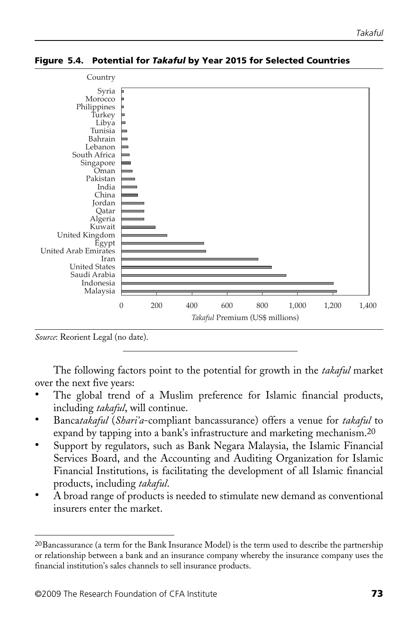

**Figure 5.4. Potential for** *Takaful* **by Year 2015 for Selected Countries**

*Source*: Reorient Legal (no date).

The following factors point to the potential for growth in the *takaful* market over the next five years:

- The global trend of a Muslim preference for Islamic financial products, including *takaful*, will continue.
- Banca*takaful* (*Shari'a*-compliant bancassurance) offers a venue for *takaful* to expand by tapping into a bank's infrastructure and marketing mechanism.20
- Support by regulators, such as Bank Negara Malaysia, the Islamic Financial Services Board, and the Accounting and Auditing Organization for Islamic Financial Institutions, is facilitating the development of all Islamic financial products, including *takaful*.
- A broad range of products is needed to stimulate new demand as conventional insurers enter the market.

<sup>20</sup>Bancassurance (a term for the Bank Insurance Model) is the term used to describe the partnership or relationship between a bank and an insurance company whereby the insurance company uses the financial institution's sales channels to sell insurance products.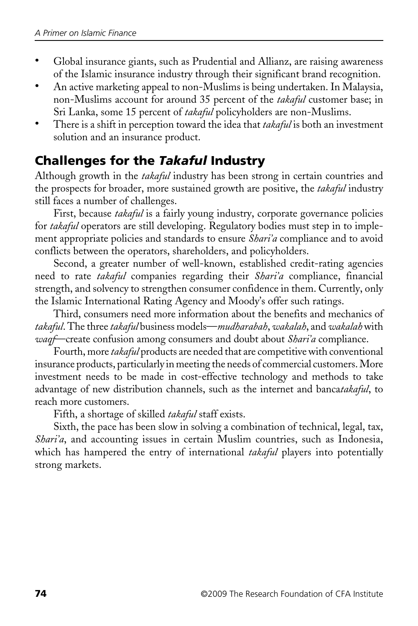- Global insurance giants, such as Prudential and Allianz, are raising awareness of the Islamic insurance industry through their significant brand recognition.
- An active marketing appeal to non-Muslims is being undertaken. In Malaysia, non-Muslims account for around 35 percent of the *takaful* customer base; in Sri Lanka, some 15 percent of *takaful* policyholders are non-Muslims.
- There is a shift in perception toward the idea that *takaful* is both an investment solution and an insurance product.

#### **Challenges for the** *Takaful* **Industry**

Although growth in the *takaful* industry has been strong in certain countries and the prospects for broader, more sustained growth are positive, the *takaful* industry still faces a number of challenges.

First, because *takaful* is a fairly young industry, corporate governance policies for *takaful* operators are still developing. Regulatory bodies must step in to implement appropriate policies and standards to ensure *Shari'a* compliance and to avoid conflicts between the operators, shareholders, and policyholders.

Second, a greater number of well-known, established credit-rating agencies need to rate *takaful* companies regarding their *Shari'a* compliance, financial strength, and solvency to strengthen consumer confidence in them. Currently, only the Islamic International Rating Agency and Moody's offer such ratings.

Third, consumers need more information about the benefits and mechanics of *takaful*. The three *takaful* business models—*mudharabah*, *wakalah*, and *wakalah* with *waqf*—create confusion among consumers and doubt about *Shari'a* compliance.

Fourth, more *takaful* products are needed that are competitive with conventional insurance products, particularly in meeting the needs of commercial customers. More investment needs to be made in cost-effective technology and methods to take advantage of new distribution channels, such as the internet and banca*takaful*, to reach more customers.

Fifth, a shortage of skilled *takaful* staff exists.

Sixth, the pace has been slow in solving a combination of technical, legal, tax, *Shari'a*, and accounting issues in certain Muslim countries, such as Indonesia, which has hampered the entry of international *takaful* players into potentially strong markets.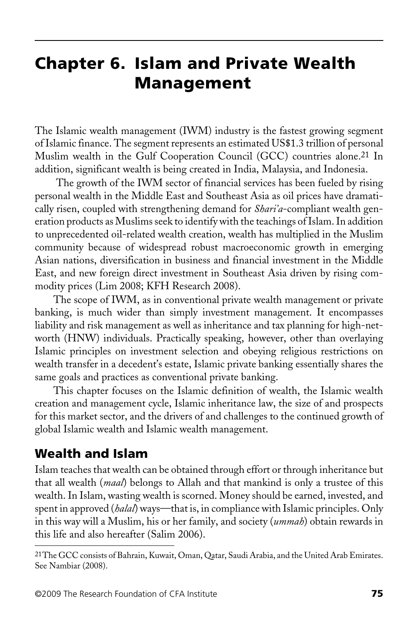# **Chapter 6. Islam and Private Wealth Management**

The Islamic wealth management (IWM) industry is the fastest growing segment of Islamic finance. The segment represents an estimated US\$1.3 trillion of personal Muslim wealth in the Gulf Cooperation Council (GCC) countries alone.21 In addition, significant wealth is being created in India, Malaysia, and Indonesia.

 The growth of the IWM sector of financial services has been fueled by rising personal wealth in the Middle East and Southeast Asia as oil prices have dramatically risen, coupled with strengthening demand for *Shari'a*-compliant wealth generation products as Muslims seek to identify with the teachings of Islam. In addition to unprecedented oil-related wealth creation, wealth has multiplied in the Muslim community because of widespread robust macroeconomic growth in emerging Asian nations, diversification in business and financial investment in the Middle East, and new foreign direct investment in Southeast Asia driven by rising commodity prices (Lim 2008; KFH Research 2008).

The scope of IWM, as in conventional private wealth management or private banking, is much wider than simply investment management. It encompasses liability and risk management as well as inheritance and tax planning for high-networth (HNW) individuals. Practically speaking, however, other than overlaying Islamic principles on investment selection and obeying religious restrictions on wealth transfer in a decedent's estate, Islamic private banking essentially shares the same goals and practices as conventional private banking.

This chapter focuses on the Islamic definition of wealth, the Islamic wealth creation and management cycle, Islamic inheritance law, the size of and prospects for this market sector, and the drivers of and challenges to the continued growth of global Islamic wealth and Islamic wealth management.

#### **Wealth and Islam**

Islam teaches that wealth can be obtained through effort or through inheritance but that all wealth (*maal*) belongs to Allah and that mankind is only a trustee of this wealth. In Islam, wasting wealth is scorned. Money should be earned, invested, and spent in approved (*halal*) ways—that is, in compliance with Islamic principles. Only in this way will a Muslim, his or her family, and society (*ummah*) obtain rewards in this life and also hereafter (Salim 2006).

<sup>21</sup>The GCC consists of Bahrain, Kuwait, Oman, Qatar, Saudi Arabia, and the United Arab Emirates. See Nambiar (2008).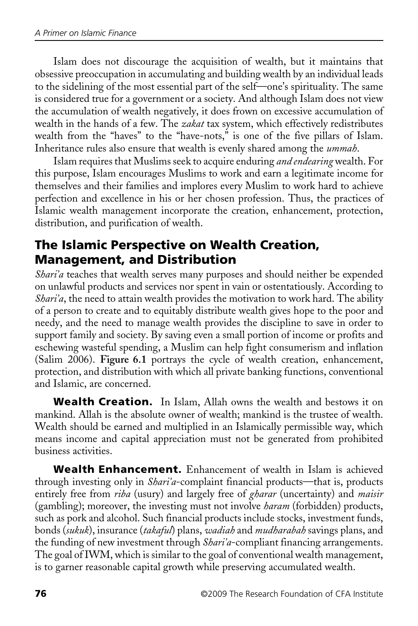Islam does not discourage the acquisition of wealth, but it maintains that obsessive preoccupation in accumulating and building wealth by an individual leads to the sidelining of the most essential part of the self—one's spirituality. The same is considered true for a government or a society. And although Islam does not view the accumulation of wealth negatively, it does frown on excessive accumulation of wealth in the hands of a few. The *zakat* tax system, which effectively redistributes wealth from the "haves" to the "have-nots," is one of the five pillars of Islam. Inheritance rules also ensure that wealth is evenly shared among the *ummah*.

Islam requires that Muslims seek to acquire enduring *and endearing* wealth. For this purpose, Islam encourages Muslims to work and earn a legitimate income for themselves and their families and implores every Muslim to work hard to achieve perfection and excellence in his or her chosen profession. Thus, the practices of Islamic wealth management incorporate the creation, enhancement, protection, distribution, and purification of wealth.

#### **The Islamic Perspective on Wealth Creation, Management, and Distribution**

*Shari'a* teaches that wealth serves many purposes and should neither be expended on unlawful products and services nor spent in vain or ostentatiously. According to *Shari'a*, the need to attain wealth provides the motivation to work hard. The ability of a person to create and to equitably distribute wealth gives hope to the poor and needy, and the need to manage wealth provides the discipline to save in order to support family and society. By saving even a small portion of income or profits and eschewing wasteful spending, a Muslim can help fight consumerism and inflation (Salim 2006). **Figure 6.1** portrays the cycle of wealth creation, enhancement, protection, and distribution with which all private banking functions, conventional and Islamic, are concerned.

**Wealth Creation.** In Islam, Allah owns the wealth and bestows it on mankind. Allah is the absolute owner of wealth; mankind is the trustee of wealth. Wealth should be earned and multiplied in an Islamically permissible way, which means income and capital appreciation must not be generated from prohibited business activities.

**Wealth Enhancement.** Enhancement of wealth in Islam is achieved through investing only in *Shari'a*-complaint financial products—that is, products entirely free from *riba* (usury) and largely free of *gharar* (uncertainty) and *maisir* (gambling); moreover, the investing must not involve *haram* (forbidden) products, such as pork and alcohol. Such financial products include stocks, investment funds, bonds (*sukuk*), insurance (*takaful*) plans, *wadiah* and *mudharabah* savings plans, and the funding of new investment through *Shari'a*-compliant financing arrangements. The goal of IWM, which is similar to the goal of conventional wealth management, is to garner reasonable capital growth while preserving accumulated wealth.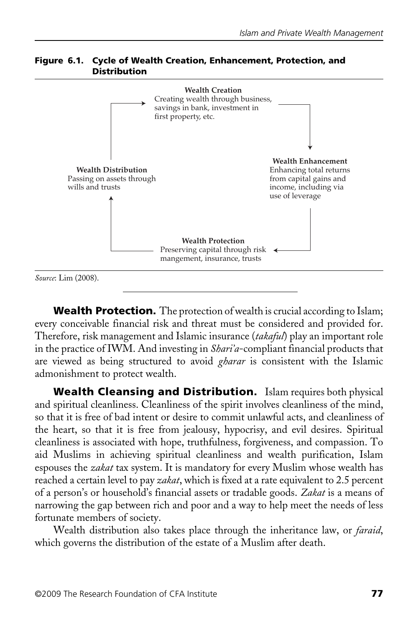#### **Figure 6.1. Cycle of Wealth Creation, Enhancement, Protection, and Distribution**



**Wealth Protection.** The protection of wealth is crucial according to Islam; every conceivable financial risk and threat must be considered and provided for. Therefore, risk management and Islamic insurance (*takaful*) play an important role in the practice of IWM. And investing in *Shari'a*-compliant financial products that are viewed as being structured to avoid *gharar* is consistent with the Islamic admonishment to protect wealth.

**Wealth Cleansing and Distribution.** Islam requires both physical and spiritual cleanliness. Cleanliness of the spirit involves cleanliness of the mind, so that it is free of bad intent or desire to commit unlawful acts, and cleanliness of the heart, so that it is free from jealousy, hypocrisy, and evil desires. Spiritual cleanliness is associated with hope, truthfulness, forgiveness, and compassion. To aid Muslims in achieving spiritual cleanliness and wealth purification, Islam espouses the *zakat* tax system. It is mandatory for every Muslim whose wealth has reached a certain level to pay *zakat*, which is fixed at a rate equivalent to 2.5 percent of a person's or household's financial assets or tradable goods. *Zakat* is a means of narrowing the gap between rich and poor and a way to help meet the needs of less fortunate members of society.

Wealth distribution also takes place through the inheritance law, or *faraid*, which governs the distribution of the estate of a Muslim after death.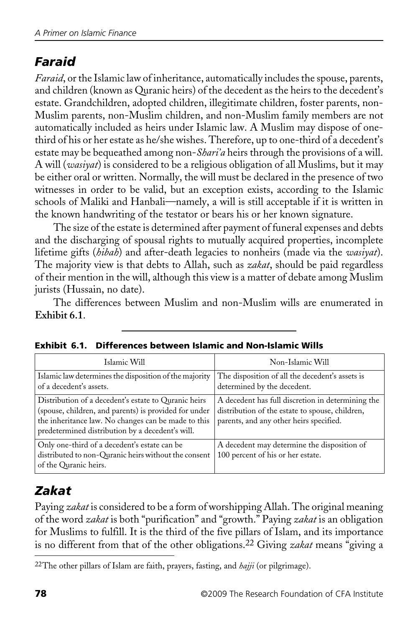# *Faraid*

*Faraid*, or the Islamic law of inheritance, automatically includes the spouse, parents, and children (known as Quranic heirs) of the decedent as the heirs to the decedent's estate. Grandchildren, adopted children, illegitimate children, foster parents, non-Muslim parents, non-Muslim children, and non-Muslim family members are not automatically included as heirs under Islamic law. A Muslim may dispose of onethird of his or her estate as he/she wishes. Therefore, up to one-third of a decedent's estate may be bequeathed among non-*Shari'a* heirs through the provisions of a will. A will (*wasiyat*) is considered to be a religious obligation of all Muslims, but it may be either oral or written. Normally, the will must be declared in the presence of two witnesses in order to be valid, but an exception exists, according to the Islamic schools of Maliki and Hanbali—namely, a will is still acceptable if it is written in the known handwriting of the testator or bears his or her known signature.

The size of the estate is determined after payment of funeral expenses and debts and the discharging of spousal rights to mutually acquired properties, incomplete lifetime gifts (*hibah*) and after-death legacies to nonheirs (made via the *wasiyat*). The majority view is that debts to Allah, such as *zakat*, should be paid regardless of their mention in the will, although this view is a matter of debate among Muslim jurists (Hussain, no date).

The differences between Muslim and non-Muslim wills are enumerated in **Exhibit 6.1**.

| Islamic Will                                                                                                                                                                                                             | Non-Islamic Will                                                                                                                                |
|--------------------------------------------------------------------------------------------------------------------------------------------------------------------------------------------------------------------------|-------------------------------------------------------------------------------------------------------------------------------------------------|
| Islamic law determines the disposition of the majority<br>of a decedent's assets.                                                                                                                                        | The disposition of all the decedent's assets is<br>determined by the decedent.                                                                  |
| Distribution of a decedent's estate to Quranic heirs<br>(spouse, children, and parents) is provided for under<br>the inheritance law. No changes can be made to this<br>predetermined distribution by a decedent's will. | A decedent has full discretion in determining the<br>distribution of the estate to spouse, children,<br>parents, and any other heirs specified. |
| Only one-third of a decedent's estate can be<br>distributed to non-Quranic heirs without the consent<br>of the Ouranic heirs.                                                                                            | A decedent may determine the disposition of<br>100 percent of his or her estate.                                                                |

**Exhibit 6.1. Differences between Islamic and Non-Islamic Wills**

# *Zakat*

Paying *zakat* is considered to be a form of worshipping Allah. The original meaning of the word *zakat* is both "purification" and "growth." Paying *zakat* is an obligation for Muslims to fulfill. It is the third of the five pillars of Islam, and its importance is no different from that of the other obligations.22 Giving *zakat* means "giving a

<sup>22</sup>The other pillars of Islam are faith, prayers, fasting, and *hajji* (or pilgrimage).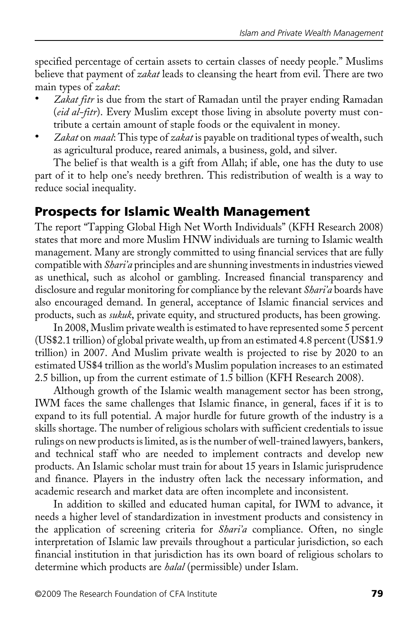specified percentage of certain assets to certain classes of needy people." Muslims believe that payment of *zakat* leads to cleansing the heart from evil. There are two main types of *zakat*:

- Zakat fitr is due from the start of Ramadan until the prayer ending Ramadan (*eid al-fitr*). Every Muslim except those living in absolute poverty must contribute a certain amount of staple foods or the equivalent in money.
- *Zakat* on *maal*: This type of *zakat* is payable on traditional types of wealth, such as agricultural produce, reared animals, a business, gold, and silver.

The belief is that wealth is a gift from Allah; if able, one has the duty to use part of it to help one's needy brethren. This redistribution of wealth is a way to reduce social inequality.

#### **Prospects for Islamic Wealth Management**

The report "Tapping Global High Net Worth Individuals" (KFH Research 2008) states that more and more Muslim HNW individuals are turning to Islamic wealth management. Many are strongly committed to using financial services that are fully compatible with *Shari'a* principles and are shunning investments in industries viewed as unethical, such as alcohol or gambling. Increased financial transparency and disclosure and regular monitoring for compliance by the relevant *Shari'a* boards have also encouraged demand. In general, acceptance of Islamic financial services and products, such as *sukuk*, private equity, and structured products, has been growing.

In 2008, Muslim private wealth is estimated to have represented some 5 percent (US\$2.1 trillion) of global private wealth, up from an estimated 4.8 percent (US\$1.9 trillion) in 2007. And Muslim private wealth is projected to rise by 2020 to an estimated US\$4 trillion as the world's Muslim population increases to an estimated 2.5 billion, up from the current estimate of 1.5 billion (KFH Research 2008).

Although growth of the Islamic wealth management sector has been strong, IWM faces the same challenges that Islamic finance, in general, faces if it is to expand to its full potential. A major hurdle for future growth of the industry is a skills shortage. The number of religious scholars with sufficient credentials to issue rulings on new products is limited, as is the number of well-trained lawyers, bankers, and technical staff who are needed to implement contracts and develop new products. An Islamic scholar must train for about 15 years in Islamic jurisprudence and finance. Players in the industry often lack the necessary information, and academic research and market data are often incomplete and inconsistent.

In addition to skilled and educated human capital, for IWM to advance, it needs a higher level of standardization in investment products and consistency in the application of screening criteria for *Shari'a* compliance. Often, no single interpretation of Islamic law prevails throughout a particular jurisdiction, so each financial institution in that jurisdiction has its own board of religious scholars to determine which products are *halal* (permissible) under Islam.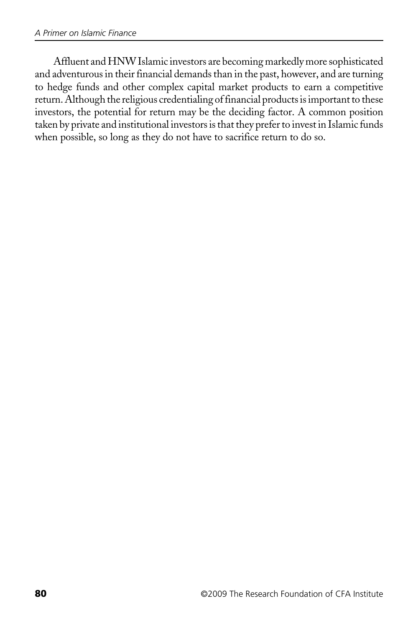Affluent and HNW Islamic investors are becoming markedly more sophisticated and adventurous in their financial demands than in the past, however, and are turning to hedge funds and other complex capital market products to earn a competitive return. Although the religious credentialing of financial products is important to these investors, the potential for return may be the deciding factor. A common position taken by private and institutional investors is that they prefer to invest in Islamic funds when possible, so long as they do not have to sacrifice return to do so.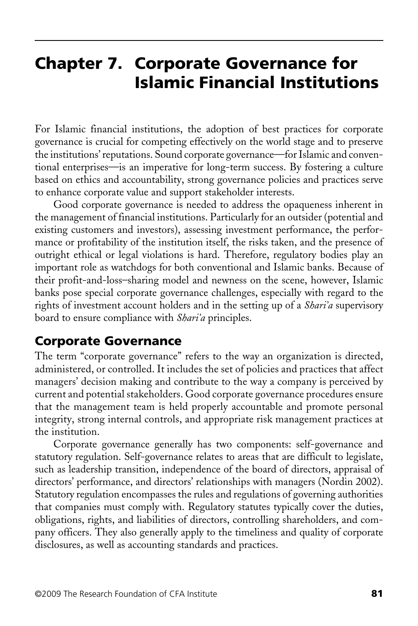# **Chapter 7. Corporate Governance for Islamic Financial Institutions**

For Islamic financial institutions, the adoption of best practices for corporate governance is crucial for competing effectively on the world stage and to preserve the institutions' reputations. Sound corporate governance—for Islamic and conventional enterprises—is an imperative for long-term success. By fostering a culture based on ethics and accountability, strong governance policies and practices serve to enhance corporate value and support stakeholder interests.

Good corporate governance is needed to address the opaqueness inherent in the management of financial institutions. Particularly for an outsider (potential and existing customers and investors), assessing investment performance, the performance or profitability of the institution itself, the risks taken, and the presence of outright ethical or legal violations is hard. Therefore, regulatory bodies play an important role as watchdogs for both conventional and Islamic banks. Because of their profit-and-loss–sharing model and newness on the scene, however, Islamic banks pose special corporate governance challenges, especially with regard to the rights of investment account holders and in the setting up of a *Shari'a* supervisory board to ensure compliance with *Shari'a* principles.

#### **Corporate Governance**

The term "corporate governance" refers to the way an organization is directed, administered, or controlled. It includes the set of policies and practices that affect managers' decision making and contribute to the way a company is perceived by current and potential stakeholders. Good corporate governance procedures ensure that the management team is held properly accountable and promote personal integrity, strong internal controls, and appropriate risk management practices at the institution.

Corporate governance generally has two components: self-governance and statutory regulation. Self-governance relates to areas that are difficult to legislate, such as leadership transition, independence of the board of directors, appraisal of directors' performance, and directors' relationships with managers (Nordin 2002). Statutory regulation encompasses the rules and regulations of governing authorities that companies must comply with. Regulatory statutes typically cover the duties, obligations, rights, and liabilities of directors, controlling shareholders, and company officers. They also generally apply to the timeliness and quality of corporate disclosures, as well as accounting standards and practices.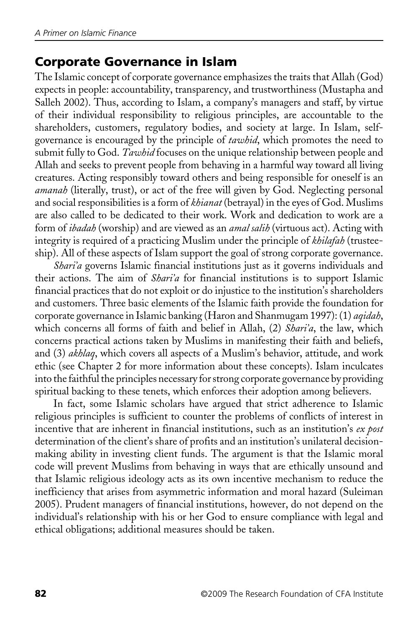#### **Corporate Governance in Islam**

The Islamic concept of corporate governance emphasizes the traits that Allah (God) expects in people: accountability, transparency, and trustworthiness (Mustapha and Salleh 2002). Thus, according to Islam, a company's managers and staff, by virtue of their individual responsibility to religious principles, are accountable to the shareholders, customers, regulatory bodies, and society at large. In Islam, selfgovernance is encouraged by the principle of *tawhid*, which promotes the need to submit fully to God. *Tawhid* focuses on the unique relationship between people and Allah and seeks to prevent people from behaving in a harmful way toward all living creatures. Acting responsibly toward others and being responsible for oneself is an *amanah* (literally, trust), or act of the free will given by God. Neglecting personal and social responsibilities is a form of *khianat* (betrayal) in the eyes of God. Muslims are also called to be dedicated to their work. Work and dedication to work are a form of *ibadah* (worship) and are viewed as an *amal salih* (virtuous act). Acting with integrity is required of a practicing Muslim under the principle of *khilafah* (trusteeship). All of these aspects of Islam support the goal of strong corporate governance.

*Shari'a* governs Islamic financial institutions just as it governs individuals and their actions. The aim of *Shari'a* for financial institutions is to support Islamic financial practices that do not exploit or do injustice to the institution's shareholders and customers. Three basic elements of the Islamic faith provide the foundation for corporate governance in Islamic banking (Haron and Shanmugam 1997): (1) *aqidah*, which concerns all forms of faith and belief in Allah, (2) *Shari'a*, the law, which concerns practical actions taken by Muslims in manifesting their faith and beliefs, and (3) *akhlaq*, which covers all aspects of a Muslim's behavior, attitude, and work ethic (see Chapter 2 for more information about these concepts). Islam inculcates into the faithful the principles necessary for strong corporate governance by providing spiritual backing to these tenets, which enforces their adoption among believers.

In fact, some Islamic scholars have argued that strict adherence to Islamic religious principles is sufficient to counter the problems of conflicts of interest in incentive that are inherent in financial institutions, such as an institution's *ex post* determination of the client's share of profits and an institution's unilateral decisionmaking ability in investing client funds. The argument is that the Islamic moral code will prevent Muslims from behaving in ways that are ethically unsound and that Islamic religious ideology acts as its own incentive mechanism to reduce the inefficiency that arises from asymmetric information and moral hazard (Suleiman 2005). Prudent managers of financial institutions, however, do not depend on the individual's relationship with his or her God to ensure compliance with legal and ethical obligations; additional measures should be taken.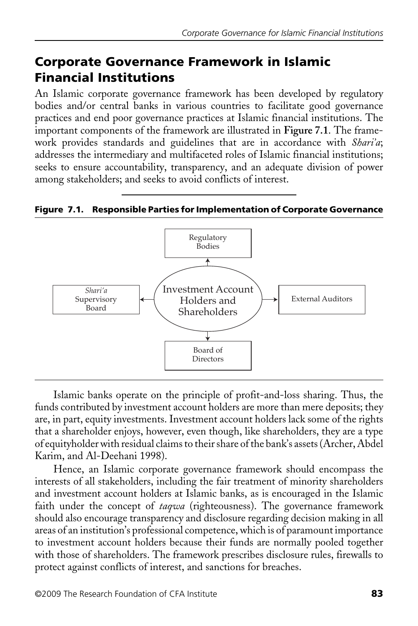### **Corporate Governance Framework in Islamic Financial Institutions**

An Islamic corporate governance framework has been developed by regulatory bodies and/or central banks in various countries to facilitate good governance practices and end poor governance practices at Islamic financial institutions. The important components of the framework are illustrated in **Figure 7.1**. The framework provides standards and guidelines that are in accordance with *Shari'a*; addresses the intermediary and multifaceted roles of Islamic financial institutions; seeks to ensure accountability, transparency, and an adequate division of power among stakeholders; and seeks to avoid conflicts of interest.

**Figure 7.1. Responsible Parties for Implementation of Corporate Governance**



Islamic banks operate on the principle of profit-and-loss sharing. Thus, the funds contributed by investment account holders are more than mere deposits; they are, in part, equity investments. Investment account holders lack some of the rights that a shareholder enjoys, however, even though, like shareholders, they are a type of equityholder with residual claims to their share of the bank's assets (Archer, Abdel Karim, and Al-Deehani 1998).

Hence, an Islamic corporate governance framework should encompass the interests of all stakeholders, including the fair treatment of minority shareholders and investment account holders at Islamic banks, as is encouraged in the Islamic faith under the concept of *taqwa* (righteousness). The governance framework should also encourage transparency and disclosure regarding decision making in all areas of an institution's professional competence, which is of paramount importance to investment account holders because their funds are normally pooled together with those of shareholders. The framework prescribes disclosure rules, firewalls to protect against conflicts of interest, and sanctions for breaches.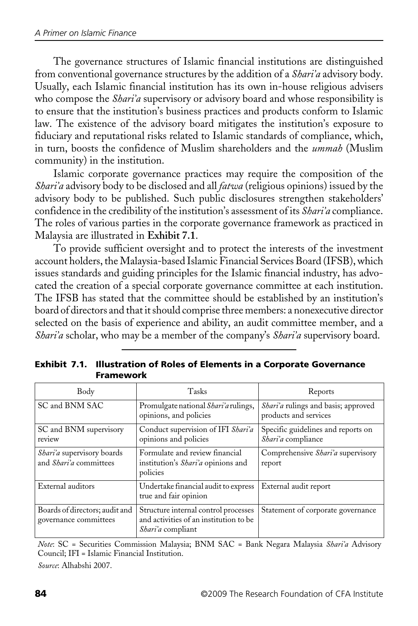The governance structures of Islamic financial institutions are distinguished from conventional governance structures by the addition of a *Shari'a* advisory body. Usually, each Islamic financial institution has its own in-house religious advisers who compose the *Shari'a* supervisory or advisory board and whose responsibility is to ensure that the institution's business practices and products conform to Islamic law. The existence of the advisory board mitigates the institution's exposure to fiduciary and reputational risks related to Islamic standards of compliance, which, in turn, boosts the confidence of Muslim shareholders and the *ummah* (Muslim community) in the institution.

Islamic corporate governance practices may require the composition of the *Shari'a* advisory body to be disclosed and all *fatwa* (religious opinions) issued by the advisory body to be published. Such public disclosures strengthen stakeholders' confidence in the credibility of the institution's assessment of its *Shari'a* compliance. The roles of various parties in the corporate governance framework as practiced in Malaysia are illustrated in **Exhibit 7.1**.

To provide sufficient oversight and to protect the interests of the investment account holders, the Malaysia-based Islamic Financial Services Board (IFSB), which issues standards and guiding principles for the Islamic financial industry, has advocated the creation of a special corporate governance committee at each institution. The IFSB has stated that the committee should be established by an institution's board of directors and that it should comprise three members: a nonexecutive director selected on the basis of experience and ability, an audit committee member, and a *Shari'a* scholar, who may be a member of the company's *Shari'a* supervisory board.

| Body                                                        | Tasks                                                                                                      | Reports                                                      |
|-------------------------------------------------------------|------------------------------------------------------------------------------------------------------------|--------------------------------------------------------------|
| SC and BNM SAC                                              | Promulgate national Shari'a rulings,<br>opinions, and policies                                             | Shari'a rulings and basis; approved<br>products and services |
| SC and BNM supervisory<br>review                            | Conduct supervision of IFI Shari'a<br>opinions and policies                                                | Specific guidelines and reports on<br>Shari'a compliance     |
| Shari'a supervisory boards<br>and <i>Shari'a</i> committees | Formulate and review financial<br>institution's Shari'a opinions and<br>policies                           | Comprehensive Shari'a supervisory<br>report                  |
| External auditors                                           | Undertake financial audit to express<br>true and fair opinion                                              | External audit report                                        |
| Boards of directors; audit and<br>governance committees     | Structure internal control processes<br>and activities of an institution to be<br><i>Shari'a</i> compliant | Statement of corporate governance                            |

**Exhibit 7.1. Illustration of Roles of Elements in a Corporate Governance Framework**

*Note*: SC = Securities Commission Malaysia; BNM SAC = Bank Negara Malaysia *Shari'a* Advisory Council; IFI = Islamic Financial Institution. *Source*: Alhabshi 2007.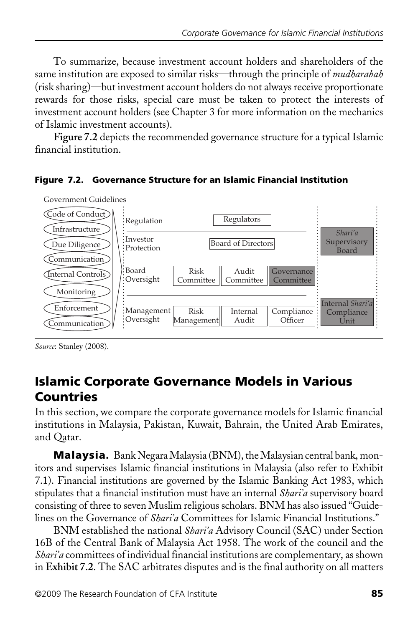To summarize, because investment account holders and shareholders of the same institution are exposed to similar risks—through the principle of *mudharabah* (risk sharing)—but investment account holders do not always receive proportionate rewards for those risks, special care must be taken to protect the interests of investment account holders (see Chapter 3 for more information on the mechanics of Islamic investment accounts).

**Figure 7.2** depicts the recommended governance structure for a typical Islamic financial institution.



**Figure 7.2. Governance Structure for an Islamic Financial Institution**

*Source*: Stanley (2008).

### **Islamic Corporate Governance Models in Various Countries**

In this section, we compare the corporate governance models for Islamic financial institutions in Malaysia, Pakistan, Kuwait, Bahrain, the United Arab Emirates, and Qatar.

**Malaysia.** Bank Negara Malaysia (BNM), the Malaysian central bank, monitors and supervises Islamic financial institutions in Malaysia (also refer to Exhibit 7.1). Financial institutions are governed by the Islamic Banking Act 1983, which stipulates that a financial institution must have an internal *Shari'a* supervisory board consisting of three to seven Muslim religious scholars. BNM has also issued "Guidelines on the Governance of *Shari'a* Committees for Islamic Financial Institutions."

BNM established the national *Shari'a* Advisory Council (SAC) under Section 16B of the Central Bank of Malaysia Act 1958. The work of the council and the *Shari'a* committees of individual financial institutions are complementary, as shown in **Exhibit 7.2**. The SAC arbitrates disputes and is the final authority on all matters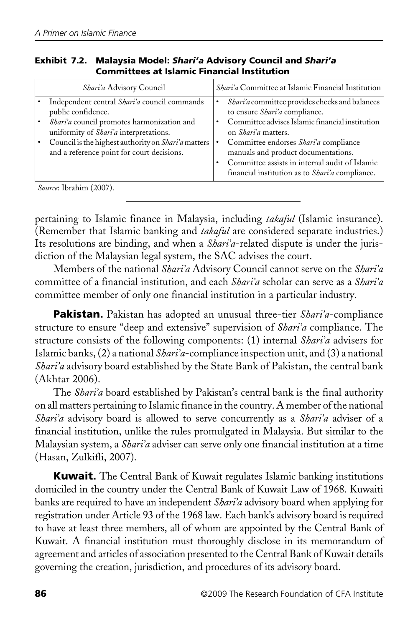| Shari'a committee provides checks and balances<br>Independent central Shari'a council commands<br>public confidence.<br>to ensure <i>Shari'a</i> compliance.<br>Committee advises Islamic financial institution<br>Shari'a council promotes harmonization and<br>uniformity of Shari'a interpretations.<br>on <i>Shari'a</i> matters.<br>Council is the highest authority on Shari'a matters<br>Committee endorses Shari'a compliance<br>manuals and product documentations.<br>and a reference point for court decisions. | Shari'a Advisory Council | Shari'a Committee at Islamic Financial Institution |
|----------------------------------------------------------------------------------------------------------------------------------------------------------------------------------------------------------------------------------------------------------------------------------------------------------------------------------------------------------------------------------------------------------------------------------------------------------------------------------------------------------------------------|--------------------------|----------------------------------------------------|
| financial institution as to Shari'a compliance.                                                                                                                                                                                                                                                                                                                                                                                                                                                                            |                          | Committee assists in internal audit of Islamic     |

#### **Exhibit 7.2. Malaysia Model:** *Shari'a* **Advisory Council and** *Shari'a* **Committees at Islamic Financial Institution**

*Source*: Ibrahim (2007).

pertaining to Islamic finance in Malaysia, including *takaful* (Islamic insurance). (Remember that Islamic banking and *takaful* are considered separate industries.) Its resolutions are binding, and when a *Shari'a*-related dispute is under the jurisdiction of the Malaysian legal system, the SAC advises the court.

Members of the national *Shari'a* Advisory Council cannot serve on the *Shari'a* committee of a financial institution, and each *Shari'a* scholar can serve as a *Shari'a* committee member of only one financial institution in a particular industry.

**Pakistan.** Pakistan has adopted an unusual three-tier *Shari'a*-compliance structure to ensure "deep and extensive" supervision of *Shari'a* compliance. The structure consists of the following components: (1) internal *Shari'a* advisers for Islamic banks, (2) a national *Shari'a*-compliance inspection unit, and (3) a national *Shari'a* advisory board established by the State Bank of Pakistan, the central bank (Akhtar 2006).

The *Shari'a* board established by Pakistan's central bank is the final authority on all matters pertaining to Islamic finance in the country. A member of the national *Shari'a* advisory board is allowed to serve concurrently as a *Shari'a* adviser of a financial institution, unlike the rules promulgated in Malaysia. But similar to the Malaysian system, a *Shari'a* adviser can serve only one financial institution at a time (Hasan, Zulkifli, 2007).

**Kuwait.** The Central Bank of Kuwait regulates Islamic banking institutions domiciled in the country under the Central Bank of Kuwait Law of 1968. Kuwaiti banks are required to have an independent *Shari'a* advisory board when applying for registration under Article 93 of the 1968 law. Each bank's advisory board is required to have at least three members, all of whom are appointed by the Central Bank of Kuwait. A financial institution must thoroughly disclose in its memorandum of agreement and articles of association presented to the Central Bank of Kuwait details governing the creation, jurisdiction, and procedures of its advisory board.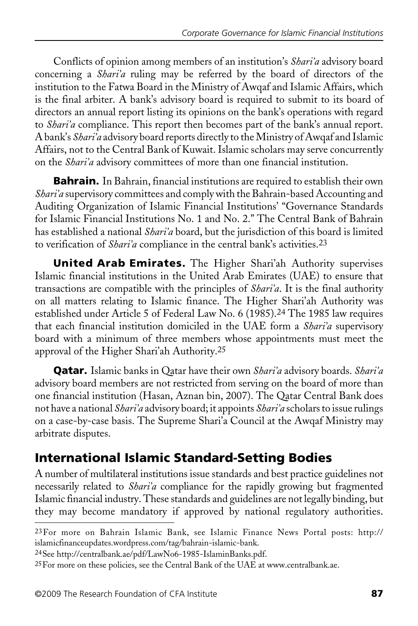Conflicts of opinion among members of an institution's *Shari'a* advisory board concerning a *Shari'a* ruling may be referred by the board of directors of the institution to the Fatwa Board in the Ministry of Awqaf and Islamic Affairs, which is the final arbiter. A bank's advisory board is required to submit to its board of directors an annual report listing its opinions on the bank's operations with regard to *Shari'a* compliance. This report then becomes part of the bank's annual report. A bank's *Shari'a* advisory board reports directly to the Ministry of Awqaf and Islamic Affairs, not to the Central Bank of Kuwait. Islamic scholars may serve concurrently on the *Shari'a* advisory committees of more than one financial institution.

**Bahrain.** In Bahrain, financial institutions are required to establish their own *Shari'a* supervisory committees and comply with the Bahrain-based Accounting and Auditing Organization of Islamic Financial Institutions' "Governance Standards for Islamic Financial Institutions No. 1 and No. 2." The Central Bank of Bahrain has established a national *Shari'a* board, but the jurisdiction of this board is limited to verification of *Shari'a* compliance in the central bank's activities.23

**United Arab Emirates.** The Higher Shari'ah Authority supervises Islamic financial institutions in the United Arab Emirates (UAE) to ensure that transactions are compatible with the principles of *Shari'a*. It is the final authority on all matters relating to Islamic finance. The Higher Shari'ah Authority was established under Article 5 of Federal Law No. 6 (1985).24 The 1985 law requires that each financial institution domiciled in the UAE form a *Shari'a* supervisory board with a minimum of three members whose appointments must meet the approval of the Higher Shari'ah Authority.25

**Qatar.** Islamic banks in Qatar have their own *Shari'a* advisory boards. *Shari'a* advisory board members are not restricted from serving on the board of more than one financial institution (Hasan, Aznan bin, 2007). The Qatar Central Bank does not have a national *Shari'a* advisory board; it appoints *Shari'a* scholars to issue rulings on a case-by-case basis. The Supreme Shari'a Council at the Awqaf Ministry may arbitrate disputes.

# **International Islamic Standard-Setting Bodies**

A number of multilateral institutions issue standards and best practice guidelines not necessarily related to *Shari'a* compliance for the rapidly growing but fragmented Islamic financial industry. These standards and guidelines are not legally binding, but they may become mandatory if approved by national regulatory authorities.

<sup>23</sup>For more on Bahrain Islamic Bank, see Islamic Finance News Portal posts: [http://](http://islamicfinanceupdates.wordpress.com/tag/bahrain-islamic-bank) [islamicfinanceupdates.wordpress.com/tag/bahrain-islamic-bank.](http://islamicfinanceupdates.wordpress.com/tag/bahrain-islamic-bank)

<sup>24</sup>See [http://centralbank.ae/pdf/LawNo6-1985-IslaminBanks.pdf.](http://centralbank.ae/pdf/LawNo6-1985-IslaminBanks.pdf)

<sup>25</sup>For more on these policies, see the Central Bank of the UAE at [www.centralbank.ae.](http://www.centralbank.ae)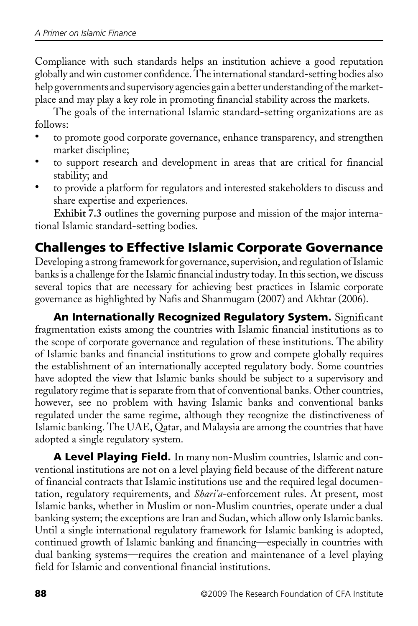Compliance with such standards helps an institution achieve a good reputation globally and win customer confidence. The international standard-setting bodies also help governments and supervisory agencies gain a better understanding of the marketplace and may play a key role in promoting financial stability across the markets.

The goals of the international Islamic standard-setting organizations are as follows:

- to promote good corporate governance, enhance transparency, and strengthen market discipline;
- to support research and development in areas that are critical for financial stability; and
- to provide a platform for regulators and interested stakeholders to discuss and share expertise and experiences.

**Exhibit 7.3** outlines the governing purpose and mission of the major international Islamic standard-setting bodies.

### **Challenges to Effective Islamic Corporate Governance**

Developing a strong framework for governance, supervision, and regulation of Islamic banks is a challenge for the Islamic financial industry today. In this section, we discuss several topics that are necessary for achieving best practices in Islamic corporate governance as highlighted by Nafis and Shanmugam (2007) and Akhtar (2006).

**An Internationally Recognized Regulatory System.** Significant fragmentation exists among the countries with Islamic financial institutions as to the scope of corporate governance and regulation of these institutions. The ability of Islamic banks and financial institutions to grow and compete globally requires the establishment of an internationally accepted regulatory body. Some countries have adopted the view that Islamic banks should be subject to a supervisory and regulatory regime that is separate from that of conventional banks. Other countries, however, see no problem with having Islamic banks and conventional banks regulated under the same regime, although they recognize the distinctiveness of Islamic banking. The UAE, Qatar, and Malaysia are among the countries that have adopted a single regulatory system.

**A Level Playing Field.** In many non-Muslim countries, Islamic and conventional institutions are not on a level playing field because of the different nature of financial contracts that Islamic institutions use and the required legal documentation, regulatory requirements, and *Shari'a*-enforcement rules. At present, most Islamic banks, whether in Muslim or non-Muslim countries, operate under a dual banking system; the exceptions are Iran and Sudan, which allow only Islamic banks. Until a single international regulatory framework for Islamic banking is adopted, continued growth of Islamic banking and financing—especially in countries with dual banking systems—requires the creation and maintenance of a level playing field for Islamic and conventional financial institutions.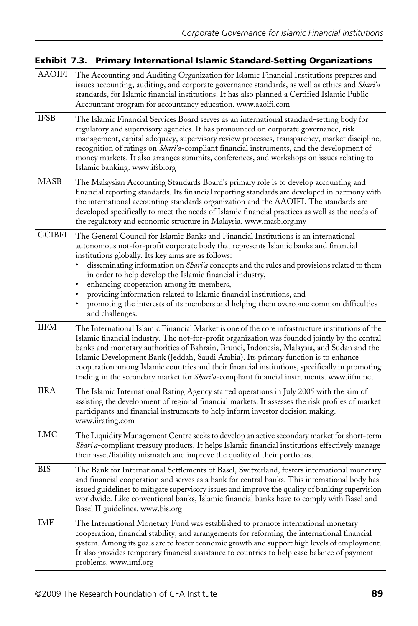#### **Exhibit 7.3. Primary International Islamic Standard-Setting Organizations**

| AAOIFI      | The Accounting and Auditing Organization for Islamic Financial Institutions prepares and<br>issues accounting, auditing, and corporate governance standards, as well as ethics and <i>Shari'a</i><br>standards, for Islamic financial institutions. It has also planned a Certified Islamic Public<br>Accountant program for accountancy education. www.aaoifi.com                                                                                                                                                                                                                                                                               |
|-------------|--------------------------------------------------------------------------------------------------------------------------------------------------------------------------------------------------------------------------------------------------------------------------------------------------------------------------------------------------------------------------------------------------------------------------------------------------------------------------------------------------------------------------------------------------------------------------------------------------------------------------------------------------|
| <b>IFSB</b> | The Islamic Financial Services Board serves as an international standard-setting body for<br>regulatory and supervisory agencies. It has pronounced on corporate governance, risk<br>management, capital adequacy, supervisory review processes, transparency, market discipline,<br>recognition of ratings on <i>Shari'a</i> -compliant financial instruments, and the development of<br>money markets. It also arranges summits, conferences, and workshops on issues relating to<br>Islamic banking. www.ifsb.org                                                                                                                             |
| MASB        | The Malaysian Accounting Standards Board's primary role is to develop accounting and<br>financial reporting standards. Its financial reporting standards are developed in harmony with<br>the international accounting standards organization and the AAOIFI. The standards are<br>developed specifically to meet the needs of Islamic financial practices as well as the needs of<br>the regulatory and economic structure in Malaysia. www.masb.org.my                                                                                                                                                                                         |
| GCIBFI      | The General Council for Islamic Banks and Financial Institutions is an international<br>autonomous not-for-profit corporate body that represents Islamic banks and financial<br>institutions globally. Its key aims are as follows:<br>disseminating information on <i>Shari'a</i> concepts and the rules and provisions related to them<br>in order to help develop the Islamic financial industry,<br>enhancing cooperation among its members,<br>$\bullet$<br>providing information related to Islamic financial institutions, and<br>promoting the interests of its members and helping them overcome common difficulties<br>and challenges. |
| <b>IIFM</b> | The International Islamic Financial Market is one of the core infrastructure institutions of the<br>Islamic financial industry. The not-for-profit organization was founded jointly by the central<br>banks and monetary authorities of Bahrain, Brunei, Indonesia, Malaysia, and Sudan and the<br>Islamic Development Bank (Jeddah, Saudi Arabia). Its primary function is to enhance<br>cooperation among Islamic countries and their financial institutions, specifically in promoting<br>trading in the secondary market for Shari'a-compliant financial instruments. www.iifm.net                                                           |
| IIRA        | The Islamic International Rating Agency started operations in July 2005 with the aim of<br>assisting the development of regional financial markets. It assesses the risk profiles of market<br>participants and financial instruments to help inform investor decision making.<br>www.iirating.com                                                                                                                                                                                                                                                                                                                                               |
| LMC         | The Liquidity Management Centre seeks to develop an active secondary market for short-term<br>Shari'a-compliant treasury products. It helps Islamic financial institutions effectively manage<br>their asset/liability mismatch and improve the quality of their portfolios.                                                                                                                                                                                                                                                                                                                                                                     |
| <b>BIS</b>  | The Bank for International Settlements of Basel, Switzerland, fosters international monetary<br>and financial cooperation and serves as a bank for central banks. This international body has<br>issued guidelines to mitigate supervisory issues and improve the quality of banking supervision<br>worldwide. Like conventional banks, Islamic financial banks have to comply with Basel and<br>Basel II guidelines. www.bis.org                                                                                                                                                                                                                |
| <b>IMF</b>  | The International Monetary Fund was established to promote international monetary<br>cooperation, financial stability, and arrangements for reforming the international financial<br>system. Among its goals are to foster economic growth and support high levels of employment.<br>It also provides temporary financial assistance to countries to help ease balance of payment<br>problems. www.imf.org                                                                                                                                                                                                                                       |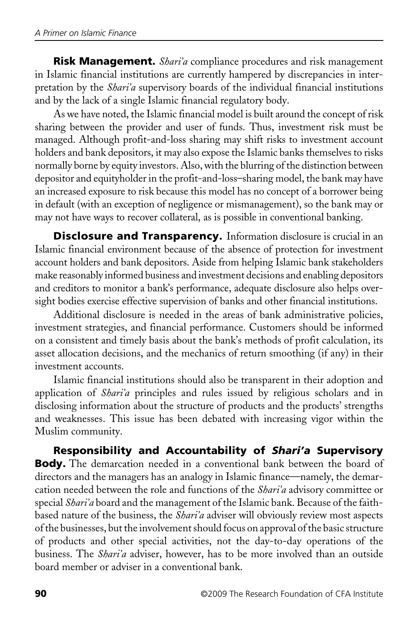**Risk Management.** *Shari'a* compliance procedures and risk management in Islamic financial institutions are currently hampered by discrepancies in interpretation by the *Shari'a* supervisory boards of the individual financial institutions and by the lack of a single Islamic financial regulatory body.

As we have noted, the Islamic financial model is built around the concept of risk sharing between the provider and user of funds. Thus, investment risk must be managed. Although profit-and-loss sharing may shift risks to investment account holders and bank depositors, it may also expose the Islamic banks themselves to risks normally borne by equity investors. Also, with the blurring of the distinction between depositor and equityholder in the profit-and-loss–sharing model, the bank may have an increased exposure to risk because this model has no concept of a borrower being in default (with an exception of negligence or mismanagement), so the bank may or may not have ways to recover collateral, as is possible in conventional banking.

**Disclosure and Transparency.** Information disclosure is crucial in an Islamic financial environment because of the absence of protection for investment account holders and bank depositors. Aside from helping Islamic bank stakeholders make reasonably informed business and investment decisions and enabling depositors and creditors to monitor a bank's performance, adequate disclosure also helps oversight bodies exercise effective supervision of banks and other financial institutions.

Additional disclosure is needed in the areas of bank administrative policies, investment strategies, and financial performance. Customers should be informed on a consistent and timely basis about the bank's methods of profit calculation, its asset allocation decisions, and the mechanics of return smoothing (if any) in their investment accounts.

Islamic financial institutions should also be transparent in their adoption and application of *Shari'a* principles and rules issued by religious scholars and in disclosing information about the structure of products and the products' strengths and weaknesses. This issue has been debated with increasing vigor within the Muslim community.

**Responsibility and Accountability of** *Shari'a* **Supervisory Body.** The demarcation needed in a conventional bank between the board of directors and the managers has an analogy in Islamic finance—namely, the demarcation needed between the role and functions of the *Shari'a* advisory committee or special *Shari'a* board and the management of the Islamic bank. Because of the faithbased nature of the business, the *Shari'a* adviser will obviously review most aspects of the businesses, but the involvement should focus on approval of the basic structure of products and other special activities, not the day-to-day operations of the business. The *Shari'a* adviser, however, has to be more involved than an outside board member or adviser in a conventional bank.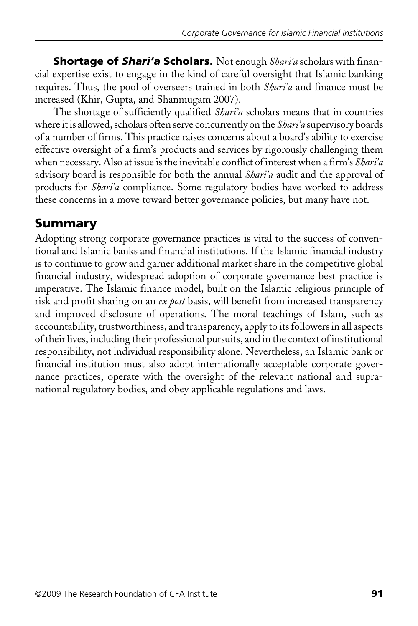**Shortage of** *Shari'a* **Scholars.** Not enough *Shari'a* scholars with financial expertise exist to engage in the kind of careful oversight that Islamic banking requires. Thus, the pool of overseers trained in both *Shari'a* and finance must be increased (Khir, Gupta, and Shanmugam 2007).

The shortage of sufficiently qualified *Shari'a* scholars means that in countries where it is allowed, scholars often serve concurrently on the *Shari'a* supervisory boards of a number of firms. This practice raises concerns about a board's ability to exercise effective oversight of a firm's products and services by rigorously challenging them when necessary. Also at issue is the inevitable conflict of interest when a firm's *Shari'a* advisory board is responsible for both the annual *Shari'a* audit and the approval of products for *Shari'a* compliance. Some regulatory bodies have worked to address these concerns in a move toward better governance policies, but many have not.

#### **Summary**

Adopting strong corporate governance practices is vital to the success of conventional and Islamic banks and financial institutions. If the Islamic financial industry is to continue to grow and garner additional market share in the competitive global financial industry, widespread adoption of corporate governance best practice is imperative. The Islamic finance model, built on the Islamic religious principle of risk and profit sharing on an *ex post* basis, will benefit from increased transparency and improved disclosure of operations. The moral teachings of Islam, such as accountability, trustworthiness, and transparency, apply to its followers in all aspects of their lives, including their professional pursuits, and in the context of institutional responsibility, not individual responsibility alone. Nevertheless, an Islamic bank or financial institution must also adopt internationally acceptable corporate governance practices, operate with the oversight of the relevant national and supranational regulatory bodies, and obey applicable regulations and laws.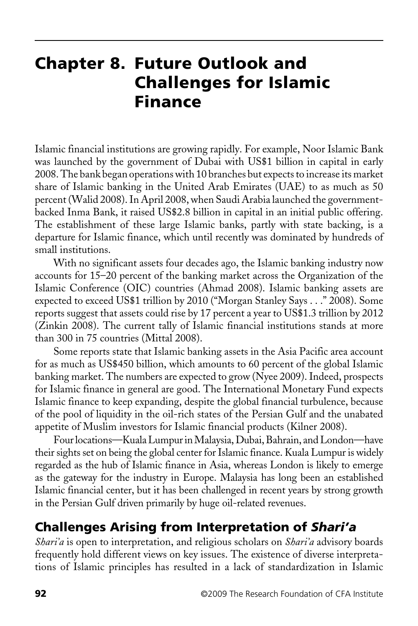# **Chapter 8. Future Outlook and Challenges for Islamic Finance**

Islamic financial institutions are growing rapidly. For example, Noor Islamic Bank was launched by the government of Dubai with US\$1 billion in capital in early 2008. The bank began operations with 10 branches but expects to increase its market share of Islamic banking in the United Arab Emirates (UAE) to as much as 50 percent (Walid 2008). In April 2008, when Saudi Arabia launched the governmentbacked Inma Bank, it raised US\$2.8 billion in capital in an initial public offering. The establishment of these large Islamic banks, partly with state backing, is a departure for Islamic finance, which until recently was dominated by hundreds of small institutions.

With no significant assets four decades ago, the Islamic banking industry now accounts for 15–20 percent of the banking market across the Organization of the Islamic Conference (OIC) countries (Ahmad 2008). Islamic banking assets are expected to exceed US\$1 trillion by 2010 ("Morgan Stanley Says . . ." 2008). Some reports suggest that assets could rise by 17 percent a year to US\$1.3 trillion by 2012 (Zinkin 2008). The current tally of Islamic financial institutions stands at more than 300 in 75 countries (Mittal 2008).

Some reports state that Islamic banking assets in the Asia Pacific area account for as much as US\$450 billion, which amounts to 60 percent of the global Islamic banking market. The numbers are expected to grow (Nyee 2009). Indeed, prospects for Islamic finance in general are good. The International Monetary Fund expects Islamic finance to keep expanding, despite the global financial turbulence, because of the pool of liquidity in the oil-rich states of the Persian Gulf and the unabated appetite of Muslim investors for Islamic financial products (Kilner 2008).

Four locations—Kuala Lumpur in Malaysia, Dubai, Bahrain, and London—have their sights set on being the global center for Islamic finance. Kuala Lumpur is widely regarded as the hub of Islamic finance in Asia, whereas London is likely to emerge as the gateway for the industry in Europe. Malaysia has long been an established Islamic financial center, but it has been challenged in recent years by strong growth in the Persian Gulf driven primarily by huge oil-related revenues.

#### **Challenges Arising from Interpretation of** *Shari'a*

*Shari'a* is open to interpretation, and religious scholars on *Shari'a* advisory boards frequently hold different views on key issues. The existence of diverse interpretations of Islamic principles has resulted in a lack of standardization in Islamic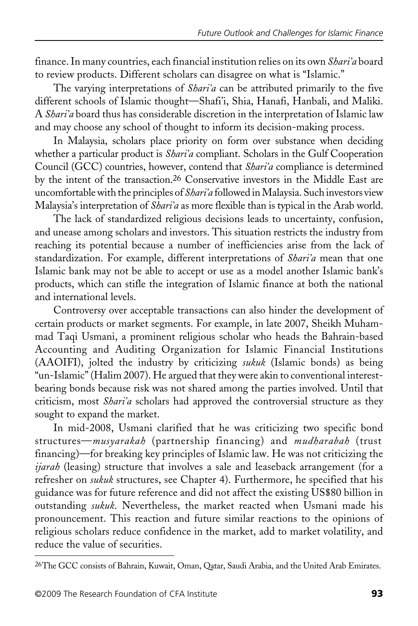finance. In many countries, each financial institution relies on its own *Shari'a* board to review products. Different scholars can disagree on what is "Islamic."

The varying interpretations of *Shari'a* can be attributed primarily to the five different schools of Islamic thought—Shafi'i, Shia, Hanafi, Hanbali, and Maliki. A *Shari'a* board thus has considerable discretion in the interpretation of Islamic law and may choose any school of thought to inform its decision-making process.

In Malaysia, scholars place priority on form over substance when deciding whether a particular product is *Shari'a* compliant. Scholars in the Gulf Cooperation Council (GCC) countries, however, contend that *Shari'a* compliance is determined by the intent of the transaction.26 Conservative investors in the Middle East are uncomfortable with the principles of *Shari'a* followed in Malaysia. Such investors view Malaysia's interpretation of *Shari'a* as more flexible than is typical in the Arab world.

The lack of standardized religious decisions leads to uncertainty, confusion, and unease among scholars and investors. This situation restricts the industry from reaching its potential because a number of inefficiencies arise from the lack of standardization. For example, different interpretations of *Shari'a* mean that one Islamic bank may not be able to accept or use as a model another Islamic bank's products, which can stifle the integration of Islamic finance at both the national and international levels.

Controversy over acceptable transactions can also hinder the development of certain products or market segments. For example, in late 2007, Sheikh Muhammad Taqi Usmani, a prominent religious scholar who heads the Bahrain-based Accounting and Auditing Organization for Islamic Financial Institutions (AAOIFI), jolted the industry by criticizing *sukuk* (Islamic bonds) as being "un-Islamic" (Halim 2007). He argued that they were akin to conventional interestbearing bonds because risk was not shared among the parties involved. Until that criticism, most *Shari'a* scholars had approved the controversial structure as they sought to expand the market.

In mid-2008, Usmani clarified that he was criticizing two specific bond structures—*musyarakah* (partnership financing) and *mudharabah* (trust financing)—for breaking key principles of Islamic law. He was not criticizing the *ijarah* (leasing) structure that involves a sale and leaseback arrangement (for a refresher on *sukuk* structures, see Chapter 4). Furthermore, he specified that his guidance was for future reference and did not affect the existing US\$80 billion in outstanding *sukuk*. Nevertheless, the market reacted when Usmani made his pronouncement. This reaction and future similar reactions to the opinions of religious scholars reduce confidence in the market, add to market volatility, and reduce the value of securities.

<sup>26</sup>The GCC consists of Bahrain, Kuwait, Oman, Qatar, Saudi Arabia, and the United Arab Emirates.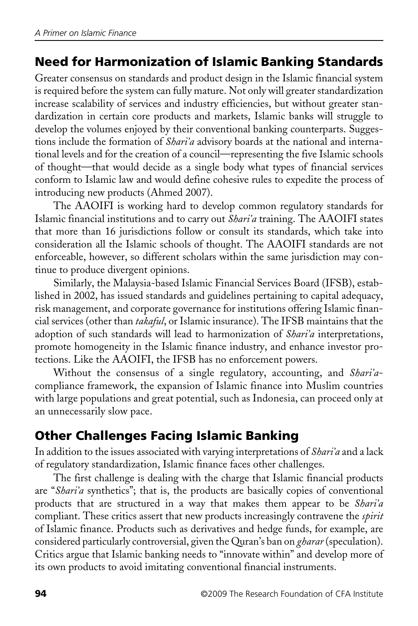#### **Need for Harmonization of Islamic Banking Standards**

Greater consensus on standards and product design in the Islamic financial system is required before the system can fully mature. Not only will greater standardization increase scalability of services and industry efficiencies, but without greater standardization in certain core products and markets, Islamic banks will struggle to develop the volumes enjoyed by their conventional banking counterparts. Suggestions include the formation of *Shari'a* advisory boards at the national and international levels and for the creation of a council—representing the five Islamic schools of thought—that would decide as a single body what types of financial services conform to Islamic law and would define cohesive rules to expedite the process of introducing new products (Ahmed 2007).

The AAOIFI is working hard to develop common regulatory standards for Islamic financial institutions and to carry out *Shari'a* training. The AAOIFI states that more than 16 jurisdictions follow or consult its standards, which take into consideration all the Islamic schools of thought. The AAOIFI standards are not enforceable, however, so different scholars within the same jurisdiction may continue to produce divergent opinions.

Similarly, the Malaysia-based Islamic Financial Services Board (IFSB), established in 2002, has issued standards and guidelines pertaining to capital adequacy, risk management, and corporate governance for institutions offering Islamic financial services (other than *takaful*, or Islamic insurance). The IFSB maintains that the adoption of such standards will lead to harmonization of *Shari'a* interpretations, promote homogeneity in the Islamic finance industry, and enhance investor protections. Like the AAOIFI, the IFSB has no enforcement powers.

Without the consensus of a single regulatory, accounting, and *Shari'a*compliance framework, the expansion of Islamic finance into Muslim countries with large populations and great potential, such as Indonesia, can proceed only at an unnecessarily slow pace.

#### **Other Challenges Facing Islamic Banking**

In addition to the issues associated with varying interpretations of *Shari'a* and a lack of regulatory standardization, Islamic finance faces other challenges.

The first challenge is dealing with the charge that Islamic financial products are "*Shari'a* synthetics"; that is, the products are basically copies of conventional products that are structured in a way that makes them appear to be *Shari'a* compliant. These critics assert that new products increasingly contravene the *spirit* of Islamic finance. Products such as derivatives and hedge funds, for example, are considered particularly controversial, given the Quran's ban on *gharar* (speculation). Critics argue that Islamic banking needs to "innovate within" and develop more of its own products to avoid imitating conventional financial instruments.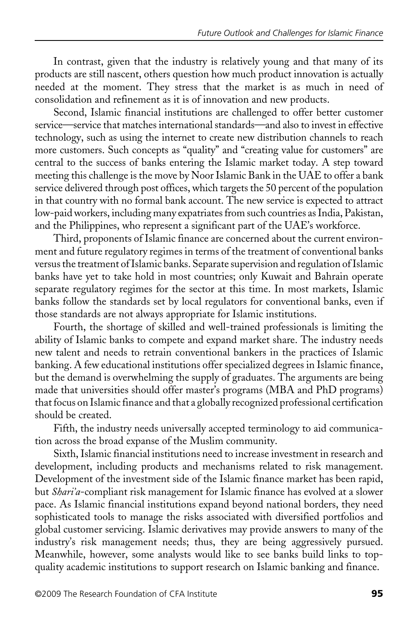In contrast, given that the industry is relatively young and that many of its products are still nascent, others question how much product innovation is actually needed at the moment. They stress that the market is as much in need of consolidation and refinement as it is of innovation and new products.

Second, Islamic financial institutions are challenged to offer better customer service—service that matches international standards—and also to invest in effective technology, such as using the internet to create new distribution channels to reach more customers. Such concepts as "quality" and "creating value for customers" are central to the success of banks entering the Islamic market today. A step toward meeting this challenge is the move by Noor Islamic Bank in the UAE to offer a bank service delivered through post offices, which targets the 50 percent of the population in that country with no formal bank account. The new service is expected to attract low-paid workers, including many expatriates from such countries as India, Pakistan, and the Philippines, who represent a significant part of the UAE's workforce.

Third, proponents of Islamic finance are concerned about the current environment and future regulatory regimes in terms of the treatment of conventional banks versus the treatment of Islamic banks. Separate supervision and regulation of Islamic banks have yet to take hold in most countries; only Kuwait and Bahrain operate separate regulatory regimes for the sector at this time. In most markets, Islamic banks follow the standards set by local regulators for conventional banks, even if those standards are not always appropriate for Islamic institutions.

Fourth, the shortage of skilled and well-trained professionals is limiting the ability of Islamic banks to compete and expand market share. The industry needs new talent and needs to retrain conventional bankers in the practices of Islamic banking. A few educational institutions offer specialized degrees in Islamic finance, but the demand is overwhelming the supply of graduates. The arguments are being made that universities should offer master's programs (MBA and PhD programs) that focus on Islamic finance and that a globally recognized professional certification should be created.

Fifth, the industry needs universally accepted terminology to aid communication across the broad expanse of the Muslim community.

Sixth, Islamic financial institutions need to increase investment in research and development, including products and mechanisms related to risk management. Development of the investment side of the Islamic finance market has been rapid, but *Shari'a*-compliant risk management for Islamic finance has evolved at a slower pace. As Islamic financial institutions expand beyond national borders, they need sophisticated tools to manage the risks associated with diversified portfolios and global customer servicing. Islamic derivatives may provide answers to many of the industry's risk management needs; thus, they are being aggressively pursued. Meanwhile, however, some analysts would like to see banks build links to topquality academic institutions to support research on Islamic banking and finance.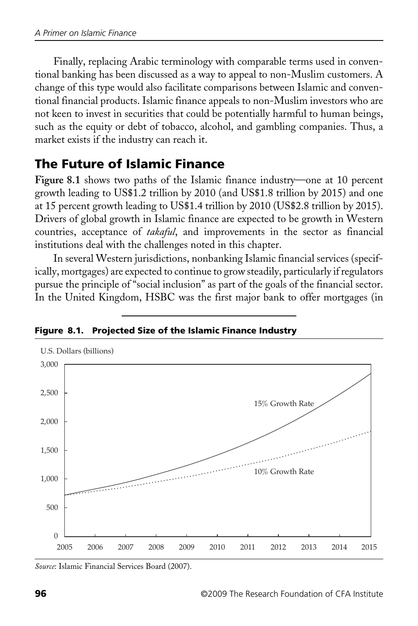Finally, replacing Arabic terminology with comparable terms used in conventional banking has been discussed as a way to appeal to non-Muslim customers. A change of this type would also facilitate comparisons between Islamic and conventional financial products. Islamic finance appeals to non-Muslim investors who are not keen to invest in securities that could be potentially harmful to human beings, such as the equity or debt of tobacco, alcohol, and gambling companies. Thus, a market exists if the industry can reach it.

### **The Future of Islamic Finance**

**Figure 8.1** shows two paths of the Islamic finance industry—one at 10 percent growth leading to US\$1.2 trillion by 2010 (and US\$1.8 trillion by 2015) and one at 15 percent growth leading to US\$1.4 trillion by 2010 (US\$2.8 trillion by 2015). Drivers of global growth in Islamic finance are expected to be growth in Western countries, acceptance of *takaful*, and improvements in the sector as financial institutions deal with the challenges noted in this chapter.

In several Western jurisdictions, nonbanking Islamic financial services (specifically, mortgages) are expected to continue to grow steadily, particularly if regulators pursue the principle of "social inclusion" as part of the goals of the financial sector. In the United Kingdom, HSBC was the first major bank to offer mortgages (in



**Figure 8.1. Projected Size of the Islamic Finance Industry**

*Source*: Islamic Financial Services Board (2007).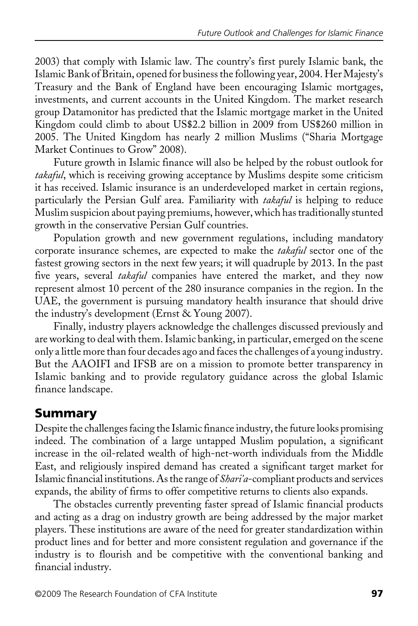2003) that comply with Islamic law. The country's first purely Islamic bank, the Islamic Bank of Britain, opened for business the following year, 2004. Her Majesty's Treasury and the Bank of England have been encouraging Islamic mortgages, investments, and current accounts in the United Kingdom. The market research group Datamonitor has predicted that the Islamic mortgage market in the United Kingdom could climb to about US\$2.2 billion in 2009 from US\$260 million in 2005. The United Kingdom has nearly 2 million Muslims ("Sharia Mortgage Market Continues to Grow" 2008).

Future growth in Islamic finance will also be helped by the robust outlook for *takaful*, which is receiving growing acceptance by Muslims despite some criticism it has received. Islamic insurance is an underdeveloped market in certain regions, particularly the Persian Gulf area. Familiarity with *takaful* is helping to reduce Muslim suspicion about paying premiums, however, which has traditionally stunted growth in the conservative Persian Gulf countries.

Population growth and new government regulations, including mandatory corporate insurance schemes, are expected to make the *takaful* sector one of the fastest growing sectors in the next few years; it will quadruple by 2013. In the past five years, several *takaful* companies have entered the market, and they now represent almost 10 percent of the 280 insurance companies in the region. In the UAE, the government is pursuing mandatory health insurance that should drive the industry's development (Ernst & Young 2007).

Finally, industry players acknowledge the challenges discussed previously and are working to deal with them. Islamic banking, in particular, emerged on the scene only a little more than four decades ago and faces the challenges of a young industry. But the AAOIFI and IFSB are on a mission to promote better transparency in Islamic banking and to provide regulatory guidance across the global Islamic finance landscape.

# **Summary**

Despite the challenges facing the Islamic finance industry, the future looks promising indeed. The combination of a large untapped Muslim population, a significant increase in the oil-related wealth of high-net-worth individuals from the Middle East, and religiously inspired demand has created a significant target market for Islamic financial institutions. As the range of *Shari'a*-compliant products and services expands, the ability of firms to offer competitive returns to clients also expands.

The obstacles currently preventing faster spread of Islamic financial products and acting as a drag on industry growth are being addressed by the major market players. These institutions are aware of the need for greater standardization within product lines and for better and more consistent regulation and governance if the industry is to flourish and be competitive with the conventional banking and financial industry.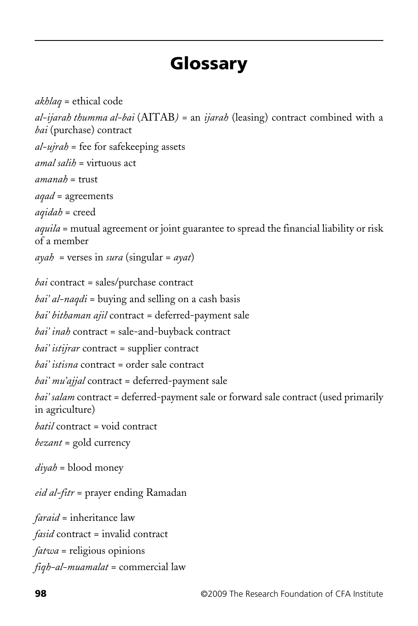# **Glossary**

*akhlaq* = ethical code *al-ijarah thumma al-bai* (AITAB*) =* an *ijarah* (leasing) contract combined with a *bai* (purchase) contract *al-ujrah* = fee for safekeeping assets *amal salih* = virtuous act *amanah* = trust *aqad* = agreements *aqidah* = creed *aquila* = mutual agreement or joint guarantee to spread the financial liability or risk of a member *ayah* = verses in *sura* (singular = *ayat*) *bai* contract *=* sales/purchase contract *bai' al-naqdi* = buying and selling on a cash basis *bai' bithaman ajil* contract = deferred-payment sale *bai' inah* contract = sale-and-buyback contract *bai' istijrar* contract = supplier contract *bai' istisna* contract = order sale contract *bai' mu'ajjal* contract = deferred-payment sale *bai' salam* contract = deferred-payment sale or forward sale contract (used primarily in agriculture) *batil* contract = void contract *bezant* = gold currency *diyah* = blood money *eid al-fitr* = prayer ending Ramadan *faraid* = inheritance law *fasid* contract = invalid contract *fatwa* = religious opinions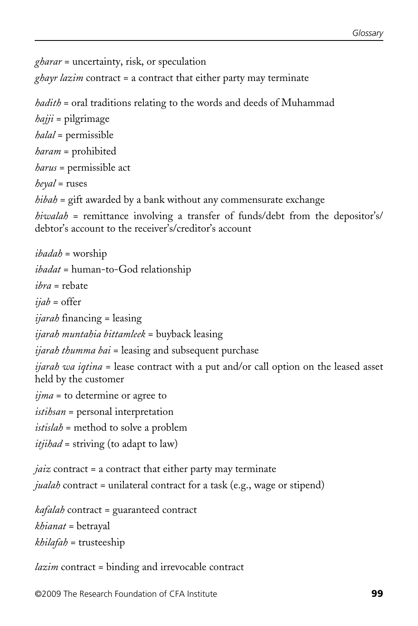*gharar* = uncertainty, risk, or speculation *ghayr lazim* contract = a contract that either party may terminate *hadith =* oral traditions relating to the words and deeds of Muhammad *hajji* = pilgrimage *halal* = permissible *haram* = prohibited *harus* = permissible act *heyal* = ruses *hibah* = gift awarded by a bank without any commensurate exchange *hiwalah* = remittance involving a transfer of funds/debt from the depositor's/ debtor's account to the receiver's/creditor's account *ibadah* = worship *ibadat* = human-to-God relationship *ibra* = rebate *ijab* = offer *ijarah* financing = leasing *ijarah muntahia bittamleek* = buyback leasing *ijarah thumma bai* = leasing and subsequent purchase *ijarah wa iqtina* = lease contract with a put and/or call option on the leased asset held by the customer *ijma* = to determine or agree to *istihsan* = personal interpretation *istislah* = method to solve a problem *itjihad* = striving (to adapt to law) *jaiz* contract = a contract that either party may terminate *jualah* contract = unilateral contract for a task (e.g., wage or stipend) *kafalah* contract = guaranteed contract

*khianat* = betrayal *khilafah* = trusteeship

*lazim* contract = binding and irrevocable contract

©2009 The Research Foundation of CFA Institute **99**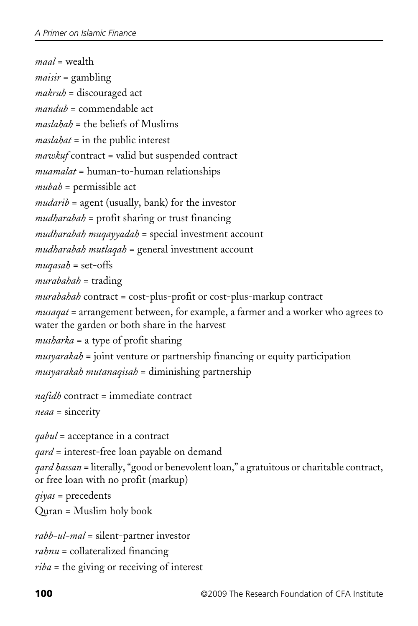```
maal = wealth
maisir = gambling
makruh = discouraged act
mandub = commendable act
maslahah = the beliefs of Muslims
maslahat = in the public interest
mawkuf contract = valid but suspended contract
muamalat = human-to-human relationships
mubah = permissible act
mudarib = agent (usually, bank) for the investor
mudharabah = profit sharing or trust financing 
mudharabah muqayyadah = special investment account
mudharabah mutlaqah = general investment account
muqasah = set-offs
murabahah = trading 
murabahah contract = cost-plus-profit or cost-plus-markup contract
musaqat = arrangement between, for example, a farmer and a worker who agrees to
water the garden or both share in the harvest 
musharka = a type of profit sharing
musyarakah = joint venture or partnership financing or equity participation
musyarakah mutanaqisah = diminishing partnership
nafidh contract = immediate contract
neaa = sincerity
qabul = acceptance in a contract
qard = interest-free loan payable on demand 
qard hassan = literally, "good or benevolent loan," a gratuitous or charitable contract,
or free loan with no profit (markup) 
qiyas = precedents
Quran = Muslim holy book 
rabb-ul-mal = silent-partner investor
rahnu = collateralized financing
```
*riba* = the giving or receiving of interest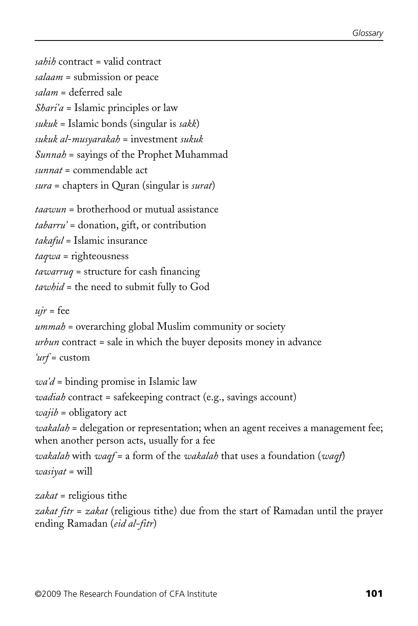*sahih* contract = valid contract *salaam* = submission or peace *salam* = deferred sale *Shari'a* = Islamic principles or law *sukuk =* Islamic bonds (singular is *sakk*) *sukuk al*-*musyarakah* = investment *sukuk Sunnah* = sayings of the Prophet Muhammad *sunnat* = commendable act *sura* = chapters in Quran (singular is *surat*)

*taawun* = brotherhood or mutual assistance *tabarru'* = donation, gift, or contribution *takaful =* Islamic insurance *taqwa* = righteousness *tawarruq* = structure for cash financing *tawhid* = the need to submit fully to God

```
ujr = fee
ummah = overarching global Muslim community or society 
urbun contract = sale in which the buyer deposits money in advance
'urf = custom
```

```
wa'd = binding promise in Islamic law
wadiah contract = safekeeping contract (e.g., savings account) 
wajib = obligatory act
wakalah = delegation or representation; when an agent receives a management fee;
when another person acts, usually for a fee
wakalah with waqf = a form of the wakalah that uses a foundation (waqf)
wasiyat = will
zakat = religious tithe
```
*zakat fitr* = *zakat* (religious tithe) due from the start of Ramadan until the prayer ending Ramadan (*eid al-fitr*)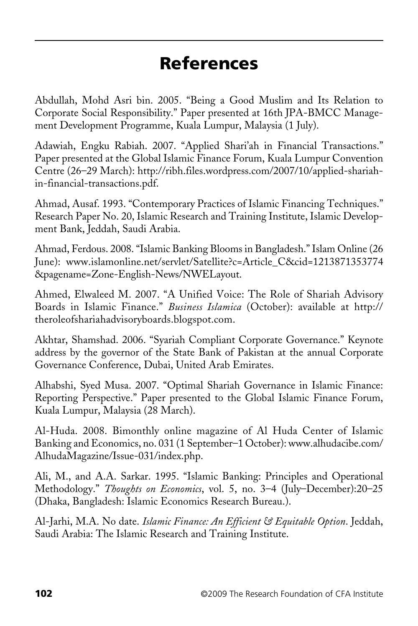# **References**

Abdullah, Mohd Asri bin. 2005. "Being a Good Muslim and Its Relation to Corporate Social Responsibility." Paper presented at 16th JPA-BMCC Management Development Programme, Kuala Lumpur, Malaysia (1 July).

Adawiah, Engku Rabiah. 2007. "Applied Shari'ah in Financial Transactions." Paper presented at the Global Islamic Finance Forum, Kuala Lumpur Convention [Centre \(26–29 March\): http://ribh.files.wordpress.com/2007/10/applied-shariah](http://ribh.files.wordpress.com/2007/10/applied-shariah-in-financial-transactions.pdf)in[-financial-transactions.pdf.](http://ribh.files.wordpress.com/2007/10/applied-shariah-in-financial-transactions.pdf)

Ahmad, Ausaf. 1993. "Contemporary Practices of Islamic Financing Techniques." Research Paper No. 20, Islamic Research and Training Institute, Islamic Development Bank, Jeddah, Saudi Arabia.

Ahmad, Ferdous. 2008. "Islamic Banking Blooms in Bangladesh." Islam Online (26 [June\): www.islamonline.net/servlet/Satellite?c=Article\\_C&cid=1213871353774](http://www.islamonline.net/servlet/Satellite?c=Article_C&cid=1213871353774&pagename=Zone-English-News/NWELayout) &pagename=Zone-English-News/NWELayout.

Ahmed, Elwaleed M. 2007. "A Unified Voice: The Role of Shariah Advisory Boards in Islamic Finance." *Business Islamica* (October): available at [http://](http://theroleofshariahadvisoryboards.blogspot.com) [theroleofshariahadvisoryboards.blogspot.com.](http://theroleofshariahadvisoryboards.blogspot.com)

Akhtar, Shamshad. 2006. "Syariah Compliant Corporate Governance." Keynote address by the governor of the State Bank of Pakistan at the annual Corporate Governance Conference, Dubai, United Arab Emirates.

Alhabshi, Syed Musa. 2007. "Optimal Shariah Governance in Islamic Finance: Reporting Perspective." Paper presented to the Global Islamic Finance Forum, Kuala Lumpur, Malaysia (28 March).

Al-Huda. 2008. Bimonthly online magazine of Al Huda Center of Islamic [Banking and Economics, no. 031 \(1 September–1 October\): www.alhudacibe.com/](http://www.alhudacibe.com/AlhudaMagazine/Issue-031/index.php) AlhudaMagazine/Issue-031/index.php.

Ali, M., and A.A. Sarkar. 1995. "Islamic Banking: Principles and Operational Methodology." *Thoughts on Economics*, vol. 5, no. 3–4 (July–December):20–25 (Dhaka, Bangladesh: Islamic Economics Research Bureau.).

Al-Jarhi, M.A. No date. *Islamic Finance: An Efficient & Equitable Option*. Jeddah, Saudi Arabia: The Islamic Research and Training Institute.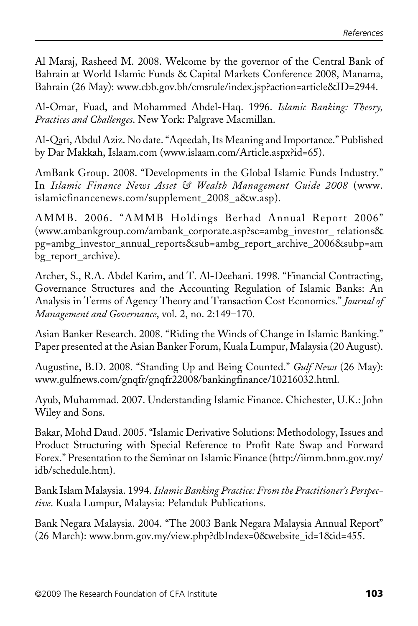Al Maraj, Rasheed M. 2008. Welcome by the governor of the Central Bank of Bahrain at World Islamic Funds & Capital Markets Conference 2008, Manama, Bahrain (26 May): [www.cbb.gov.bh/cmsrule/index.jsp?action=article&ID=2944.](http://www.cbb.gov.bh/cmsrule/index.jsp?action=article&ID=2944)

Al-Omar, Fuad, and Mohammed Abdel-Haq. 1996. *Islamic Banking: Theory, Practices and Challenges*. New York: Palgrave Macmillan.

Al-Qari, Abdul Aziz. No date. "Aqeedah, Its Meaning and Importance." Published by Dar Makkah, Islaam.com ([www.islaam.com/Article.aspx?id=65\).](http://www.islaam.com/Article.aspx?id=65)

AmBank Group. 2008. "Developments in the Global Islamic Funds Industry." In *Islamic Finance News Asset & Wealth Management Guide 2008* ([www.](http://www.islamicfinancenews.com/supplement_2008_a&w.asp) [islamicfinancenews.com/supplement\\_2008\\_a&w.asp\).](http://www.islamicfinancenews.com/supplement_2008_a&w.asp)

AMMB. 2006. "AMMB Holdings Berhad Annual Report 2006" ([www.ambankgroup.com/ambank\\_corporate.asp?sc=ambg\\_investor\\_ relations&](http://www.ambankgroup.com/ambank_corporate.asp?sc=ambg_investor_relations&pg=ambg_investor_annual_reports&sub=ambg_report_archive_2006&subp=ambg_report_archive) [pg=ambg\\_investor\\_annual\\_reports&sub=ambg\\_report\\_archive\\_2006&subp=am](http://www.ambankgroup.com/ambank_corporate.asp?sc=ambg_investor_relations&pg=ambg_investor_annual_reports&sub=ambg_report_archive_2006&subp=ambg_report_archive) [bg\\_report\\_archive\).](http://www.ambankgroup.com/ambank_corporate.asp?sc=ambg_investor_relations&pg=ambg_investor_annual_reports&sub=ambg_report_archive_2006&subp=ambg_report_archive)

Archer, S., R.A. Abdel Karim, and T. Al-Deehani. 1998. "Financial Contracting, Governance Structures and the Accounting Regulation of Islamic Banks: An Analysis in Terms of Agency Theory and Transaction Cost Economics." *Journal of Management and Governance*, vol. 2, no. 2:149–170.

Asian Banker Research. 2008. "Riding the Winds of Change in Islamic Banking." Paper presented at the Asian Banker Forum, Kuala Lumpur, Malaysia (20 August).

Augustine, B.D. 2008. "Standing Up and Being Counted." *Gulf News* (26 May): [www.gulfnews.com/gnqfr/gnqfr22008/bankingfinance/10216032.html.](http://www.gulfnews.com/gnqfr/gnqfr22008/bankingfinance/10216032.html)

Ayub, Muhammad. 2007. Understanding Islamic Finance. Chichester, U.K.: John Wiley and Sons.

Bakar, Mohd Daud. 2005. "Islamic Derivative Solutions: Methodology, Issues and Product Structuring with Special Reference to Profit Rate Swap and Forward Forex." Presentation to the Seminar on Islamic Finance ([http://iimm.bnm.gov.my/](http://iimm.bnm.gov.my/idb/schedule.htm) [idb/schedule.htm\).](http://iimm.bnm.gov.my/idb/schedule.htm)

Bank Islam Malaysia. 1994. *Islamic Banking Practice: From the Practitioner's Perspective*. Kuala Lumpur, Malaysia: Pelanduk Publications.

Bank Negara Malaysia. 2004. "The 2003 Bank Negara Malaysia Annual Report" (26 March): [www.bnm.gov.my/view.php?dbIndex=0&website\\_id=1&id=455.](http://www.bnm.gov.my/view.php?dbIndex=0&website_id=1&id=455)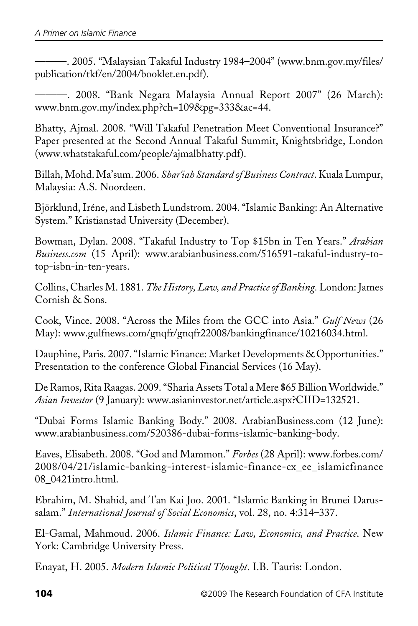———. 2005. "Malaysian Takaful Industry 1984–2004" [\(www.bnm.gov.my/files/](http://www.bnm.gov.my/files/publication/tkf/en/2004/booklet.en.pdf) [publication/tkf/en/2004/booklet.en.pdf\).](http://www.bnm.gov.my/files/publication/tkf/en/2004/booklet.en.pdf)

———. 2008. "Bank Negara Malaysia Annual Report 2007" (26 March): [www.bnm.gov.my/index.php?ch=109&pg=333&ac=44.](http://www.bnm.gov.my/index.php?ch=109&pg=333&ac=44)

Bhatty, Ajmal. 2008. "Will Takaful Penetration Meet Conventional Insurance?" Paper presented at the Second Annual Takaful Summit, Knightsbridge, London ([www.whatstakaful.com/people/ajmalbhatty.pdf\).](http://www.whatstakaful.com/people/ajmalbhatty.pdf)

Billah, Mohd. Ma'sum. 2006. *Shar'iah Standard of Business Contract*. Kuala Lumpur, Malaysia: A.S. Noordeen.

Björklund, Iréne, and Lisbeth Lundstrom. 2004. "Islamic Banking: An Alternative System." Kristianstad University (December).

Bowman, Dylan. 2008. "Takaful Industry to Top \$15bn in Ten Years." *Arabian Business.com* [\(15 April\): www.arabianbusiness.com/516591-takaful-industry-to](http://www.arabianbusiness.com/516591-takaful-industry-to-top-isbn-in-ten-years)top[-isbn-in-ten-years.](http://www.arabianbusiness.com/516591-takaful-industry-to-top-isbn-in-ten-years)

Collins, Charles M. 1881. *The History, Law, and Practice of Banking.* London: James Cornish & Sons.

Cook, Vince. 2008. "Across the Miles from the GCC into Asia." *Gulf News* (26 May): [www.gulfnews.com/gnqfr/gnqfr22008/bankingfinance/10216034.html.](http://www.gulfnews.com/gnqfr/gnqfr22008/bankingfinance/10216034.html)

Dauphine, Paris. 2007. "Islamic Finance: Market Developments & Opportunities." Presentation to the conference Global Financial Services (16 May).

De Ramos, Rita Raagas. 2009. "Sharia Assets Total a Mere \$65 Billion Worldwide." *Asian Investor* (9 January): [www.asianinvestor.net/article.aspx?CIID=132521.](http://www.asianinvestor.net/article.aspx?CIID=132521)

"Dubai Forms Islamic Banking Body." 2008. ArabianBusiness.com (12 June): [www.arabianbusiness.com/520386-dubai-forms-islamic-banking-body.](http://www.arabianbusiness.com/520386-dubai-forms-islamic-banking-body)

Eaves, Elisabeth. 2008. "God and Mammon." *Forbes* (28 April): [www.forbes.com/](http://www.forbes.com/) [2008/04/21/islamic-banking-interest-islamic-finance-cx\\_ee\\_islamicfinance](http://www.forbes.com/2008/04/21/islamic-banking-interest-islamic-finance-cx_ee_islamicfinance08_0421intro.html) 08\_0421intro.html.

Ebrahim, M. Shahid, and Tan Kai Joo. 2001. "Islamic Banking in Brunei Darussalam." *International Journal of Social Economics*, vol. 28, no. 4:314–337.

El-Gamal, Mahmoud. 2006. *Islamic Finance: Law, Economics, and Practice*. New York: Cambridge University Press.

Enayat, H. 2005. *Modern Islamic Political Thought*. I.B. Tauris: London.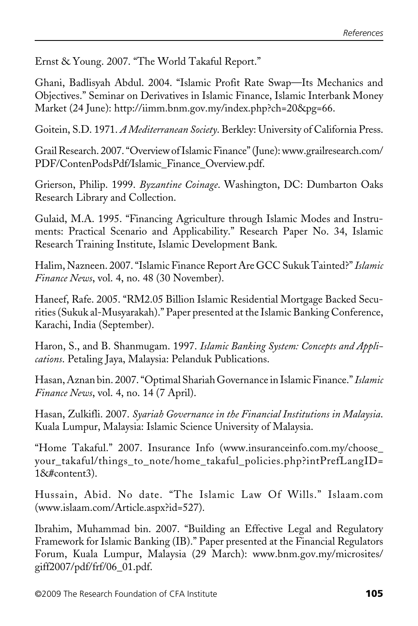Ernst & Young. 2007. "The World Takaful Report."

Ghani, Badlisyah Abdul. 2004. "Islamic Profit Rate Swap—Its Mechanics and Objectives." Seminar on Derivatives in Islamic Finance, Islamic Interbank Money Market (24 June): [http://iimm.bnm.gov.my/index.php?ch=20&pg=66.](http://iimm.bnm.gov.my/index.php?ch=20&pg=66)

Goitein, S.D. 1971. *A Mediterranean Society*. Berkley: University of California Press.

[Grail Research. 2007. "Overview of Islamic Finance" \(June\):](http://www.grailresearch.com/PDF/ContenPodsPdf/Islamic_Finance_Overview.pdf) [www.grailresearch.com/](http://www.grailresearch.com/) PDF/ContenPodsPdf/Islamic\_Finance\_Overview.pdf.

Grierson, Philip. 1999. *Byzantine Coinage*. Washington, DC: Dumbarton Oaks Research Library and Collection.

Gulaid, M.A. 1995. "Financing Agriculture through Islamic Modes and Instruments: Practical Scenario and Applicability." Research Paper No. 34, Islamic Research Training Institute, Islamic Development Bank.

Halim, Nazneen. 2007. "Islamic Finance Report Are GCC Sukuk Tainted?" *Islamic Finance News*, vol. 4, no. 48 (30 November).

Haneef, Rafe. 2005. "RM2.05 Billion Islamic Residential Mortgage Backed Securities (Sukuk al-Musyarakah)." Paper presented at the Islamic Banking Conference, Karachi, India (September).

Haron, S., and B. Shanmugam. 1997. *Islamic Banking System: Concepts and Applications*. Petaling Jaya, Malaysia: Pelanduk Publications.

Hasan, Aznan bin. 2007. "Optimal Shariah Governance in Islamic Finance." *Islamic Finance News*, vol. 4, no. 14 (7 April).

Hasan, Zulkifli. 2007. *Syariah Governance in the Financial Institutions in Malaysia*. Kuala Lumpur, Malaysia: Islamic Science University of Malaysia.

"Home Takaful." 2007. Insurance Info ([www.insuranceinfo.com.my/choose\\_](http://www.insuranceinfo.com.my/choose_your_takaful/things_to_note/home_takaful_policies.php?intPrefLangID=1&#content3) [your\\_takaful/things\\_to\\_note/home\\_takaful\\_policies.php?intPrefLangID=](http://www.insuranceinfo.com.my/choose_your_takaful/things_to_note/home_takaful_policies.php?intPrefLangID=1&#content3) [1&#content3\).](http://www.insuranceinfo.com.my/choose_your_takaful/things_to_note/home_takaful_policies.php?intPrefLangID=1&#content3)

Hussain, Abid. No date. "The Islamic Law Of Wills." Islaam.com ([www.islaam.com/Article.aspx?id=527\).](http://www.islaam.com/Article.aspx?id=527)

Ibrahim, Muhammad bin. 2007. "Building an Effective Legal and Regulatory Framework for Islamic Banking (IB)." Paper presented at the Financial Regulators [Forum, Kuala Lumpur, Malaysia \(29 March\): www.bnm.gov.my/microsites/](http://www.bnm.gov.my/microsites/giff2007/pdf/frf/06_01.pdf) giff2007/pdf/frf/06\_01.pdf.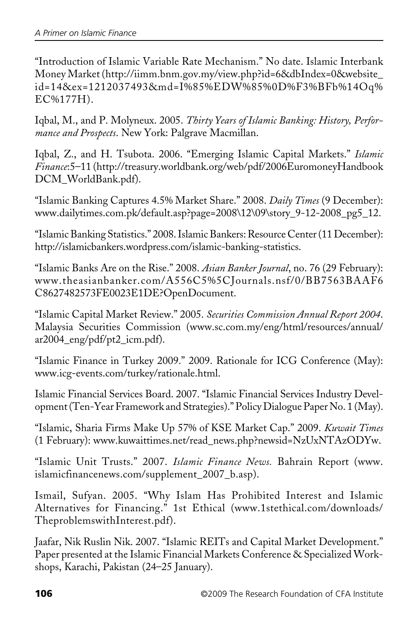"Introduction of Islamic Variable Rate Mechanism." No date. Islamic Interbank Money Market ([http://iimm.bnm.gov.my/view.php?id=6&dbIndex=0&website\\_](http://iimm.bnm.gov.my/view.php?id=6&dbIndex=0&website_id=14&ex=1212037493&md=I%85%EDW%85%0D%F3%BFb%14Oq%EC%177H) [id=14&ex=1212037493&md=I%85%EDW%85%0D%F3%BFb%14Oq%](http://iimm.bnm.gov.my/view.php?id=6&dbIndex=0&website_id=14&ex=1212037493&md=I%85%EDW%85%0D%F3%BFb%14Oq%EC%177H) [EC%177H\).](http://iimm.bnm.gov.my/view.php?id=6&dbIndex=0&website_id=14&ex=1212037493&md=I%85%EDW%85%0D%F3%BFb%14Oq%EC%177H)

Iqbal, M., and P. Molyneux. 2005. *Thirty Years of Islamic Banking: History, Performance and Prospects*. New York: Palgrave Macmillan.

Iqbal, Z., and H. Tsubota. 2006. "Emerging Islamic Capital Markets." *Islamic Finance*:5–11 ([http://treasury.worldbank.org/web/pdf/2006EuromoneyHandbook](http://treasury.worldbank.org/web/pdf/2006EuromoneyHandbookDCM_WorldBank.pdf) [DCM\\_WorldBank.pdf\).](http://treasury.worldbank.org/web/pdf/2006EuromoneyHandbookDCM_WorldBank.pdf)

"Islamic Banking Captures 4.5% Market Share." 2008. *Daily Times* (9 December): [www.dailytimes.com.pk/default.asp?page=2008\12\09\story\\_9-12-2008\\_pg5\\_12.](http://www.dailytimes.com.pk/default.asp?page=2008\12\09\story_9-12-2008_pg5_12)

"Islamic Banking Statistics." 2008. Islamic Bankers: Resource Center (11 December): [http://islamicbankers.wordpress.com/islamic-banking-statistics.](http://islamicbankers.wordpress.com/islamic-banking-statistics)

"Islamic Banks Are on the Rise." 2008. *Asian Banker Journal*, no. 76 (29 February): [www.theasianbanker.com/A556C5%5CJournals.nsf/0/BB7563BAAF6](https://www.theasianbanker.com/A556C5/Journals.nsf/0/BB7563BAAF6C8627482573FE0023E1DE?OpenDocument) C8627482573FE0023E1DE?OpenDocument.

"Islamic Capital Market Review." 2005. *Securities Commission Annual Report 2004*. Malaysia Securities Commission [\(www.sc.com.my/eng/html/resources/annual/](http://www.sc.com.my/eng/html/resources/annual/ar2004_eng/pdf/pt2_icm.pdf) [ar2004\\_eng/pdf/pt2\\_icm.pdf\).](http://www.sc.com.my/eng/html/resources/annual/ar2004_eng/pdf/pt2_icm.pdf)

"Islamic Finance in Turkey 2009." 2009. Rationale for ICG Conference (May): [www.icg-events.com/turkey/rationale.html.](http://www.icg-events.com/turkey/rationale.html)

Islamic Financial Services Board. 2007. "Islamic Financial Services Industry Development (Ten-Year Framework and Strategies)." Policy Dialogue Paper No. 1 (May).

"Islamic, Sharia Firms Make Up 57% of KSE Market Cap." 2009. *Kuwait Times* (1 February): [www.kuwaittimes.net/read\\_news.php?newsid=NzUxNTAzODYw.](http://www.kuwaittimes.net/read_news.php?newsid=NzUxNTAzODYw)

"Islamic Unit Trusts." 2007. *Islamic Finance News.* Bahrain Report ([www.](http://www.islamicfinancenews.com/supplement_2007_b.asp) [islamicfinancenews.com/supplement\\_2007\\_b.asp\).](http://www.islamicfinancenews.com/supplement_2007_b.asp)

Ismail, Sufyan. 2005. "Why Islam Has Prohibited Interest and Islamic Alternatives for Financing." 1st Ethical ([www.1stethical.com/downloads/](http://www.1stethical.com/downloads/TheproblemswithInterest.pdf) [TheproblemswithInterest.pdf\).](http://www.1stethical.com/downloads/TheproblemswithInterest.pdf)

Jaafar, Nik Ruslin Nik. 2007. "Islamic REITs and Capital Market Development." Paper presented at the Islamic Financial Markets Conference & Specialized Workshops, Karachi, Pakistan (24–25 January).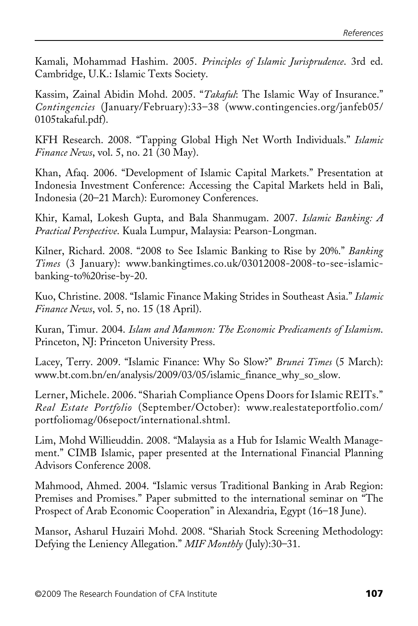Kamali, Mohammad Hashim. 2005. *Principles of Islamic Jurisprudence*. 3rd ed. Cambridge, U.K.: Islamic Texts Society.

Kassim, Zainal Abidin Mohd. 2005. "*Takaful*: The Islamic Way of Insurance." *Contingencies* (January/February):33–38 ([www.contingencies.org/janfeb05/](http://www.contingencies.org/janfeb05/0105takaful.pdf) [0105takaful.pdf\).](http://www.contingencies.org/janfeb05/0105takaful.pdf)

KFH Research. 2008. "Tapping Global High Net Worth Individuals." *Islamic Finance News*, vol. 5, no. 21 (30 May).

Khan, Afaq. 2006. "Development of Islamic Capital Markets." Presentation at Indonesia Investment Conference: Accessing the Capital Markets held in Bali, Indonesia (20–21 March): Euromoney Conferences.

Khir, Kamal, Lokesh Gupta, and Bala Shanmugam. 2007. *Islamic Banking: A Practical Perspective*. Kuala Lumpur, Malaysia: Pearson-Longman.

Kilner, Richard. 2008. "2008 to See Islamic Banking to Rise by 20%." *Banking Times* [\(3 January\): www.bankingtimes.co.uk/03012008-2008-to-see-islamic](http://www.bankingtimes.co.uk/03012008-2008-to-see-islamic-banking-to%20rise-by-20)banking[-to%20rise-by-20.](http://www.bankingtimes.co.uk/03012008-2008-to-see-islamic-banking-to%20rise-by-20)

Kuo, Christine. 2008. "Islamic Finance Making Strides in Southeast Asia." *Islamic Finance News*, vol. 5, no. 15 (18 April).

Kuran, Timur. 2004. *Islam and Mammon: The Economic Predicaments of Islamism*. Princeton, NJ: Princeton University Press.

Lacey, Terry. 2009. "Islamic Finance: Why So Slow?" *Brunei Times* (5 March): [www.bt.com.bn/en/analysis/2009/03/05/islamic\\_finance\\_why\\_so\\_slow.](http://www.bt.com.bn/en/analysis/2009/03/05/islamic_finance_why_so_slow)

Lerner, Michele. 2006. "Shariah Compliance Opens Doors for Islamic REITs." *Real Estate Portfolio* [\(September/October\): www.realestateportfolio.com/](http://www.realestateportfolio.com/portfoliomag/06sepoct/international.shtml) portfoliomag/06sepoct/international.shtml.

Lim, Mohd Willieuddin. 2008. "Malaysia as a Hub for Islamic Wealth Management." CIMB Islamic, paper presented at the International Financial Planning Advisors Conference 2008.

Mahmood, Ahmed. 2004. "Islamic versus Traditional Banking in Arab Region: Premises and Promises." Paper submitted to the international seminar on "The Prospect of Arab Economic Cooperation" in Alexandria, Egypt (16–18 June).

Mansor, Asharul Huzairi Mohd. 2008. "Shariah Stock Screening Methodology: Defying the Leniency Allegation." *MIF Monthly* (July):30–31.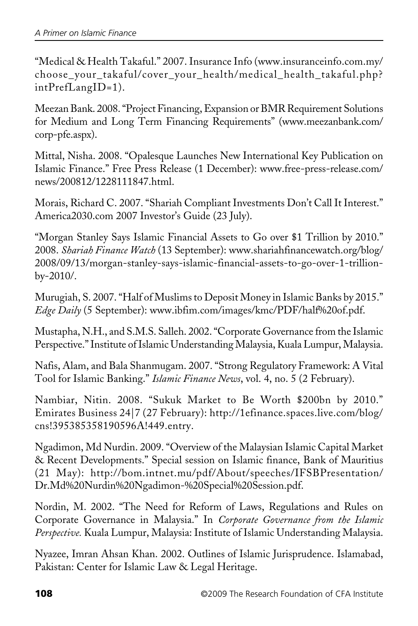"Medical & Health Takaful." 2007. Insurance Info ([www.insuranceinfo.com.my/](http://www.insuranceinfo.com.my/choose_your_takaful/cover_your_health/medical_health_takaful.php?intPrefLangID=1) [choose\\_your\\_takaful/cover\\_your\\_health/medical\\_health\\_takaful.php?](http://www.insuranceinfo.com.my/choose_your_takaful/cover_your_health/medical_health_takaful.php?intPrefLangID=1) [intPrefLangID=1\).](http://www.insuranceinfo.com.my/choose_your_takaful/cover_your_health/medical_health_takaful.php?intPrefLangID=1)

Meezan Bank. 2008. "Project Financing, Expansion or BMR Requirement Solutions for Medium and Long Term Financing Requirements" ([www.meezanbank.com/](http://www.meezanbank.com/corp-pfe.aspx) [corp-pfe.aspx\).](http://www.meezanbank.com/corp-pfe.aspx)

Mittal, Nisha. 2008. "Opalesque Launches New International Key Publication on [Islamic Finance." Free Press Release \(1 December\): www.free-press-release.com/](http://www.free-press-release.com/news/200812/1228111847.html) news/200812/1228111847.html.

Morais, Richard C. 2007. "Shariah Compliant Investments Don't Call It Interest." America2030.com 2007 Investor's Guide (23 July).

"Morgan Stanley Says Islamic Financial Assets to Go over \$1 Trillion by 2010." 2008. *Shariah Finance Watch* (13 September): [www.shariahfinancewatch.org/blog/](http://www.shariahfinancewatch.org/blog/) [2008/09/13/morgan-stanley-says-islamic-financial-assets-to-go-over-1-trillion](http://http://www.shariahfinancewatch.org/blog/2008/09/13/morgan-stanley-says-islamic-financial-assets-to-go-over-1-trillion-by-2010/)by-2010/.

Murugiah, S. 2007. "Half of Muslims to Deposit Money in Islamic Banks by 2015." *Edge Daily* (5 September): [www.ibfim.com/images/kmc/PDF/half%20of.pdf.](http://www.ibfim.com/images/kmc/PDF/half%20of.pdf)

Mustapha, N.H., and S.M.S. Salleh. 2002. "Corporate Governance from the Islamic Perspective." Institute of Islamic Understanding Malaysia, Kuala Lumpur, Malaysia.

Nafis, Alam, and Bala Shanmugam. 2007. "Strong Regulatory Framework: A Vital Tool for Islamic Banking." *Islamic Finance News*, vol. 4, no. 5 (2 February).

Nambiar, Nitin. 2008. "Sukuk Market to Be Worth \$200bn by 2010." [Emirates Business 24|7 \(27 February\): h](http://1efinance.spaces.live.com/blog/cns!395385358190596A!449.entry)[ttp://1efinance.spaces.live.com/blog/](http://1efinance.spaces.live.com/blog/) cns!395385358190596A!449.entry.

Ngadimon, Md Nurdin. 2009. "Overview of the Malaysian Islamic Capital Market & Recent Developments." Special session on Islamic finance, Bank of Mauritius [\(21 May\): http://bom.intnet.mu/pdf/About/speeches/IFSBPresentation/](http://bom.intnet.mu/pdf/About/speeches/IFSBPresentation/Dr.Md%20Nurdin%20Ngadimon-%20Special%20Session.pdf) Dr.Md%20Nurdin%20Ngadimon-%20Special%20Session.pdf.

Nordin, M. 2002. "The Need for Reform of Laws, Regulations and Rules on Corporate Governance in Malaysia." In *Corporate Governance from the Islamic Perspective.* Kuala Lumpur, Malaysia: Institute of Islamic Understanding Malaysia.

Nyazee, Imran Ahsan Khan. 2002. Outlines of Islamic Jurisprudence. Islamabad, Pakistan: Center for Islamic Law & Legal Heritage.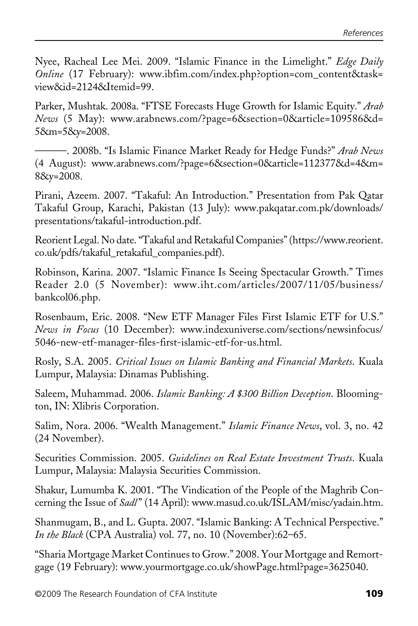Nyee, Racheal Lee Mei. 2009. "Islamic Finance in the Limelight." *Edge Daily Online* [\(17 February\): www.ibfim.com/index.php?option=com\\_content&task=](http://www.ibfim.com/index.php?option=com_content&task=view&id=2124&Itemid=99) view&id=2124&Itemid=99.

Parker, Mushtak. 2008a. "FTSE Forecasts Huge Growth for Islamic Equity." *Arab News* [\(5 May\):](http://www.arabnews.com/?page=6§ion=0&article=109586&d=5&m=5&y=2008) [www.arabnews.com/?page=6&section=0&article=109586&d=](http://www.arabnews.com/?page=6§ion=0&article=109586&d=) 5&m=5&y=2008.

———. 2008b. "Is Islamic Finance Market Ready for Hedge Funds?" *Arab News*  $(4$  August): w[ww.arabnews.com/?page=6&section=0&article=112377&d=4&m=](http://www.arabnews.com/?page=6§ion=0&article=112377&d=4&m=) 8&y=2008.

Pirani, Azeem. 2007. "Takaful: An Introduction." Presentation from Pak Qatar [Takaful Group, Karachi, Pakistan \(13 July\): www.pakqatar.com.pk/downloads/](http://www.pakqatar.com.pk/downloads/presentations/takaful-introduction.pdf) presentations/takaful-introduction.pdf.

Reorient Legal. No date. "Takaful and Retakaful Companies" [\(https://www.reorient.](https://www.reorient.co.uk/pdfs/takaful_retakaful_companies.pdf) [co.uk/pdfs/takaful\\_retakaful\\_companies.pdf\).](https://www.reorient.co.uk/pdfs/takaful_retakaful_companies.pdf)

Robinson, Karina. 2007. "Islamic Finance Is Seeing Spectacular Growth." Times [Reader 2.0 \(5 November\): www.iht.com/articles/2007/11/05/business/](http://www.iht.com/articles/2007/11/05/business/) bankcol06.php.

Rosenbaum, Eric. 2008. "New ETF Manager Files First Islamic ETF for U.S." *News in Focus* [\(10 December\):](http://www.indexuniverse.com/sections/newsinfocus/5046-new-etf-manager-files-first-islamic-etf-for-us.html) [www.indexuniverse.com/sections/newsinfocus/](http://www.indexuniverse.com/sections/newsinfocus/) 5046-new-etf-manager-files-first-islamic-etf-for-us.html.

Rosly, S.A. 2005. *Critical Issues on Islamic Banking and Financial Markets*. Kuala Lumpur, Malaysia: Dinamas Publishing.

Saleem, Muhammad. 2006. *Islamic Banking: A \$300 Billion Deception*. Bloomington, IN: Xlibris Corporation.

Salim, Nora. 2006. "Wealth Management." *Islamic Finance News*, vol. 3, no. 42 (24 November).

Securities Commission. 2005. *Guidelines on Real Estate Investment Trusts*. Kuala Lumpur, Malaysia: Malaysia Securities Commission.

Shakur, Lumumba K. 2001. "The Vindication of the People of the Maghrib Concerning the Issue of *Sadl*" (14 April): [www.masud.co.uk/ISLAM/misc/yadain.htm.](http://www.masud.co.uk/ISLAM/misc/yadain.htm)

Shanmugam, B., and L. Gupta. 2007. "Islamic Banking: A Technical Perspective." *In the Black* (CPA Australia) vol. 77, no. 10 (November):62–65.

"Sharia Mortgage Market Continues to Grow." 2008. Your Mortgage and Remortgage (19 February): [www.yourmortgage.co.uk/showPage.html?page=3625040.](http://www.yourmortgage.co.uk/showPage.html?page=3625040)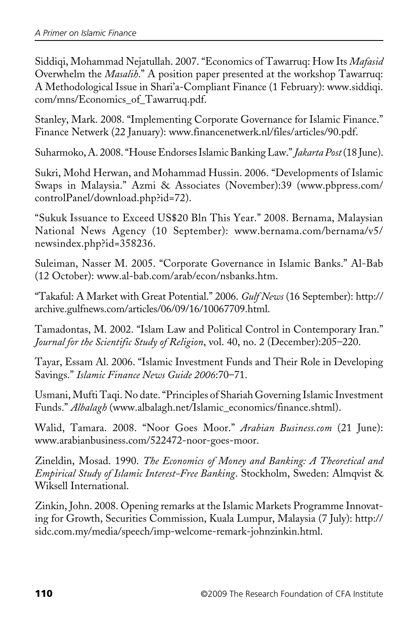Siddiqi, Mohammad Nejatullah. 2007. "Economics of Tawarruq: How Its *Mafasid* Overwhelm the *Masalih*." A position paper presented at the workshop Tawarruq: [A Methodological Issue in Shari'a-Compliant Finance \(1 February\): www.siddiqi.](http://www.siddiqi.com/mns/Economics_of_Tawarruq.pdf) com/mns/Economics\_of\_Tawarruq.pdf.

Stanley, Mark. 2008. "Implementing Corporate Governance for Islamic Finance." Finance Netwerk (22 January): [www.financenetwerk.nl/files/articles/90.pdf.](http://www.financenetwerk.nl/files/articles/90.pdf)

Suharmoko, A. 2008. "House Endorses Islamic Banking Law." *Jakarta Post* (18 June).

Sukri, Mohd Herwan, and Mohammad Hussin. 2006. "Developments of Islamic Swaps in Malaysia." Azmi & Associates (November):39 [\(www.pbpress.com/](http://www.pbpress.com/controlPanel/download.php?id=72) [controlPanel/download.php?id=72\).](http://www.pbpress.com/controlPanel/download.php?id=72)

"Sukuk Issuance to Exceed US\$20 Bln This Year." 2008. Bernama, Malaysian [National News Agency \(10 September\): www.bernama.com/bernama/v5/](http://www.bernama.com/bernama/v5/newsindex.php?id=358236) newsindex.php?id=358236.

Suleiman, Nasser M. 2005. "Corporate Governance in Islamic Banks." Al-Bab (12 October): [www.al-bab.com/arab/econ/nsbanks.htm.](http://www.al-bab.com/arab/econ/nsbanks.htm)

"Takaful: A Market with Great Potential." 2006. *Gulf News* (16 September): [http://](http://archive.gulfnews.com/articles/06/09/16/10067709.html) [archive.gulfnews.com/articles/06/09/16/10067709.html.](http://archive.gulfnews.com/articles/06/09/16/10067709.html)

Tamadontas, M. 2002. "Islam Law and Political Control in Contemporary Iran." *Journal for the Scientific Study of Religion*, vol. 40, no. 2 (December):205–220.

Tayar, Essam Al. 2006. "Islamic Investment Funds and Their Role in Developing Savings." *Islamic Finance News Guide 2006*:70–71.

Usmani, Mufti Taqi. No date. "Principles of Shariah Governing Islamic Investment Funds." *Albalagh* ([www.albalagh.net/Islamic\\_economics/finance.shtml\).](http://www.albalagh.net/Islamic_economics/finance.shtml)

Walid, Tamara. 2008. "Noor Goes Moor." *Arabian Business.com* (21 June): [www.arabianbusiness.com/522472-noor-goes-moor.](http://www.arabianbusiness.com/522472-noor-goes-moor)

Zineldin, Mosad. 1990. *The Economics of Money and Banking: A Theoretical and Empirical Study of Islamic Interest-Free Banking*. Stockholm, Sweden: Almqvist & Wiksell International.

Zinkin, John. 2008. Opening remarks at the Islamic Markets Programme Innovating for Growth, Securities Commission, Kuala Lumpur, Malaysia (7 July): [http://](http://sidc.com.my/media/speech/imp-welcome-remark-johnzinkin.html) [sidc.com.my/media/speech/imp-welcome-remark-johnzinkin.html.](http://sidc.com.my/media/speech/imp-welcome-remark-johnzinkin.html)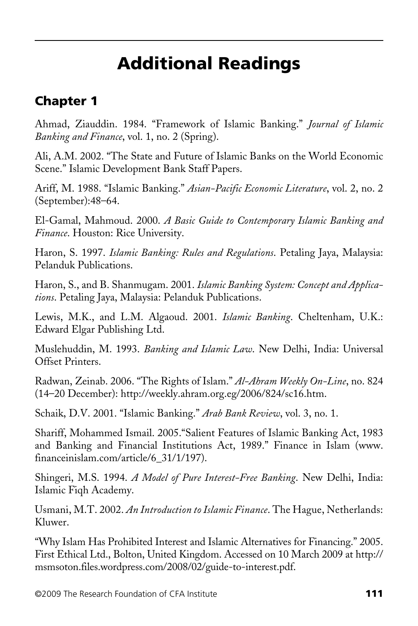# **Additional Readings**

# **Chapter 1**

Ahmad, Ziauddin. 1984. "Framework of Islamic Banking." *Journal of Islamic Banking and Finance*, vol. 1, no. 2 (Spring).

Ali, A.M. 2002. "The State and Future of Islamic Banks on the World Economic Scene." Islamic Development Bank Staff Papers.

Ariff, M. 1988. "Islamic Banking." *Asian-Pacific Economic Literature*, vol. 2, no. 2 (September):48–64.

El-Gamal, Mahmoud. 2000. *A Basic Guide to Contemporary Islamic Banking and Finance*. Houston: Rice University.

Haron, S. 1997. *Islamic Banking: Rules and Regulations*. Petaling Jaya, Malaysia: Pelanduk Publications.

Haron, S., and B. Shanmugam. 2001. *Islamic Banking System: Concept and Applications*. Petaling Jaya, Malaysia: Pelanduk Publications.

Lewis, M.K., and L.M. Algaoud. 2001. *Islamic Banking*. Cheltenham, U.K.: Edward Elgar Publishing Ltd.

Muslehuddin, M. 1993. *Banking and Islamic Law*. New Delhi, India: Universal Offset Printers.

Radwan, Zeinab. 2006. "The Rights of Islam." *Al-Ahram Weekly On-Line*, no. 824 (14–20 December): [http://weekly.ahram.org.eg/2006/824/sc16.htm.](http://weekly.ahram.org.eg/2006/824/sc16.htm)

Schaik, D.V. 2001. "Islamic Banking." *Arab Bank Review*, vol. 3, no. 1.

Shariff, Mohammed Ismail. 2005."Salient Features of Islamic Banking Act, 1983 and Banking and Financial Institutions Act, 1989." Finance in Islam ([www.](http://www.financeinislam.com/article/6_31/1/197) [financeinislam.com/article/6\\_31/1/197\).](http://www.financeinislam.com/article/6_31/1/197)

Shingeri, M.S. 1994. *A Model of Pure Interest-Free Banking*. New Delhi, India: Islamic Fiqh Academy.

Usmani, M.T. 2002. *An Introduction to Islamic Finance*. The Hague, Netherlands: Kluwer.

"Why Islam Has Prohibited Interest and Islamic Alternatives for Financing." 2005. First Ethical Ltd., Bolton, United Kingdom. Accessed on 10 March 2009 at [http://](http://msmsoton.files.wordpress.com/2008/02/guide-to-interest.pdf) [msmsoton.files.wordpress.com/2008/02/guide-to-interest.pdf.](http://msmsoton.files.wordpress.com/2008/02/guide-to-interest.pdf)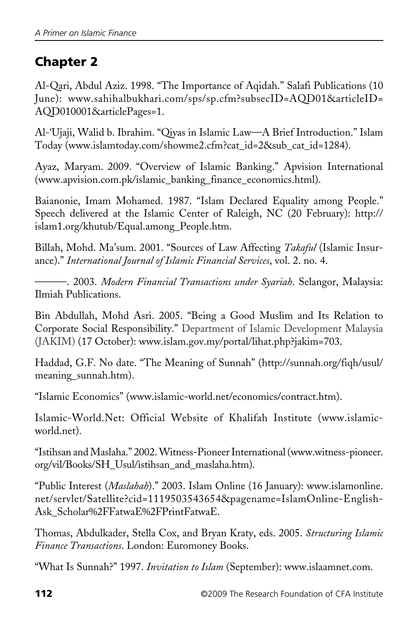## **Chapter 2**

Al-Qari, Abdul Aziz. 1998. "The Importance of Aqidah." Salafi Publications (10 [June\):](http://www.sahihalbukhari.com/sps/sp.cfm?subsecID=AQD01&articleID=AQD010001&articlePages=1) [www.sahihalbukhari.com/sps/sp.cfm?subsecID=AQD01&articleID=](http://www.sahihalbukhari.com/sps/sp.cfm?subsecID=AQD01&articleID=) AQD010001&articlePages=1.

Al-'Ujaji, Walid b. Ibrahim. "Qiyas in Islamic Law—A Brief Introduction." Islam Today ([www.islamtoday.com/showme2.cfm?cat\\_id=2&sub\\_cat\\_id=1284\).](http://www.islamtoday.com/showme2.cfm?cat_id=2&sub_cat_id=1284)

Ayaz, Maryam. 2009. "Overview of Islamic Banking." Apvision International ([www.apvision.com.pk/islamic\\_banking\\_finance\\_economics.html\).](http://www.apvision.com.pk/islamic_banking_finance_economics.html)

Baianonie, Imam Mohamed. 1987. "Islam Declared Equality among People." Speech delivered at the Islamic Center of Raleigh, NC (20 February): [http://](http://islam1.org/khutub/Equal.among_People.htm) [islam1.org/khutub/Equal.among\\_People.htm.](http://islam1.org/khutub/Equal.among_People.htm)

Billah, Mohd. Ma'sum. 2001. "Sources of Law Affecting *Takaful* (Islamic Insurance)." *International Journal of Islamic Financial Services*, vol. 2. no. 4.

———. 2003. *Modern Financial Transactions under Syariah*. Selangor, Malaysia: Ilmiah Publications.

Bin Abdullah, Mohd Asri. 2005. "Being a Good Muslim and Its Relation to Corporate Social Responsibility." Department of Islamic Development Malaysia (JAKIM) (17 October): [www.islam.gov.my/portal/lihat.php?jakim=703.](http://www.islam.gov.my/portal/lihat.php?jakim=703)

Haddad, G.F. No date. "The Meaning of Sunnah" ([http://sunnah.org/fiqh/usul/](http://sunnah.org/fiqh/usul/meaning_sunnah.htm) [meaning\\_sunnah.htm\).](http://sunnah.org/fiqh/usul/meaning_sunnah.htm)

"Islamic Economics" [\(www.islamic-world.net/economics/contract.htm\).](http://www.islamic-world.net/economics/contract.htm)

[Islamic-World.Net: Official Website of Khalifah Institute \(www.islamic](http://www.islamic-world.net)world[.net\).](http://www.islamic-world.net)

"Istihsan and Maslaha." 2002. Witness-Pioneer International [\(www.witness-pioneer.](http://www.witness-pioneer.org/vil/Books/SH_Usul/istihsan_and_maslaha.htm) [org/vil/Books/SH\\_Usul/istihsan\\_and\\_maslaha.htm\).](http://www.witness-pioneer.org/vil/Books/SH_Usul/istihsan_and_maslaha.htm)

"Public Interest (*Maslahah*)." 2003. Islam Online (16 January): [www.islamonline.](http://www.islamonline) [net/servlet/Satellite?cid=1119503543654&pagename=IslamOnline-English-](http://www.islamonline.net/servlet/Satellite?cid=1119503543654&pagename=IslamOnline-English-Ask_Scholar%2FFatwaE%2FPrintFatwaE)Ask\_Scholar%2FFatwaE%2FPrintFatwaE.

Thomas, Abdulkader, Stella Cox, and Bryan Kraty, eds. 2005. *Structuring Islamic Finance Transactions*. London: Euromoney Books.

"What Is Sunnah?" 1997. *Invitation to Islam* (September): [www.islaamnet.com.](http://www.islaamnet.com)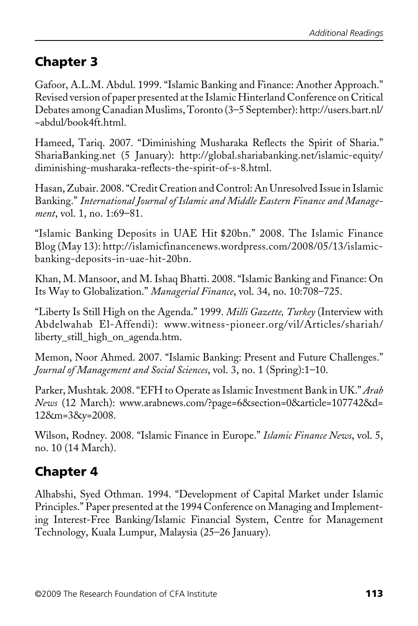# **Chapter 3**

Gafoor, A.L.M. Abdul. 1999. "Islamic Banking and Finance: Another Approach." Revised version of paper presented at the Islamic Hinterland Conference on Critical [Debates among Canadian Muslims, Toronto \(3–5 September\): http://users.bart.nl/](http://users.bart.nl/~abdul/book4ft.html) ~abdul/book4ft.html.

Hameed, Tariq. 2007. "Diminishing Musharaka Reflects the Spirit of Sharia." [ShariaBanking.net \(5 January\): http://global.shariabanking.net/islamic-equity/](http://global.shariabanking.net/islamic-equity/diminishing-musharaka-reflects-the-spirit-of-s-8.html) diminishing-musharaka-reflects-the-spirit-of-s-8.html.

Hasan, Zubair. 2008. "Credit Creation and Control: An Unresolved Issue in Islamic Banking." *International Journal of Islamic and Middle Eastern Finance and Management*, vol. 1, no. 1:69–81.

"Islamic Banking Deposits in UAE Hit \$20bn." 2008. The Islamic Finance [Blog \(May 13\): http://islamicfinancenews.wordpress.com/2008/05/13/islamic](http://islamicfinancenews.wordpress.com/2008/05/13/islamic-banking-deposits-in-uae-hit-20bn)banking-[deposits-in-uae-hit-20bn.](http://islamicfinancenews.wordpress.com/2008/05/13/islamic-banking-deposits-in-uae-hit-20bn)

Khan, M. Mansoor, and M. Ishaq Bhatti. 2008. "Islamic Banking and Finance: On Its Way to Globalization." *Managerial Finance*, vol. 34, no. 10:708–725.

"Liberty Is Still High on the Agenda." 1999. *Milli Gazette, Turkey* (Interview with [Abdelwahab El-Affendi\): www.witness-pioneer.org/vil/Articles/shariah/](http://www.witness-pioneer.org/vil/Articles/shariah/liberty_still_high_on_agenda.htm) liberty\_still\_high\_on\_agenda.htm.

Memon, Noor Ahmed. 2007. "Islamic Banking: Present and Future Challenges." *Journal of Management and Social Sciences*, vol. 3, no. 1 (Spring):1–10.

Parker, Mushtak. 2008. "EFH to Operate as Islamic Investment Bank in UK." *Arab News* [\(12 March\): www.arabnews.com/?page=6&section=0&article=107742&d=](http://www.arabnews.com/?page=6§ion=0&article=107742&d=12&m=3&y=2008) 12&m=3&y=2008.

Wilson, Rodney. 2008. "Islamic Finance in Europe." *Islamic Finance News*, vol. 5, no. 10 (14 March).

# **Chapter 4**

Alhabshi, Syed Othman. 1994. "Development of Capital Market under Islamic Principles." Paper presented at the 1994 Conference on Managing and Implementing Interest-Free Banking/Islamic Financial System, Centre for Management Technology, Kuala Lumpur, Malaysia (25–26 January).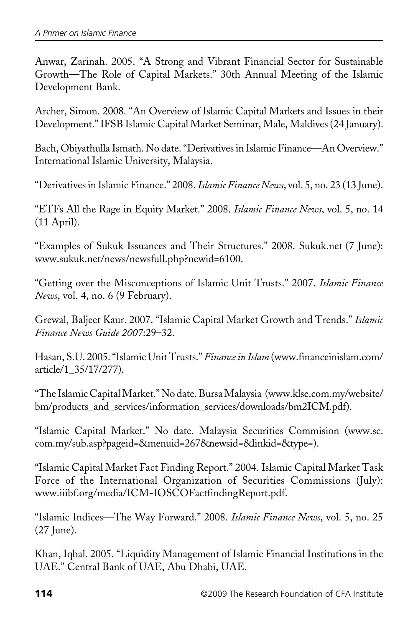Anwar, Zarinah. 2005. "A Strong and Vibrant Financial Sector for Sustainable Growth—The Role of Capital Markets." 30th Annual Meeting of the Islamic Development Bank.

Archer, Simon. 2008. "An Overview of Islamic Capital Markets and Issues in their Development." IFSB Islamic Capital Market Seminar, Male, Maldives (24 January).

Bach, Obiyathulla Ismath. No date. "Derivatives in Islamic Finance—An Overview." International Islamic University, Malaysia.

"Derivatives in Islamic Finance." 2008. *Islamic Finance News*, vol. 5, no. 23 (13 June).

"ETFs All the Rage in Equity Market." 2008. *Islamic Finance News*, vol. 5, no. 14 (11 April).

"Examples of Sukuk Issuances and Their Structures." 2008. Sukuk.net (7 June): [www.sukuk.net/news/newsfull.php?newid=6100.](http://www.sukuk.net/news/newsfull.php?newid=6100)

"Getting over the Misconceptions of Islamic Unit Trusts." 2007. *Islamic Finance News*, vol. 4, no. 6 (9 February).

Grewal, Baljeet Kaur. 2007. "Islamic Capital Market Growth and Trends." *Islamic Finance News Guide 2007*:29–32.

Hasan, S.U. 2005. "Islamic Unit Trusts." *Finance in Islam* ([www.financeinislam.com/](http://www.financeinislam.com/article/1_35/17/277) [article/1\\_35/17/277\).](http://www.financeinislam.com/article/1_35/17/277)

"The Islamic Capital Market." No date. Bursa Malaysia [\(www.klse.com.my/website/](http://www.klse.com.my/website/bm/products_and_services/information_services/downloads/bm2ICM.pdf) [bm/products\\_and\\_services/information\\_services/downloads/bm2ICM.pdf\).](http://www.klse.com.my/website/bm/products_and_services/information_services/downloads/bm2ICM.pdf)

"Islamic Capital Market." No date. Malaysia Securities Commision ([www.sc.](http://www.sc.com.my/sub.asp?pageid=&menuid=267&newsid=&linkid=&type=) [com.my/sub.asp?pageid=&menuid=267&newsid=&linkid=&type=\).](http://www.sc.com.my/sub.asp?pageid=&menuid=267&newsid=&linkid=&type=)

"Islamic Capital Market Fact Finding Report." 2004. Islamic Capital Market Task Force of the International Organization of Securities Commissions (July): [www.iiibf.org/media/ICM-IOSCOFactfindingReport.pdf.](http://www.iiibf.org/media/ICM-IOSCOFactfindingReport.pdf)

"Islamic Indices—The Way Forward." 2008. *Islamic Finance News*, vol. 5, no. 25 (27 June).

Khan, Iqbal. 2005. "Liquidity Management of Islamic Financial Institutions in the UAE." Central Bank of UAE, Abu Dhabi, UAE.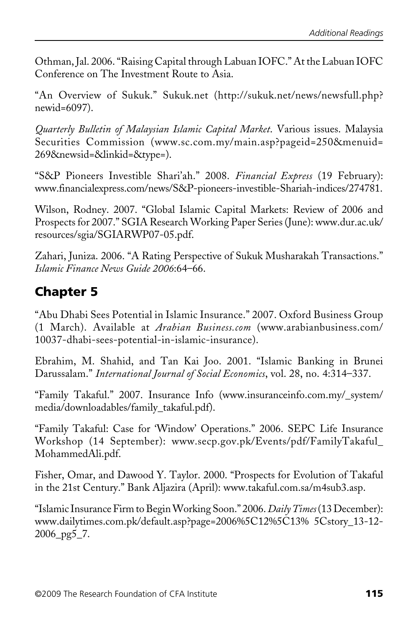Othman, Jal. 2006. "Raising Capital through Labuan IOFC." At the Labuan IOFC Conference on The Investment Route to Asia.

"An Overview of Sukuk." Sukuk.net ([http://sukuk.net/news/newsfull.php?](http://sukuk.net/news/newsfull.php?newid=6097) [newid=6097\).](http://sukuk.net/news/newsfull.php?newid=6097) 

*Quarterly Bulletin of Malaysian Islamic Capital Market*. Various issues. Malaysia Securities Commission ([www.sc.com.my/main.asp?pageid=250&menuid=](http://www.sc.com.my/main.asp?pageid=250&menuid=269&newsid=&linkid=&type=) [269&newsid=&linkid=&type=\).](http://www.sc.com.my/main.asp?pageid=250&menuid=269&newsid=&linkid=&type=)

"S&P Pioneers Investible Shari'ah." 2008. *Financial Express* (19 February): [www.financialexpress.com/news/S&P-pioneers-investible-Shariah-indices/274781.](http://www.financialexpress.com/news/S&P-pioneers-investible-Shariah-indices/274781)

Wilson, Rodney. 2007. "Global Islamic Capital Markets: Review of 2006 and [Prospects for 2007." SGIA Research Working Paper Series \(June\): www.dur.ac.uk/](http://www.dur.ac.uk/resources/sgia/SGIARWP07-05.pdf) resources/sgia/SGIARWP07-05.pdf.

Zahari, Juniza. 2006. "A Rating Perspective of Sukuk Musharakah Transactions." *Islamic Finance News Guide 2006*:64–66.

#### **Chapter 5**

"Abu Dhabi Sees Potential in Islamic Insurance." 2007. Oxford Business Group (1 March). Available at *Arabian Business.com* ([www.arabianbusiness.com/](http://www.arabianbusiness.com/10037-dhabi-sees-potential-in-islamic-insurance) [10037-dhabi-sees-potential-in-islamic-insurance\).](http://www.arabianbusiness.com/10037-dhabi-sees-potential-in-islamic-insurance)

Ebrahim, M. Shahid, and Tan Kai Joo. 2001. "Islamic Banking in Brunei Darussalam." *International Journal of Social Economics*, vol. 28, no. 4:314–337.

"Family Takaful." 2007. Insurance Info ([www.insuranceinfo.com.my/\\_system/](http://www.insuranceinfo.com.my/_system/media/downloadables/family_takaful.pdf) [media/downloadables/family\\_takaful.pdf\).](http://www.insuranceinfo.com.my/_system/media/downloadables/family_takaful.pdf)

"Family Takaful: Case for 'Window' Operations." 2006. SEPC Life Insurance [Workshop \(14 September\): www.secp.gov.pk/Events/pdf/FamilyTakaful\\_](http://www.secp.gov.pk/Events/pdf/FamilyTakaful_MohammedAli.pdf) MohammedAli.pdf.

Fisher, Omar, and Dawood Y. Taylor. 2000. "Prospects for Evolution of Takaful in the 21st Century." Bank Aljazira (April): [www.takaful.com.sa/m4sub3.asp.](http://www.takaful.com.sa/m4sub3.asp)

"Islamic Insurance Firm to Begin Working Soon." 2006. *Daily Times* (13 December): [www.dailytimes.com.pk/default.asp?page=2006%5C12%5C13% 5Cstory\\_13-12-](http://www.dailytimes.com.pk/default.asp?page=2006%5C12%5C13%%205Cstory_13-12-2006_pg5_7) 2006\_pg5\_7.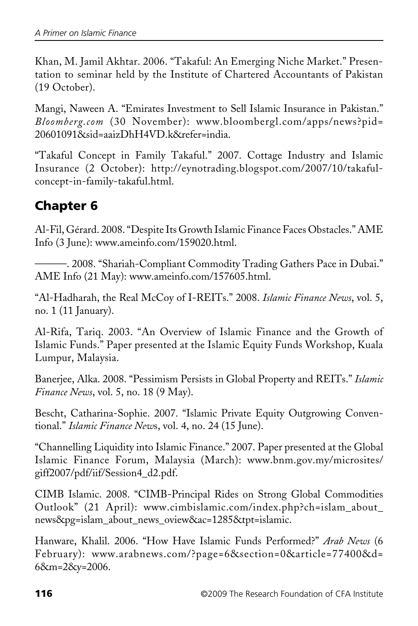Khan, M. Jamil Akhtar. 2006. "Takaful: An Emerging Niche Market." Presentation to seminar held by the Institute of Chartered Accountants of Pakistan (19 October).

Mangi, Naween A. "Emirates Investment to Sell Islamic Insurance in Pakistan." *Bloomberg.com* [\(30 November\): www.bloombergl.com/apps/news?pid=](http://www.bloombergl.com/apps/news?pid=20601091&sid=aaizDhH4VD.k&refer=india) 20601091&sid=aaizDhH4VD.k&refer=india.

"Takaful Concept in Family Takaful." 2007. Cottage Industry and Islamic [Insurance \(2 October\): http://eynotrading.blogspot.com/2007/10/takaful](http://eynotrading.blogspot.com/2007/10/takaful-concept-in-family-takaful.html)concept-[in-family-takaful.html.](http://eynotrading.blogspot.com/2007/10/takaful-concept-in-family-takaful.html)

# **Chapter 6**

Al-Fil, Gérard. 2008. "Despite Its Growth Islamic Finance Faces Obstacles." AME Info (3 June): [www.ameinfo.com/159020.html.](http://www.ameinfo.com/159020.html)

———. 2008. "Shariah-Compliant Commodity Trading Gathers Pace in Dubai." AME Info (21 May): [www.ameinfo.com/157605.html.](http://www.ameinfo.com/157605.html)

"Al-Hadharah, the Real McCoy of I-REITs." 2008. *Islamic Finance News*, vol. 5, no. 1 (11 January).

Al-Rifa, Tariq. 2003. "An Overview of Islamic Finance and the Growth of Islamic Funds." Paper presented at the Islamic Equity Funds Workshop, Kuala Lumpur, Malaysia.

Banerjee, Alka. 2008. "Pessimism Persists in Global Property and REITs." *Islamic Finance News*, vol. 5, no. 18 (9 May).

Bescht, Catharina-Sophie. 2007. "Islamic Private Equity Outgrowing Conventional." *Islamic Finance New*s, vol. 4, no. 24 (15 June).

"Channelling Liquidity into Islamic Finance." 2007. Paper presented at the Global [Islamic Finance Forum, Malaysia \(March\): w](http://www.bnm.gov.my/microsites/giff2007/pdf/iif/Session4_d2.pdf)[ww.bnm.gov.my/microsites/](http://www.bnm.gov.my/microsites/) giff2007/pdf/iif/Session4\_d2.pdf.

CIMB Islamic. 2008. "CIMB-Principal Rides on Strong Global Commodities [Outlook" \(21 April\): www.cimbislamic.com/index.php?ch=islam\\_about\\_](http://www.cimbislamic.com/index.php?ch=islam_about_news&pg=islam_about_news_oview&ac=1285&tpt=islamic) news&pg=islam\_about\_news\_oview&ac=1285&tpt=islamic.

Hanware, Khalil. 2006. "How Have Islamic Funds Performed?" *Arab News* (6 [February\): www.arabnews.com/?page=6&section=0&article=77400&d=](http://www.arabnews.com/?page=6§ion=0&article=77400&d=6&m=2&y=2006) 6&m=2&y=2006.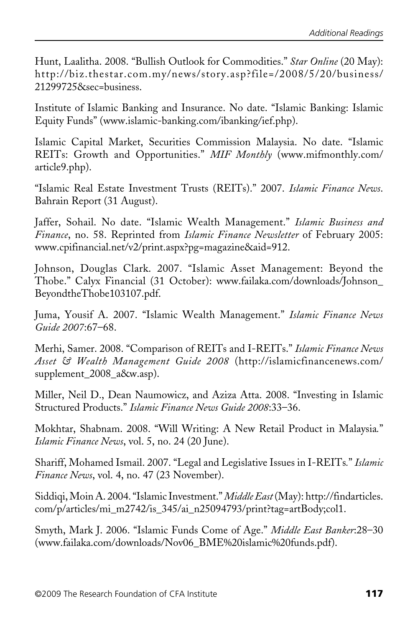Hunt, Laalitha. 2008. "Bullish Outlook for Commodities." *Star Online* (20 May): [http://biz.thestar.com.my/news/story.asp?file=/2008/5/20/business/](http://biz.thestar.com.my/news/story.asp?file=/2008/5/20/business/21299725&sec=business) 21299725&sec=business.

Institute of Islamic Banking and Insurance. No date. "Islamic Banking: Islamic Equity Funds" ([www.islamic-banking.com/ibanking/ief.php\).](http://www.islamic-banking.com/ibanking/ief.php)

Islamic Capital Market, Securities Commission Malaysia. No date. "Islamic REITs: Growth and Opportunities." *MIF Monthly* [\(www.mifmonthly.com/](http://www.mifmonthly.com/article9.php) [article9.php\).](http://www.mifmonthly.com/article9.php)

"Islamic Real Estate Investment Trusts (REITs)." 2007. *Islamic Finance News*. Bahrain Report (31 August).

Jaffer, Sohail. No date. "Islamic Wealth Management." *Islamic Business and Finance*, no. 58. Reprinted from *Islamic Finance Newsletter* of February 2005: [www.cpifinancial.net/v2/print.aspx?pg=magazine&aid=912.](http://www.cpifinancial.net/v2/print.aspx?pg=magazine&aid=912)

Johnson, Douglas Clark. 2007. "Islamic Asset Management: Beyond the [Thobe." Calyx Financial \(31 October\): www.failaka.com/downloads/Johnson\\_](http://www.failaka.com/downloads/Johnson_BeyondtheThobe103107.pdf) BeyondtheThobe103107.pdf.

Juma, Yousif A. 2007. "Islamic Wealth Management." *Islamic Finance News Guide 2007*:67–68.

Merhi, Samer. 2008. "Comparison of REITs and I-REITs." *Islamic Finance News Asset & Wealth Management Guide 2008* ([http://islamicfinancenews.com/](http://islamicfinancenews.com/supplement_2008_a&w.asp) [supplement\\_2008\\_a&w.asp\).](http://islamicfinancenews.com/supplement_2008_a&w.asp)

Miller, Neil D., Dean Naumowicz, and Aziza Atta. 2008. "Investing in Islamic Structured Products." *Islamic Finance News Guide 2008*:33–36.

Mokhtar, Shabnam. 2008. "Will Writing: A New Retail Product in Malaysia*.*" *Islamic Finance News*, vol. 5, no. 24 (20 June).

Shariff, Mohamed Ismail. 2007. "Legal and Legislative Issues in I-REITs*.*" *Islamic Finance News*, vol. 4, no. 47 (23 November).

Siddiqi, Moin A. 2004. "Islamic Investment." *Middle East* (May): [http://findarticles.](http://findarticles) com/p/articles/mi\_m2742/is\_345/ai\_n25094793/print?tag=artBody;col1.

Smyth, Mark J. 2006. "Islamic Funds Come of Age." *Middle East Banker*:28–30 ([www.failaka.com/downloads/Nov06\\_BME%20islamic%20funds.pdf\).](http://www.failaka.com/downloads/Nov06_BME%20islamic%20funds.pdf)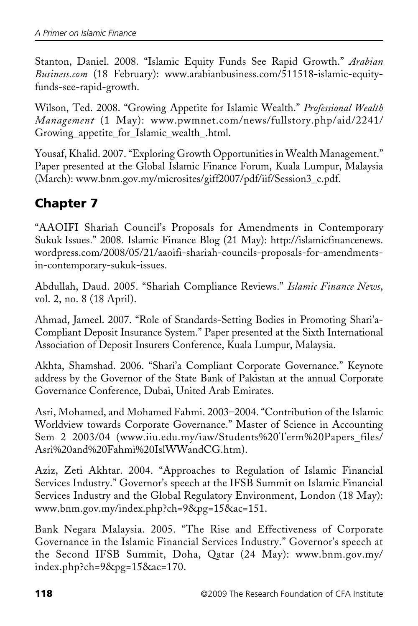Stanton, Daniel. 2008. "Islamic Equity Funds See Rapid Growth." *Arabian Business.com* [\(18 February\): www.arabianbusiness.com/511518-islamic-equity](http://www.arabianbusiness.com/511518-islamic-equity-funds-see-rapid-growth)funds-[see-rapid-growth.](http://www.arabianbusiness.com/511518-islamic-equity-funds-see-rapid-growth)

Wilson, Ted. 2008. "Growing Appetite for Islamic Wealth." *Professional Wealth Management* [\(1 May\): www.pwmnet.com/news/fullstory.php/aid/2241/](http://www.pwmnet.com/news/fullstory.php/aid/2241/Growing_appetite_for_Islamic_wealth_.html) Growing\_appetite\_for\_Islamic\_wealth\_.html.

Yousaf, Khalid. 2007. "Exploring Growth Opportunities in Wealth Management." Paper presented at the Global Islamic Finance Forum, Kuala Lumpur, Malaysia (March): [www.bnm.gov.my/microsites/giff2007/pdf/iif/Session3\\_c.pdf.](http://www.bnm.gov.my/microsites/giff2007/pdf/iif/Session3_c.pdf)

#### **Chapter 7**

"AAOIFI Shariah Council's Proposals for Amendments in Contemporary [Sukuk Issues." 2008. Islamic Finance Blog \(21 May\): http://islamicfinancenews.](http://islamicfinancenews.wordpress.com/2008/05/21/aaoifi-shariah-councils-proposals-for-amendments-in-contemporary-sukuk-issues/) wordpress.com/2008/05/21/aaoifi-shariah-councils-proposals-for-amendmentsin-contemporary-sukuk-issues.

Abdullah, Daud. 2005. "Shariah Compliance Reviews." *Islamic Finance News*, vol. 2, no. 8 (18 April).

Ahmad, Jameel. 2007. "Role of Standards-Setting Bodies in Promoting Shari'a-Compliant Deposit Insurance System." Paper presented at the Sixth International Association of Deposit Insurers Conference, Kuala Lumpur, Malaysia.

Akhta, Shamshad. 2006. "Shari'a Compliant Corporate Governance." Keynote address by the Governor of the State Bank of Pakistan at the annual Corporate Governance Conference, Dubai, United Arab Emirates.

Asri, Mohamed, and Mohamed Fahmi. 2003–2004. "Contribution of the Islamic Worldview towards Corporate Governance." Master of Science in Accounting Sem 2 2003/04 ([www.iiu.edu.my/iaw/Students%20Term%20Papers\\_files/](http://www.iiu.edu.my/iaw/Students%20Term%20Papers_files/Asri%20and%20Fahmi%20IslWWandCG.htm) [Asri%20and%20Fahmi%20IslWWandCG.htm\).](http://www.iiu.edu.my/iaw/Students%20Term%20Papers_files/Asri%20and%20Fahmi%20IslWWandCG.htm)

Aziz, Zeti Akhtar. 2004. "Approaches to Regulation of Islamic Financial Services Industry." Governor's speech at the IFSB Summit on Islamic Financial Services Industry and the Global Regulatory Environment, London (18 May): [www.bnm.gov.my/index.php?ch=9&pg=15&ac=151.](http://www.bnm.gov.my/index.php?ch=9&pg=15&ac=151)

Bank Negara Malaysia. 2005. "The Rise and Effectiveness of Corporate Governance in the Islamic Financial Services Industry." Governor's speech at [the Second IFSB Summit, Doha, Qatar \(24 May\): www.bnm.gov.my/](http://www.bnm.gov.my/index.php?ch=9&pg=15&ac=170) index.php?ch=9&pg=15&ac=170.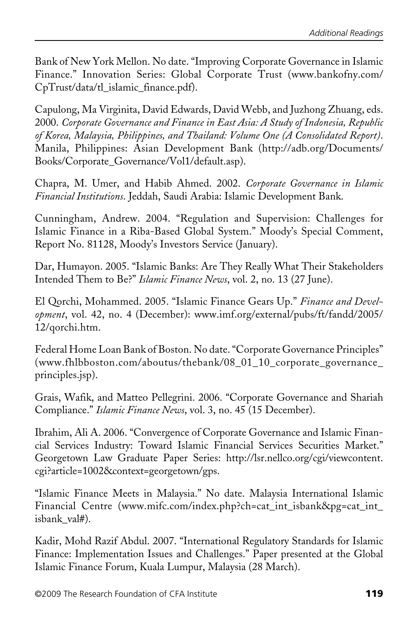Bank of New York Mellon. No date. "Improving Corporate Governance in Islamic Finance." Innovation Series: Global Corporate Trust [\(www.bankofny.com/](http://www.bankofny.com/CpTrust/data/tl_islamic_finance.pdf) [CpTrust/data/tl\\_islamic\\_finance.pdf\).](http://www.bankofny.com/CpTrust/data/tl_islamic_finance.pdf)

Capulong, Ma Virginita, David Edwards, David Webb, and Juzhong Zhuang, eds. 2000. *Corporate Governance and Finance in East Asia: A Study of Indonesia, Republic of Korea, Malaysia, Philippines, and Thailand: Volume One (A Consolidated Report)*. Manila, Philippines: Asian Development Bank ([http://adb.org/Documents/](http://adb.org/Documents/Books/Corporate_Governance/Vol1/default.asp) [Books/Corporate\\_Governance/Vol1/default.asp\).](http://adb.org/Documents/Books/Corporate_Governance/Vol1/default.asp)

Chapra, M. Umer, and Habib Ahmed. 2002. *Corporate Governance in Islamic Financial Institutions*. Jeddah, Saudi Arabia: Islamic Development Bank.

Cunningham, Andrew. 2004. "Regulation and Supervision: Challenges for Islamic Finance in a Riba-Based Global System." Moody's Special Comment, Report No. 81128, Moody's Investors Service (January).

Dar, Humayon. 2005. "Islamic Banks: Are They Really What Their Stakeholders Intended Them to Be?" *Islamic Finance News*, vol. 2, no. 13 (27 June).

El Qorchi, Mohammed. 2005. "Islamic Finance Gears Up." *Finance and Development*[, vol. 42, no. 4 \(December\): www.imf.org/external/pubs/ft/fandd/2005/](http://www.imf.org/external/pubs/ft/fandd/2005/12/qorchi.htm) 12/qorchi.htm.

Federal Home Loan Bank of Boston. No date. "Corporate Governance Principles" ([www.fhlbboston.com/aboutus/thebank/08\\_01\\_10\\_corporate\\_governance\\_](http://www.fhlbboston.com/aboutus/thebank/08_01_10_corporate_governance_principles.jsp) [principles.jsp\).](http://www.fhlbboston.com/aboutus/thebank/08_01_10_corporate_governance_principles.jsp)

Grais, Wafik, and Matteo Pellegrini. 2006. "Corporate Governance and Shariah Compliance." *Islamic Finance News*, vol. 3, no. 45 (15 December).

Ibrahim, Ali A. 2006. "Convergence of Corporate Governance and Islamic Financial Services Industry: Toward Islamic Financial Services Securities Market." [Georgetown Law Graduate Paper Series: h](http://scholarship.law.georgetown.edu/cgi/viewcontent.cgi?article=1002&context=gps_papers)[ttp://lsr.nellco.org/cgi/viewcontent.](http://lsr.nellco.org/cgi/viewcontent) cgi?article=1002&context=georgetown/gps.

"Islamic Finance Meets in Malaysia." No date. Malaysia International Islamic Financial Centre ([www.mifc.com/index.php?ch=cat\\_int\\_isbank&pg=cat\\_int\\_](http://www.mifc.com/index.php?ch=cat_int_isbank&pg=cat_int_isbank_val#) [isbank\\_val#\).](http://www.mifc.com/index.php?ch=cat_int_isbank&pg=cat_int_isbank_val#)

Kadir, Mohd Razif Abdul. 2007. "International Regulatory Standards for Islamic Finance: Implementation Issues and Challenges." Paper presented at the Global Islamic Finance Forum, Kuala Lumpur, Malaysia (28 March).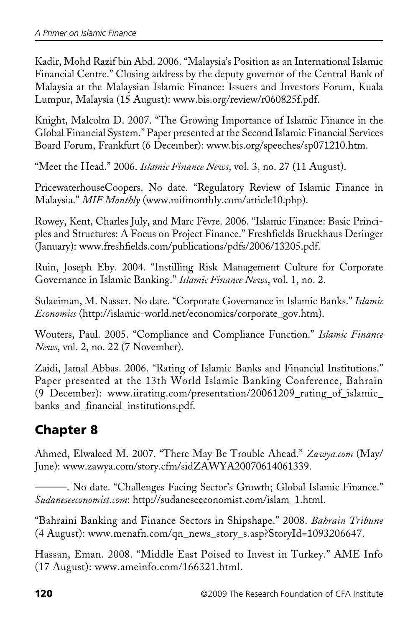Kadir, Mohd Razif bin Abd. 2006. "Malaysia's Position as an International Islamic Financial Centre." Closing address by the deputy governor of the Central Bank of Malaysia at the Malaysian Islamic Finance: Issuers and Investors Forum, Kuala Lumpur, Malaysia (15 August): [www.bis.org/review/r060825f.pdf.](http://www.bis.org/review/r060825f.pdf)

Knight, Malcolm D. 2007. "The Growing Importance of Islamic Finance in the Global Financial System." Paper presented at the Second Islamic Financial Services Board Forum, Frankfurt (6 December): [www.bis.org/speeches/sp071210.htm.](http://www.bis.org/speeches/sp071210.htm)

"Meet the Head." 2006. *Islamic Finance News*, vol. 3, no. 27 (11 August).

PricewaterhouseCoopers. No date. "Regulatory Review of Islamic Finance in Malaysia." *MIF Monthly* [\(www.mifmonthly.com/article10.php\).](http://www.mifmonthly.com/article10.php)

Rowey, Kent, Charles July, and Marc Fèvre. 2006. "Islamic Finance: Basic Principles and Structures: A Focus on Project Finance." Freshfields Bruckhaus Deringer (January): [www.freshfields.com/publications/pdfs/2006/13205.pdf.](http://www.freshfields.com/publications/pdfs/2006/13205.pdf)

Ruin, Joseph Eby. 2004. "Instilling Risk Management Culture for Corporate Governance in Islamic Banking." *Islamic Finance News*, vol. 1, no. 2.

Sulaeiman, M. Nasser. No date. "Corporate Governance in Islamic Banks." *Islamic Economics* [\(http://islamic-world.net/economics/corporate\\_gov.htm\).](http://islamic-world.net/economics/corporate_gov.htm)

Wouters, Paul. 2005. "Compliance and Compliance Function." *Islamic Finance News*, vol. 2, no. 22 (7 November).

Zaidi, Jamal Abbas. 2006. "Rating of Islamic Banks and Financial Institutions." Paper presented at the 13th World Islamic Banking Conference, Bahrain [\(9 December\):](http://www.iirating.com/presentation/20061209_rating_of_islamic_banks_and_financial_institutions.pdf) [www.iirating.com/presentation/20061209\\_rating\\_of\\_islamic\\_](http://www.iirating.com/presentation/20061209_rating_of_islamic_) banks\_and\_financial\_institutions.pdf.

## **Chapter 8**

Ahmed, Elwaleed M. 2007. "There May Be Trouble Ahead." *Zawya.com* (May/ June): [www.zawya.com/story.cfm/sidZAWYA20070614061339.](http://www.zawya.com/story.cfm/sidZAWYA20070614061339)

———. No date. "Challenges Facing Sector's Growth; Global Islamic Finance." *Sudaneseeconomist.com*: [http://sudaneseeconomist.com/islam\\_1.html.](http://sudaneseeconomist.com/islam_1.html)

"Bahraini Banking and Finance Sectors in Shipshape." 2008. *Bahrain Tribune* (4 August): [www.menafn.com/qn\\_news\\_story\\_s.asp?StoryId=1093206647.](http://www.menafn.com/qn_news_story_s.asp?StoryId=1093206647)

Hassan, Eman. 2008. "Middle East Poised to Invest in Turkey." AME Info (17 August): [www.ameinfo.com/166321.html.](http://www.ameinfo.com/166321.html)